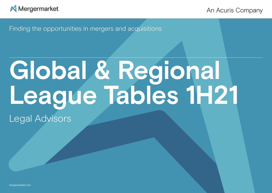<span id="page-0-0"></span>

An Acuris Company

Finding the opportunities in mergers and acquisitions

# **Global & Regional League Tables 1H21**

Legal Advisors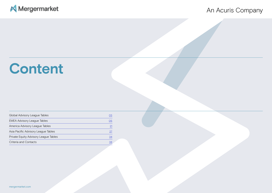## Mergermarket

## An Acuris Company

## **Content**

| Global Advisory League Tables         | O3              |
|---------------------------------------|-----------------|
| <b>EMEA Advisory League Tables</b>    | 05              |
| America Advisory League Tables        | $\overline{21}$ |
| Asia Pacific Advisory League Tables   | 27              |
| Private Equity Advisory League Tables | 34              |
| Criteria and Contacts                 | 38              |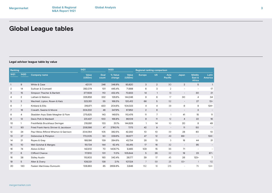## <span id="page-2-0"></span>**Legal advisor league table by value**

| Ranking        |                |                                       | 1H21            |               | <b>1H2O</b>       |                 | <b>Regional ranking comparison</b> |                 |                          |                          |                                   |                          |
|----------------|----------------|---------------------------------------|-----------------|---------------|-------------------|-----------------|------------------------------------|-----------------|--------------------------|--------------------------|-----------------------------------|--------------------------|
| 1H21           | <b>1H2O</b>    | <b>Company name</b>                   | Value<br>(USDm) | Deal<br>count | % Value<br>change | Value<br>(USDm) | <b>Europe</b>                      | <b>US</b>       | Asia<br>Pacific          | Japan                    | <b>Middle</b><br>East &<br>Africa | Latin<br><b>America</b>  |
| $\mathbf{1}$   | 9              | White & Case                          | 421,111         | 246           | 348.8%            | 93,820          | 3                                  | $\overline{2}$  | 30                       | $\overline{2}$           | 5                                 | $\mathbf{1}$             |
| 2              | 14             | Sullivan & Cromwell                   | 392,074         | 101           | 445.4%            | 71,888          | 6                                  | 3               | $\overline{2}$           | $\overline{a}$           | $\overline{\phantom{a}}$          | 17                       |
| 3              | 15             | Simpson Thacher & Bartlett            | 377,639         | 110           | 432.4%            | 70,933          | 14                                 | $\mathbf{1}$    | 13                       | $\overline{\phantom{a}}$ | 30                                | 21                       |
| $\overline{4}$ | $\overline{2}$ | Latham & Watkins                      | 326,858         | 332           | 126.6%            | 144,246         | 8                                  | 6               | 17                       | 30                       | 4                                 | 34                       |
| 5              | 3              | Wachtell, Lipton, Rosen & Katz        | 323,351         | 55            | 168.5%            | 120,412         | 66                                 | 5               | 52                       | $\overline{\phantom{a}}$ | 27                                | $13 =$                   |
| 6              | $\overline{7}$ | Kirkland & Ellis                      | 316,871         | 420           | 204.6%            | 104,023         | 4                                  | 4               | 38                       | 6                        | 9                                 | $124=$                   |
| 7              | 16             | Cravath, Swaine & Moore               | 304,332         | 48            | 347.9%            | 67,952          | 2                                  | 8               | $\overline{\phantom{a}}$ | $\overline{\phantom{a}}$ | 3                                 | $\overline{\phantom{a}}$ |
| 8              | 4              | Skadden Arps Slate Meagher & Flom     | 275,625         | 143           | 149.5%            | 110.476         | 11                                 | $\overline{7}$  | $\mathbf{1}$             | 41                       | 15                                | 11                       |
| 9              | 12             | Davis Polk & Wardwell                 | 231,437         | 100           | 168.8%            | 86,109          | 9                                  | 11              | 12                       | 4                        | 22                                | 16                       |
| 10             | $\mathbf{1}$   | Freshfields Bruckhaus Deringer        | 218,891         | 133           | 51.1%             | 144,829         | $\mathbf{1}$                       | 14              | 10 <sup>°</sup>          | 20                       | 8                                 | 49                       |
| 11             | 90             | Fried Frank Harris Shriver & Jacobson | 206,586         | 47            | 2780.1%           | 7,173           | 42                                 | 9               | $\overline{\phantom{a}}$ | 11                       | 50                                | $\sim$                   |
| 12             | 24             | Paul Weiss Rifkind Wharton & Garrison | 204,064         | 105           | 382.5%            | 42,292          | 10 <sup>°</sup>                    | 10 <sup>°</sup> | 39                       | 28                       | 80                                | 10                       |
| 13             | 27             | Debevoise & Plimpton                  | 170,005         | 50            | 339.6%            | 38,677          | 47                                 | 12              | 49                       | $89 =$                   | $\overline{\phantom{a}}$          | $124 =$                  |
| 14             | 21             | Ropes & Gray                          | 168,196         | 139           | 284.6%            | 43,734          | 28                                 | 13              | 3                        | 18                       | 44                                | 31                       |
| 15             | 10             | Weil Gotshal & Manges                 | 151,724         | 144           | 62.4%             | 93,415          | 17                                 | 16              | 32                       | $\overline{\phantom{a}}$ | 95                                | $\overline{\phantom{a}}$ |
| 16             | 74             | Alston & Bird                         | 142,612         | 70            | 1406.7%           | 9,465           | 109                                | 15              | 86                       | 71                       | $\overline{a}$                    | $\overline{\phantom{a}}$ |
| 17             | 6              | Clifford Chance                       | 117,610         | 101           | 11.3%             | 105,644         | 5                                  | 26              | 22                       | 19                       | 23                                | $67=$                    |
| 18             | 38             | <b>Sidley Austin</b>                  | 115,803         | 193           | 342.4%            | 26,177          | 39                                 | 17              | 45                       | 26                       | $123=$                            | $\overline{7}$           |
| 19             | 5              | Allen & Overy                         | 109,331         | 138           | 2.1%              | 107,124         | $\overline{7}$                     | 59              | 25                       | $83 =$                   | $\overline{1}$                    | 112                      |
| 20             | 130            | Fasken Martineau Dumoulin             | 108,863         | 85            | 2658.8%           | 3,946           | 152                                | 18              | 215                      | $\overline{\phantom{0}}$ | 75                                | $124 =$                  |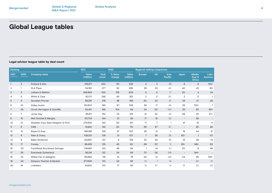## **Global League tables**

## **Legal advisor league table by deal count**

| Ranking        |                |                                   | 1H21            |               | <b>1H2O</b>       |                 |                | Regional ranking comparison |                 |                          |                                   |                         |
|----------------|----------------|-----------------------------------|-----------------|---------------|-------------------|-----------------|----------------|-----------------------------|-----------------|--------------------------|-----------------------------------|-------------------------|
| 1H21           | <b>1H2O</b>    | <b>Company name</b>               | Value<br>(USDm) | Deal<br>count | % Value<br>change | Value<br>(USDm) | Europe         | <b>US</b>                   | Asia<br>Pacific | Japan                    | <b>Middle</b><br>East &<br>Africa | <b>Latin</b><br>America |
| $\overline{1}$ | $\overline{2}$ | Kirkland & Ellis                  | 316,871         | 420           | 181               | 239             | $\overline{4}$ | $\overline{4}$              | 38              | 6                        | 9                                 | $124 =$                 |
| 2              | $\overline{1}$ | <b>DLA Piper</b>                  | 54,183          | 377           | 82                | 295             | 29             | 33                          | 40              | 40                       | 43                                | 90                      |
| 3              | 3              | Latham & Watkins                  | 326,858         | 332           | 126               | 206             | 8              | 6                           | 17              | 30                       | $\overline{4}$                    | 34                      |
| 4              | 5              | White & Case                      | 421,111         | 246           | 84                | 162             | 3              | $\overline{2}$              | 30              | $\overline{2}$           | 5                                 | 1                       |
| 5              | 4              | Goodwin Procter                   | 86,291          | 216           | 48                | 168             | 40             | 23                          | 47              | 39                       | 37                                | 36                      |
| 6              | 10             | <b>Sidley Austin</b>              | 115,803         | 193           | 87                | 106             | 39             | 17                          | 45              | 26                       | $123=$                            | 7 <sup>1</sup>          |
| 7              | 28             | Orrick Herrington & Sutcliffe     | 53,421          | 168           | 104               | 64              | 34             | 50                          | 103             | 25                       | 55                                | $85 =$                  |
| 8              | $\overline{7}$ | Jones Day                         | 45,611          | 152           | 23                | 129             | 41             | 42                          | 43              | 69                       | 25                                | $57=$                   |
| 9              | 15             | Weil Gotshal & Manges             | 151,724         | 144           | 51                | 93              | 17             | 16                          | 32              | $\overline{\phantom{a}}$ | 95                                |                         |
| 10             | 21             | Skadden Arps Slate Meagher & Flom | 275,625         | 143           | 63                | 80              | 11             | $\overline{7}$              | $\overline{1}$  | 41                       | 15                                | 11                      |
| 11             | 8              | <b>CMS</b>                        | 14,942          | 142           | 30                | 112             | 58             | 97                          | 67              | $\overline{\phantom{a}}$ | 92                                | 46                      |
| 12             | 12             | Ropes & Gray                      | 168,196         | 139           | 37                | 102             | 28             | 13                          | 3               | 18                       | 44                                | 31                      |
| 13             | 9              | Allen & Overy                     | 109,331         | 138           | 31                | 107             | $\overline{7}$ | 59                          | 25              | $83 =$                   | $\mathbf{1}$                      | 112                     |
| 14             | 6              | <b>Baker McKenzie</b>             | 43,650          | 137           | 8                 | 129             | 32             | 45                          | 46              | 16                       | 48                                | 74                      |
| 15             | 17             | Cooley                            | 89,429          | 135           | 45                | 90              | 69             | 20                          | 5               | $83 =$                   | $148 =$                           | 63                      |
| 16             | 20             | Freshfields Bruckhaus Deringer    | 218,891         | 133           | 49                | 84              | $\overline{1}$ | 14                          | 10 <sup>°</sup> | 20                       | 8                                 | 49                      |
| 17             | 25             | <b>Eversheds Sutherland</b>       | 36,218          | 122           | 54                | 68              | 70             | 58                          | 219             | $\overline{\phantom{a}}$ | $144 =$                           |                         |
| 18             | 23             | Willkie Farr & Gallagher          | 85,694          | 119           | 41                | 78              | 54             | 21                          | 149             | 54                       | 85                                | $124 =$                 |
| 19             | 34             | Simpson Thacher & Bartlett        | 377,639         | 110           | 54                | 56              | 14             | $\mathbf{1}$                | 13              | $-$                      | 30                                | 21                      |
| 20             | 16             | Linklaters                        | 83,612          | 110           | 17                | 93              | 13             | 57                          | 14              | 15 <sup>15</sup>         | 20                                | 25                      |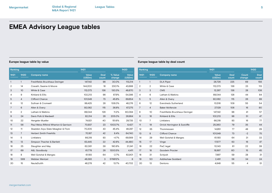| Ranking        |                 |                                       | 1H21            |                      |                   | <b>1H2O</b>     | Ranking        |                |                                | 1H21            |                |
|----------------|-----------------|---------------------------------------|-----------------|----------------------|-------------------|-----------------|----------------|----------------|--------------------------------|-----------------|----------------|
| 1H21           | <b>1H2O</b>     | <b>Company name</b>                   | Value<br>(USDm) | <b>Deal</b><br>count | % Value<br>change | Value<br>(USDm) | 1H21           | 1H2O           | <b>Company name</b>            | Value<br>(USDm) | De<br>cou      |
| $\mathbf{1}$   |                 | Freshfields Bruckhaus Deringer        | 147,142         | 98                   | 30.0%             | 113,214         |                | $\overline{1}$ | <b>DLA Piper</b>               | 28,726          | 2:             |
| 2              | 14              | Cravath, Swaine & Moore               | 144,200         | 18                   | 230.1%            | 43,688          | $\overline{2}$ | 2              | White & Case                   | 112,073         | 1.             |
| 3              | 10 <sup>°</sup> | White & Case                          | 112,073         | 136                  | 130.3%            | 48,670          | 3              | 3              | <b>CMS</b>                     | 12,267          | 1:             |
| 4              | 9               | Kirkland & Ellis                      | 102,213         | 98                   | 87.9%             | 54,386          | 4              | 6              | Latham & Watkins               | 89,044          | 1:             |
| 5              | 4               | Clifford Chance                       | 101,549         | 73                   | 45.8%             | 69,654          | 5              | 5              | Allen & Overy                  | 92,062          | $\overline{1}$ |
| 6              | 12              | Sullivan & Cromwell                   | 99,425          | 28                   | 106.0%            | 48,276          | 6              | 12             | <b>Eversheds Sutherland</b>    | 10,516          | 10             |
| $\overline{7}$ | 6               | Allen & Overy                         | 92,062          | 115                  | 36.8%             | 67,275          | $\overline{7}$ | $\overline{4}$ | <b>Baker McKenzie</b>          | 27,129          | 1 <sup>1</sup> |
| 8              | $\overline{2}$  | Latham & Watkins                      | 89,044          | 128                  | 11.2%             | 80,094          | 8              | 10             | Freshfields Bruckhaus Deringer | 147,142         |                |
| 9              | 24              | Davis Polk & Wardwell                 | 82,314          | 28                   | 205.0%            | 26,984          | 9              | 16             | Kirkland & Ellis               | 102,213         |                |
| 10             | 22              | Hengeler Mueller                      | 74,821          | 40                   | 151.6%            | 29,735          | 10             | $\overline{7}$ | Linklaters                     | 66,318          |                |
| 11             | 56              | Paul Weiss Rifkind Wharton & Garrison | 70,937          | 23                   | 1003.7%           | 6,427           | 11             | 19             | Orrick Herrington & Sutcliffe  | 25,360          |                |
| 12             | 11              | Skadden Arps Slate Meagher & Flom     | 70,205          | 43                   | 45.4%             | 48,287          | 12             | 35             | Thommessen                     | 14.951          |                |
| 13             | $\overline{7}$  | <b>Herbert Smith Freehills</b>        | 70,187          | 42                   | 8.4%              | 64,740          | 13             | 8              | <b>Clifford Chance</b>         | 101,549         |                |
| 14             | 5               | Linklaters                            | 66,318          | 93                   | $-4.7%$           | 69,569          | 14             | 29             | Weil Gotshal & Manges          | 61,193          |                |
| 15             | 13              | Simpson Thacher & Bartlett            | 63,445          | 22                   | 42.6%             | 44,480          | 15             | 17             | Vinge                          | 17,577          |                |
| 16             | 25              | Slaughter and May                     | 62,061          | 39                   | 190.8%            | 21,341          | 16             | 22             | PwC legal                      | 10,143          |                |
| 17             | 69              | A&L Goodbody                          | 61,778          | 28                   | 1300.5%           | 4,411           | 17             | 18             | <b>Goodwin Procter</b>         | 18,997          |                |
| 18             | 8               | Weil Gotshal & Manges                 | 61,193          | 64                   | $-2.7%$           | 62,901          | 18             | 31             | Schjodt                        | 7.997           |                |
| 19             | 569             | Webber Wentzel                        | 46,393          | 3                    | 579812%           | 8               | 19             | 50             | <b>Addleshaw Goddard</b>       | 2,491           |                |
| 20             | 15              | NautaDutilh                           | 46,278          | 42                   | 13.7%             | 40,702          | 20             | 13             | Dentons                        | 4,848           |                |

## <span id="page-4-0"></span>**Europe league table by value Europe league table by deal count**

| Ranking |                |                                | 1H21            |                      |                 | <b>1H2O</b>          |  |
|---------|----------------|--------------------------------|-----------------|----------------------|-----------------|----------------------|--|
| 1H21    | <b>1H2O</b>    | <b>Company name</b>            | Value<br>(USDm) | <b>Deal</b><br>count | Count<br>change | <b>Deal</b><br>count |  |
| 1       | $\mathbf{1}$   | <b>DLA Piper</b>               | 28,726          | 225                  | 69              | 156                  |  |
| 2       | $\overline{2}$ | White & Case                   | 112,073         | 136                  | 23              | 113                  |  |
| 3       | 3              | <b>CMS</b>                     | 12,267          | 136                  | 28              | 108                  |  |
| 4       | 6              | Latham & Watkins               | 89,044          | 128                  | 44              | 84                   |  |
| 5       | 5              | Allen & Overy                  | 92,062          | 115                  | 26              | 89                   |  |
| 6       | 12             | <b>Eversheds Sutherland</b>    | 10,516          | 109                  | 55              | 54                   |  |
| 7       | $\overline{4}$ | <b>Baker McKenzie</b>          | 27,129          | 106                  | 16              | 90                   |  |
| 8       | 10             | Freshfields Bruckhaus Deringer | 147,142         | 98                   | 41              | 57                   |  |
| 9       | 16             | Kirkland & Ellis               | 102,213         | 98                   | 51              | 47                   |  |
| 10      | $\overline{7}$ | Linklaters                     | 66,318          | 93                   | 16              | 77                   |  |
| 11      | 19             | Orrick Herrington & Sutcliffe  | 25,360          | 79                   | 35              | 44                   |  |
| 12      | 35             | Thommessen                     | 14,951          | 77                   | 48              | 29                   |  |
| 13      | 8              | Clifford Chance                | 101,549         | 73                   | $-2$            | 75                   |  |
| 14      | 29             | Weil Gotshal & Manges          | 61,193          | 64                   | 31              | 33                   |  |
| 15      | 17             | Vinge                          | 17,577          | 63                   | 16              | 47                   |  |
| 16      | 22             | PwC legal                      | 10,143          | 61                   | 22              | 39                   |  |
| 17      | 18             | Goodwin Procter                | 18,997          | 60                   | 15              | 45                   |  |
| 18      | 31             | Schjodt                        | 7,997           | 59                   | 28              | 31                   |  |
| 19      | 50             | <b>Addleshaw Goddard</b>       | 2,491           | 58                   | 34              | 24                   |  |
| 20      | 13             | Dentons                        | 4.848           | 55                   | 4               | 51                   |  |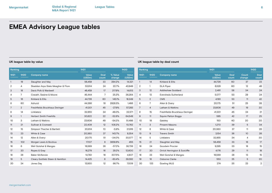[mergermarket.com](http://www.mergermarket.com/info/)

## **UK league table by value UK league table by deal count**

| Ranking        |                |                                   | 1H21            |                 |                   | <b>1H2O</b>     | Ranking        |                |                                | 1H21            |               |                 | <b>1H2O</b>          |
|----------------|----------------|-----------------------------------|-----------------|-----------------|-------------------|-----------------|----------------|----------------|--------------------------------|-----------------|---------------|-----------------|----------------------|
| 1H21           | <b>1H2O</b>    | <b>Company name</b>               | Value<br>(USDm) | Deal<br>count   | % Value<br>change | Value<br>(USDm) | 1H21           | <b>1H2O</b>    | <b>Company name</b>            | Value<br>(USDm) | Deal<br>count | Count<br>change | <b>Deal</b><br>count |
|                | 19             | Slaughter and May                 | 56,459          | 33              | 294.2%            | 14,321          |                | 14             | Kirkland & Ellis               | 44,726          | 60            | 37              | 23                   |
| $\overline{2}$ | 4              | Skadden Arps Slate Meagher & Flom | 53,914          | 24              | 22.7%             | 43,949          | $\overline{2}$ |                | <b>DLA Piper</b>               | 6,529           | 60            | 12              | 48                   |
| 3              | 18             | Davis Polk & Wardwell             | 46,459          | 17              | 217.9%            | 14,613          | 3              | 12             | <b>Addleshaw Goddard</b>       | 2,491           | 58            | 34              | 24                   |
| 4              | 7              | Cravath, Swaine & Moore           | 45,444          | $\overline{7}$  | 25.3%             | 36,264          | $\overline{4}$ | 13             | <b>Eversheds Sutherland</b>    | 5,077           | 53            | 29              | 24                   |
| 5              | 16             | Kirkland & Ellis                  | 44,726          | 60              | 145.1%            | 18,249          | 5              | 2              | <b>CMS</b>                     | 4,193           | 53            | 11              | 42                   |
| 6              | 60             | Ashurst                           | 44,366          | 19              | 2926.3%           | 1,466           | 6              | $\overline{7}$ | Allen & Overy                  | 20,175          | 51            | 25              | 26                   |
| 7              | $\overline{2}$ | Freshfields Bruckhaus Deringer    | 41,301          | 45              | $-27.9%$          | 57,283          | $\overline{7}$ | $\overline{4}$ | Latham & Watkins               | 23,606          | 49            | 19              | 30                   |
| 8              | 14             | Linklaters                        | 32,955          | 34              | 46.0%             | 22,571          | 8              | 15             | Freshfields Bruckhaus Deringer | 41,301          | 45            | 24              | 21                   |
| 9              |                | <b>Herbert Smith Freehills</b>    | 30,622          | 22              | $-52.6%$          | 64,549          | 9              | 11             | Squire Patton Boggs            | 585             | 42            | 17              | 25                   |
| 10             | 3              | Latham & Watkins                  | 23,606          | 49              | $-54.2%$          | 51,486          | 10             | 19             | Gateley                        | 150             | 40            | 20              | 20                   |
| 11             | 21             | Sullivan & Cromwell               | 22,409          | 12 <sup>°</sup> | 108.2%            | 10,762          | 11             | 3              | <b>Pinsent Masons</b>          | 1.270           | 39            | 5               | 34                   |
| 12             | 15             | Simpson Thacher & Bartlett        | 20,614          | 10 <sup>°</sup> | $-5.9%$           | 21,916          | 12             | 8              | White & Case                   | 20,360          | 37            | 11              | 26                   |
| 13             | 23             | White & Case                      | 20,360          | 37              | 143.7%            | 8,354           | 13             | 9              | <b>Travers Smith</b>           | 3,154           | 36            | 10 <sup>°</sup> | 26                   |
| 14             | 12             | Allen & Overy                     | 20,175          | 51              | $-34.0%$          | 30,577          | 14             | 5              | Linklaters                     | 32,955          | 34            | $\overline{4}$  | 30                   |
| 15             | 102            | Morgan Lewis & Bockius            | 17,107          | 8               | 3659.8%           | 455             | 15             | 21             | Slaughter and May              | 56,459          | 33            | 16              | 17                   |
| 16             | 6              | Weil Gotshal & Manges             | 16,569          | 28              | $-57.2%$          | 38,726          | 16             | 24             | Goodwin Procter                | 9,295           | 33            | 18              | 15                   |
| 17             | 20             | Ropes & Gray                      | 16,279          | 16              | 29.2%             | 12,600          | 17             | 20             | Orrick Herrington & Sutcliffe  | 4,176           | 29            | 11              | 18                   |
| 18             | 28             | <b>Baker McKenzie</b>             | 14,782          | 18              | 207.5%            | 4,807           | 18             | 23             | Weil Gotshal & Manges          | 16,569          | 28            | 13              | 15                   |
| 19             | 5              | Cleary Gottlieb Steen & Hamilton  | 14,425          | 6               | $-63.4%$          | 39,392          | 19             | 18             | Osborne Clarke                 | 553             | 25            | 5               | 20                   |
| 20             | 24             | Jones Day                         | 13,930          | 12              | 98.7%             | 7,009           | 20             | 133            | <b>Gowling WLG</b>             | 274             | 25            | 23              | $\overline{2}$       |
|                |                |                                   |                 |                 |                   |                 |                |                |                                |                 |               |                 |                      |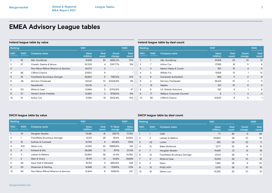## **Ireland league table by value**

| Ranking        |                          |                                       | 1H21            |                | 1H20            |                      |  |
|----------------|--------------------------|---------------------------------------|-----------------|----------------|-----------------|----------------------|--|
| 1H21           | <b>1H2O</b>              | <b>Company name</b>                   | Value<br>(USDm) | Deal<br>count  | Count<br>change | <b>Deal</b><br>count |  |
|                | 16                       | A&L Goodbody                          | 61,616          | 23             | 8652.3%         | 704                  |  |
| $\overline{2}$ | 37                       | Cravath, Swaine & Moore               | 52,233          | 4              | 37477.7%        | 139                  |  |
| 3              | $\overline{\phantom{0}}$ | Paul Weiss Rifkind Wharton & Garrison | 43.272          | $\overline{2}$ |                 |                      |  |
| 4              | 85                       | Clifford Chance                       | 37,630          | 6              | -               |                      |  |
| 5              | 19                       | Freshfields Bruckhaus Deringer        | 36,822          | 5              | 7587.3%         | 479                  |  |
| 6              | 39                       | McCann FitzGerald                     | 35,541          | 10             | 30538.8%        | 116                  |  |
| 7              | $\qquad \qquad -$        | <b>NautaDutilh</b>                    | 33,215          | $\overline{2}$ |                 |                      |  |
| 8              | 50                       | White & Case                          | 31.684          | 5              | 67312.8%        | 47                   |  |
| 9              | 27                       | <b>Herbert Smith Freehills</b>        | 31,280          | $\overline{2}$ | 9736.5%         | 318                  |  |
| 10             | 15                       | Arthur Cox                            | 27.165          | 19             | 3502.8%         | 754                  |  |

## **Ireland league table by deal count**

| Ranking        |                |                                  | 1H21            |                 | <b>1H2O</b>     |                      |  |
|----------------|----------------|----------------------------------|-----------------|-----------------|-----------------|----------------------|--|
| 1H21           | <b>1H2O</b>    | <b>Company name</b>              | Value<br>(USDm) | Deal<br>count   | Count<br>change | <b>Deal</b><br>count |  |
| 1              | 1              | A&L Goodbody                     | 61,616          | 23              | 10              | 13                   |  |
| $\overline{2}$ | 7              | Arthur Cox                       | 27,165          | 19              | 11              | 8                    |  |
| 3              | $\overline{4}$ | Mason Hayes & Curran             | 921             | 15              | $\overline{4}$  | 11                   |  |
| 4              | $\overline{2}$ | William Fry                      | 8,558           | 13              | 1               | 12                   |  |
| 5              | 6              | Eversheds Sutherland             | 469             | 11              | $\overline{2}$  | 9                    |  |
| 6              | 3              | McCann FitzGerald                | 35,541          | 10              | $-1$            | 11                   |  |
| 7              | 15             | Maples                           | 321             | 10 <sup>°</sup> | 6               | $\overline{4}$       |  |
| 8              | 8              | <b>LK Shields Solicitors</b>     | 130             | 9               | 1               | 8                    |  |
| 9              | 17             | <b>Wallace Corporate Counsel</b> | 8               | 7               | 3               | $\overline{4}$       |  |
| 10             | 85             | <b>Clifford Chance</b>           | 37,630          | 6               | 5               | 1                    |  |

| Ranking      |                 |                                       | 1H21                   |               | 1H20              |                        |
|--------------|-----------------|---------------------------------------|------------------------|---------------|-------------------|------------------------|
| 1H21         | 1H20            | <b>Company name</b>                   | <b>Value</b><br>(USDm) | Deal<br>count | % Value<br>change | <b>Value</b><br>(USDm) |
| $\mathbf{1}$ | 10 <sup>°</sup> | Hengeler Mueller                      | 74,491                 | 31            | 319.7%            | 17,750                 |
| 2            | 1               | Freshfields Bruckhaus Deringer        | 47,211                 | 28            | 39.2%             | 33,922                 |
| 3            | 15              | Sullivan & Cromwell                   | 41.763                 | 6             | 423.6%            | 7,976                  |
| 4            | 100             | Gleiss Lutz                           | 41,255                 | 25            | 18999.5%          | 216                    |
| 5            | 6               | Kirkland & Ellis                      | 36,298                 | 12            | 67.1%             | 21,724                 |
| 6            | 11              | Latham & Watkins                      | 23.850                 | 38            | 61.4%             | 14,780                 |
| 7            | 3               | Allen & Overy                         | 16,761                 | 21            | $-43.8%$          | 29,838                 |
| 8            | 84              | Davis Polk & Wardwell                 | 16.743                 | 5             | 4853.6%           | 338                    |
| 9            | 53              | Shearman & Sterling                   | 14,846                 | 13            | 1219.6%           | 1,125                  |
| 10           | 94              | Paul Weiss Rifkind Wharton & Garrison | 12.844                 | 6             | 5558.1%           | 227                    |

## **DACH league table by value DACH league table by deal count**

| Ranking        |                |                                | 1H21                   |                      | 1H <sub>20</sub> |                      |
|----------------|----------------|--------------------------------|------------------------|----------------------|------------------|----------------------|
| 1H21           | 1H20           | <b>Company name</b>            | <b>Value</b><br>(USDm) | <b>Deal</b><br>count | Count<br>change  | <b>Deal</b><br>count |
| 1              | 1              | <b>CMS</b>                     | 77                     | 45                   | $-4$             | 49                   |
| $\overline{2}$ | 4              | Latham & Watkins               | 23,850                 | 38                   | 10               | 28                   |
| 3              | 23             | Luther                         | 282                    | 34                   | 23               | 11                   |
| 4              | 12             | Baker McKenzie                 | 7.277                  | 32                   | 14               | 18                   |
| 5              | $\overline{7}$ | Hengeler Mueller               | 74,491                 | 31                   | 12               | 19                   |
| 6              | 14             | Freshfields Bruckhaus Deringer | 47,211                 | 28                   | 11               | 17                   |
| 7              | 11             | White & Case                   | 10,514                 | 28                   | 10               | 18                   |
| 8              | 3              | Noerr                          | 7,492                  | 28                   | $-4$             | 32                   |
| 9              | 13             | <b>POELLATH</b>                | 2,313                  | 28                   | 10 <sup>°</sup>  | 18                   |
| 10             | 18             | Gleiss Lutz                    | 41,255                 | 25                   | 10               | 15                   |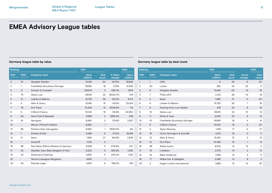| Ranking                   |                          |                                       | 1H21            |                      |                          | <b>1H2O</b>              | Ranking        |                |                                | 1H21            |                      |
|---------------------------|--------------------------|---------------------------------------|-----------------|----------------------|--------------------------|--------------------------|----------------|----------------|--------------------------------|-----------------|----------------------|
| 1H21                      | <b>1H2O</b>              | <b>Company name</b>                   | Value<br>(USDm) | <b>Deal</b><br>count | % Value<br>change        | Value<br>(USDm)          | 1H21           | <b>1H2O</b>    | <b>Company name</b>            | Value<br>(USDm) | <b>Deal</b><br>count |
| $\ensuremath{\mathsf{3}}$ | 10 <sup>°</sup>          | Hengeler Mueller                      | 74,491          | 30                   | 347.5%                   | 16,645                   | $\mathbf{1}$   |                | <b>CMS</b>                     | 8               | 35                   |
| $\sqrt{2}$                |                          | Freshfields Bruckhaus Deringer        | 39,991          | 18                   | 27.9%                    | 31,258                   | $\overline{2}$ | 20             | Luther                         | 282             | 34                   |
| $\ensuremath{\mathsf{3}}$ | 11                       | Sullivan & Cromwell                   | 39,504          | 5                    | 395.3%                   | 7,976                    | 3              | 8              | Hengeler Mueller               | 74,491          | 30                   |
| 4                         | 75                       | Gleiss Lutz                           | 39,145          | 23                   | 18022.7%                 | 216                      | $\overline{4}$ | $\overline{7}$ | POELLATH                       | 2,313           | 28                   |
| 5                         | 12                       | Latham & Watkins                      | 15,725          | 26                   | 134.2%                   | 6,713                    | 5              | 2              | Noerr                          | 7.492           | 27                   |
| 6                         | 4                        | Allen & Overy                         | 15,461          | 15                   | $-34.0%$                 | 23,424                   | 6              | 6              | Latham & Watkins               | 15,725          | 26                   |
| $\overline{7}$            | 79                       | <b>DLA Piper</b>                      | 10,426          | 15                   | 9045.6%                  | 114                      | $\overline{7}$ | 9              | Heuking Kuhn Luer Wojtek       | 476             | 24                   |
| 8                         | 5                        | Clifford Chance                       | 10,140          | 18                   | $-55.6%$                 | 22,850                   | 8              | 15             | Gleiss Lutz                    | 39,145          | 23                   |
| 9                         | 54                       | Davis Polk & Wardwell                 | 9,989           | $\overline{2}$       | 2855.3%                  | 338                      | 9              | 11             | White & Case                   | 3,025           | 22                   |
| 10                        | 19                       | Garrigues                             | 9,380           | 2                    | 179.4%                   | 3,357                    | 10             | 10             | Freshfields Bruckhaus Deringer | 39,991          | 18                   |
| $11 =$                    | $\overline{\phantom{0}}$ | Marval, O'Farrell & Mairal            | 9,380           | $\mathbf{1}$         | $\overline{\phantom{a}}$ | $\overline{\phantom{a}}$ | 11             | 5              | Clifford Chance                | 10,140          | 18                   |
| $11 =$                    | 89                       | Pinheiro Neto Advogados               | 9,380           | $\mathbf{1}$         | 11625.0%                 | 80                       | 12             | 4              | <b>Taylor Wessing</b>          | 1,419           | 17                   |
| 13                        | $\overline{7}$           | Kirkland & Ellis                      | 8,289           | 5                    | $-57.0%$                 | 19,288                   | 13             | 19             | Orrick Herrington & Sutcliffe  | 4,312           | 16                   |
| 14                        | 21                       | Noerr                                 | 7,492           | 27                   | 164.9%                   | 2,828                    | 14             | 13             | Allen & Overy                  | 15,461          | 15                   |
| 15                        | $\overline{\phantom{0}}$ | Houthoff                              | 7,031           | $\overline{4}$       | $\overline{\phantom{a}}$ | $\overline{\phantom{a}}$ | 15             | 12             | <b>DLA Piper</b>               | 10,426          | 15                   |
| 16                        | 66                       | Paul Weiss Rifkind Wharton & Garrison | 6,399           | 3                    | 2718.9%                  | 227                      | 16             | 88             | <b>Sidley Austin</b>           | 4,033           | 14                   |
| 17                        | 35                       | Skadden Arps Slate Meagher & Flom     | 5,202           | 5                    | 380.8%                   | 1,082                    | 17             | 16             | Linklaters                     | 2,279           | 14                   |
| 18                        | 34                       | Shearman & Sterling                   | 4,952           | 11                   | 340.2%                   | 1,125                    | 18             | 18             | <b>Baker McKenzie</b>          | 1,559           | 14                   |
| 19                        | $\overline{\phantom{0}}$ | Tanoira Cassagne Abogados             | 4,691           | $\mathbf{1}$         | $\overline{\phantom{a}}$ | $\overline{\phantom{a}}$ | 19             | 71             | Willkie Farr & Gallagher       | 3,386           | 12                   |
| 20                        | 44                       | Deloitte Legal                        | 4,587           | 5                    | 789.0%                   | 516                      | 20             | 3              | Hogan Lovells International    | 1.899           | 12                   |

### **Germany league table by value Germany league table by deal count**

| Ranking |                |                                | 1H21                   |               |                 | <b>1H2O</b>          |
|---------|----------------|--------------------------------|------------------------|---------------|-----------------|----------------------|
| 1H21    | <b>1H2O</b>    | <b>Company name</b>            | <b>Value</b><br>(USDm) | Deal<br>count | Count<br>change | <b>Deal</b><br>count |
| 1       | $\mathbf{1}$   | <b>CMS</b>                     | 8                      | 35            | $-5$            | 40                   |
| 2       | 20             | Luther                         | 282                    | 34            | 23              | 11                   |
| 3       | 8              | Hengeler Mueller               | 74,491                 | 30            | 14              | 16                   |
| 4       | $\overline{7}$ | <b>POELLATH</b>                | 2,313                  | 28            | 10 <sup>°</sup> | 18                   |
| 5       | $\overline{2}$ | Noerr                          | 7,492                  | 27            | -3              | 30                   |
| 6       | 6              | Latham & Watkins               | 15,725                 | 26            | $\overline{7}$  | 19                   |
| 7       | 9              | Heuking Kuhn Luer Wojtek       | 476                    | 24            | 8               | 16                   |
| 8       | 15             | Gleiss Lutz                    | 39,145                 | 23            | 10 <sup>°</sup> | 13                   |
| 9       | 11             | White & Case                   | 3,025                  | 22            | 8               | 14                   |
| 10      | 10             | Freshfields Bruckhaus Deringer | 39,991                 | 18            | $\overline{4}$  | 14                   |
| 11      | 5              | <b>Clifford Chance</b>         | 10,140                 | 18            | $-2$            | 20                   |
| 12      | 4              | <b>Taylor Wessing</b>          | 1,419                  | 17            | $-4$            | 21                   |
| 13      | 19             | Orrick Herrington & Sutcliffe  | 4,312                  | 16            | 5               | 11                   |
| 14      | 13             | Allen & Overy                  | 15,461                 | 15            | $\overline{2}$  | 13                   |
| 15      | 12             | <b>DLA Piper</b>               | 10,426                 | 15            | $\mathbf{1}$    | 14                   |
| 16      | 88             | <b>Sidley Austin</b>           | 4,033                  | 14            | 12              | $\mathbf{2}$         |
| 17      | 16             | Linklaters                     | 2,279                  | 14            | 2               | 12                   |
| 18      | 18             | <b>Baker McKenzie</b>          | 1,559                  | 14            | 3               | 11                   |
| 19      | 71             | Willkie Farr & Gallagher       | 3,386                  | 12            | 9               | 3                    |
| 20      | 3              | Hogan Lovells International    | 1.899                  | 12            | $-13$           | 25                   |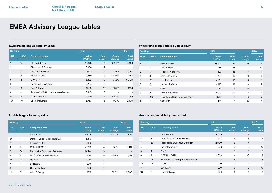| Ranking |                          |                                       |                        |                | <b>1H2O</b>     |                      |
|---------|--------------------------|---------------------------------------|------------------------|----------------|-----------------|----------------------|
| 1H21    | <b>1H2O</b>              | <b>Company name</b>                   | <b>Value</b><br>(USDm) | Deal<br>count  | Count<br>change | <b>Deal</b><br>count |
|         | 16                       | Kirkland & Ellis                      | 22,823                 | 6              | 836.9%          | 2,436                |
| 2       | $\overline{\phantom{a}}$ | Shearman & Sterling                   | 9.894                  | 2              |                 |                      |
| 3       | $\overline{2}$           | Latham & Watkins                      | 8,125                  | 12             | 0.7%            | 8,067                |
| 4       | 21                       | White & Case                          | 7,489                  | 5              | 290.7%          | 1,917                |
| 5       | $\overline{4}$           | Linklaters                            | 6,892                  | $\overline{7}$ | 37.8%           | 5,000                |
| 6       | $\overline{\phantom{a}}$ | Davis Polk & Wardwell                 | 6.754                  | 3              |                 |                      |
| 7       | 9                        | Baer & Karrer                         | 6,508                  | 18             | 56.7%           | 4,154                |
| 8       | $\overline{\phantom{a}}$ | Paul Weiss Rifkind Wharton & Garrison | 6,445                  | 3              |                 |                      |
| 9       | 35                       | AZB & Partners                        | 5,849                  | 3              | 876.5%          | 599                  |
| 10      | 10                       | Baker McKenzie                        | 5,753                  | 16             | 99.1%           | 2.890                |

## **Switzerland league table by value Switzerland league table by deal count**

| Ranking      |                |                                |                        | 1H21                 |                 |                      |
|--------------|----------------|--------------------------------|------------------------|----------------------|-----------------|----------------------|
| 1H21         | <b>1H2O</b>    | <b>Company name</b>            | <b>Value</b><br>(USDm) | <b>Deal</b><br>count | Count<br>change | <b>Deal</b><br>count |
| $\mathbf{1}$ | $\mathbf{1}$   | Baer & Karrer                  | 6,508                  | 18                   | $\circ$         | 18                   |
| 2            | $\overline{4}$ | <b>Walder Wyss</b>             | 488                    | 18                   | 8               | 10                   |
| 3            | 3              | Niederer Kraft Frey            | 327                    | 18                   | 7               | 11                   |
| 4            | 6              | Baker McKenzie                 | 5,753                  | 16                   | 8               | 8                    |
| 5            | 13             | Homburger                      | 4,321                  | 13                   | 8               | 5                    |
| 6            | 5              | Latham & Watkins               | 8,125                  | 12                   | 3               | 9                    |
| 7            | $\overline{2}$ | <b>CMS</b>                     | 69                     | 11                   | $-1$            | 12                   |
| 8            | 9              | Lenz & Staehelin               | 5.730                  | 10                   | $\overline{4}$  | 6                    |
| 9            | 29             | Freshfields Bruckhaus Deringer | 5,533                  | 8                    | 6               | $\overline{2}$       |
| 10           | 7              | <b>VISCHER</b>                 | 128                    | 8                    | O               | 8                    |

| Ranking      |                |                                 |                        |                      |                 | <b>1H2O</b>          |  |
|--------------|----------------|---------------------------------|------------------------|----------------------|-----------------|----------------------|--|
| 1H21         | <b>1H2O</b>    | <b>Company name</b>             | <b>Value</b><br>(USDm) | <b>Deal</b><br>count | Count<br>change | <b>Deal</b><br>count |  |
| $\mathbf{1}$ |                | Schoenherr                      | 6,676                  | 13                   | $-21.0%$        | 8,449                |  |
| $2=$         |                | Doralt - Seist - Csoklich (DSC) | 5,186                  | 1                    |                 |                      |  |
| $2 =$        |                | Kirkland & Ellis                | 5,186                  | 1                    |                 |                      |  |
| 4            | $\overline{2}$ | <b>CERHA HEMPEL</b>             | 4,028                  | 4                    | $-52.1%$        | 8,414                |  |
| 5            | 36             | Freshfields Bruckhaus Deringer  | 2,090                  | 5                    | ۰               |                      |  |
| 6            | 6              | Wolf Theiss Rechtsanwaelte      | 947                    | 9                    | $-37.6%$        | 1,518                |  |
| $7=$         | 22             | <b>DORDA</b>                    | 920                    | 3                    |                 |                      |  |
| $7=$         |                | Linklaters                      | 920                    | 3                    |                 |                      |  |
| 9            |                | Greenlake Legal                 | 920                    | 1                    |                 |                      |  |
| 10           | 3              | Allen & Overy                   | 875                    | $\mathbf{2}$         | $-88.0%$        | 7,309                |  |

## **Austria league table by value Austria league table by deal count**

| Ranking        |                |                                  |                          | 1H21                 |                 |                      |
|----------------|----------------|----------------------------------|--------------------------|----------------------|-----------------|----------------------|
| 1H21           | 1H20           | <b>Company name</b>              | <b>Value</b><br>(USDm)   | <b>Deal</b><br>count | Count<br>change | <b>Deal</b><br>count |
| 1              | 1              | Schoenherr                       | 6,676                    | 13                   | $\overline{2}$  | 11                   |
| $\overline{2}$ | 3              | Wolf Theiss Rechtsanwaelte       | 947                      | 9                    | 3               | 6                    |
| 3              | 36             | Freshfields Bruckhaus Deringer   | 2,090                    | 5                    | $\overline{4}$  |                      |
| 4              | -              | <b>Baker McKenzie</b>            | 743                      | 5                    | 5               | O                    |
| 5              | $\overline{4}$ | <b>CMS</b>                       | $\overline{\phantom{0}}$ | 5                    | $-1$            | 6                    |
| 6              | $\overline{2}$ | <b>CERHA HEMPEL</b>              | 4,028                    | 4                    | $-3$            | 7 <sup>1</sup>       |
| $\overline{7}$ | 12             | Binder Groesswang Rechtsanwaelte | 22                       | $\overline{4}$       | $\overline{2}$  | $\overline{2}$       |
| $8=$           | 13             | <b>DORDA</b>                     | 920                      | 3                    | 1               | 2                    |
| $8=$           | ۰              | Linklaters                       | 920                      | 3                    | 3               | $\circ$              |
| 10             | 11             | Herbst Kinsky                    | 244                      | 3                    | 1               | $\overline{2}$       |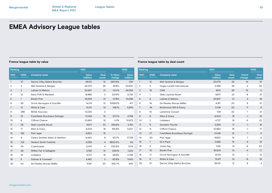## **France league table by value France league table by deal count**

|                | Ranking         |                                  | 1H21            | <b>1H2O</b>          |                          |                          | Ranking          |                 |                                 | 1H21            |                      |                 | 1H20                 |  |
|----------------|-----------------|----------------------------------|-----------------|----------------------|--------------------------|--------------------------|------------------|-----------------|---------------------------------|-----------------|----------------------|-----------------|----------------------|--|
| 1H21           | <b>1H2O</b>     | <b>Company name</b>              | Value<br>(USDm) | <b>Deal</b><br>count | % Value<br>change        | Value<br>(USDm)          | 1H21             | 1H20            | <b>Company name</b>             | Value<br>(USDm) | <b>Deal</b><br>count | Count<br>change | <b>Deal</b><br>count |  |
|                | 37              | Darrois Villey Maillot Brochier  | 36,110          | 12                   | 2931.9%                  | 1,191                    |                  | 12              | Weil Gotshal & Manges           | 33,075          | 29                   | 14              | 15                   |  |
| $\overline{2}$ | 3               | Weil Gotshal & Manges            | 33,075          | 29                   | 46.8%                    | 22,530                   | 2                | 3               | Hogan Lovells International     | 2,368           | 26                   | 3               | 23                   |  |
| 3              | $\overline{2}$  | Latham & Watkins                 | 20,937          | 21                   | $-13.0%$                 | 24,055                   | 3                | 18              | <b>CMS</b>                      | 600             | 26                   | 15              | 11                   |  |
| 4              | 13              | Davis Polk & Wardwell            | 18,986          | 3                    | 231.6%                   | 5,725                    | 4                |                 | Gide Loyrette Nouel             | 9,671           | 23                   | -8              | 31                   |  |
| 5              |                 | <b>Bredin Prat</b>               | 16,209          | 13                   | $-47.9%$                 | 31,098                   | 5                | 8               | Latham & Watkins                | 20,937          | 21                   | 3               | 18                   |  |
| 6              | 65              | Orrick Herrington & Sutcliffe    | 14,174          | 13                   | 3299.0%                  | 417                      | 6                | 16              | De Pardieu Brocas Maffei        | 4,197           | 20                   | 8               | 12                   |  |
| $\overline{7}$ | 12 <sup>2</sup> | White & Case                     | 13,311          | 13                   | 128.1%                   | 5,835                    | 7                | 24              | McDermott Will & Emery          | 2,018           | 20                   | 11              | 9                    |  |
| 8              | 266             | <b>BDGS Associes</b>             | 13,025          | 3                    | $\overline{\phantom{a}}$ |                          | 8                | 15              | <b>Lamartine Conseil</b>        | 108             | 20                   | $\overline{7}$  | 13                   |  |
| 9              | 16              | Freshfields Bruckhaus Deringer   | 11,048          | 15                   | 131.7%                   | 4,768                    | 9                | 6               | Allen & Overy                   | 8,203           | 18                   | $-1$            | 19                   |  |
| 10             | 6               | Clifford Chance                  | 10,863          | 16                   | $-1.0%$                  | 10,972                   | 10               | $\overline{2}$  | Linklaters                      | 4,727           | 18                   | -5              | 23                   |  |
| 11             | 26              | <b>Gide Loyrette Nouel</b>       | 9,671           | 23                   | 294.6%                   | 2,451                    | 11               | 9               | <b>Goodwin Procter</b>          | 2,556           | 17                   | $-1$            | 18                   |  |
| 12             | 17              | Allen & Overy                    | 8,203           | 18                   | 155.8%                   | 3,207                    | 12               | 11              | Clifford Chance                 | 10,863          | 16                   | $-1$            | 17                   |  |
| 13             | 192             | PwC legal                        | 6,920           | 15                   | $\overline{\phantom{a}}$ | $\overline{\phantom{a}}$ | 13               | 27              | Freshfields Bruckhaus Deringer  | 11,048          | 15                   | $\overline{7}$  | 8                    |  |
| 14             | 4               | Cleary Gottlieb Steen & Hamilton | 6,440           | 6                    | $-63.7%$                 | 17,728                   | 14               | 30              | PwC legal                       | 6,920           | 15                   | $\overline{7}$  | 8                    |  |
| 15             | 122             | <b>Herbert Smith Freehills</b>   | 6,256           | 4                    | 9830.2%                  | 63                       | 15 <sup>15</sup> | 7               | <b>DLA Piper</b>                | 2,685           | 15 <sup>15</sup>     | $-4$            | 19                   |  |
| 16             | 29              | Cuatrecasas                      | 5,051           | 4                    | 220.9%                   | 1,574                    | 16               | 4               | Jones Day                       | 1.145           | 14                   | $-6$            | 20                   |  |
| 17             | 36              | Willkie Farr & Gallagher         | 4,783           | 12                   | 259.1%                   | 1,332                    | 17               | 10 <sup>°</sup> | <b>Bredin Prat</b>              | 16,209          | 13                   | $-4$            | 17                   |  |
| 18             | 19              | Linklaters                       | 4,727           | 18                   | 68.9%                    | 2,798                    | 18               | 17              | Orrick Herrington & Sutcliffe   | 14,174          | 13                   |                 | 12                   |  |
| 19             | 5               | Sullivan & Cromwell              | 4,452           | 3                    | $-62.6%$                 | 11,913                   | 19               | 5               | White & Case                    | 13,311          | 13                   | $-6$            | 19                   |  |
| 20             | 54              | De Pardieu Brocas Maffei         | 4,197           | 20                   | 552.7%                   | 643                      | 20               | 51              | Darrois Villey Maillot Brochier | 36,110          | 12                   | 8               | $\overline{4}$       |  |
|                |                 |                                  |                 |                      |                          |                          |                  |                 |                                 |                 |                      |                 |                      |  |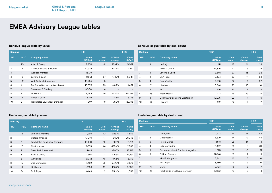| Ranking |                          |                                | 1H21                   | <b>1H2O</b>          |                   |                 |
|---------|--------------------------|--------------------------------|------------------------|----------------------|-------------------|-----------------|
| 1H21    | <b>1H2O</b>              | <b>Company name</b>            | <b>Value</b><br>(USDm) | <b>Deal</b><br>count | % Value<br>change | Value<br>(USDm) |
|         | 20                       | Allen & Overy                  | 51,876                 | 41                   | 929.9%            | 5,037           |
| 2       | 14                       | Cravath, Swaine & Moore        | 47,939                 | 2                    | 571.4%            | 7,140           |
| 3       | $\overline{\phantom{0}}$ | Webber Wentzel                 | 46,139                 | 1                    |                   |                 |
| 4       | 19                       | Loyens & Loeff                 | 12,601                 | 37                   | 149.7%            | 5,047           |
| 5       | 139                      | Weil Gotshal & Manges          | 10,265                 | 6                    |                   |                 |
| 6       | 4                        | De Brauw Blackstone Westbroek  | 10,075                 | 23                   | $-48.2%$          | 19,457          |
| 7       | $\overline{\phantom{a}}$ | Shearman & Sterling            | 9,000                  | $\overline{4}$       |                   |                 |
| 8       | 7                        | Linklaters                     | 8,644                  | 26                   | $-33.5%$          | 13,008          |
| 9       | 18                       | White & Case                   | 8,321                  | 13                   | 22.8%             | 6,778           |
| 10      | $\overline{2}$           | Freshfields Bruckhaus Deringer | 4,397                  | 18                   | $-78.2%$          | 20,185          |

## **Benelux league table by value Benelux league table by deal count**

| Ranking        |                |                               |                        |                      |                 | 1H2O                 |
|----------------|----------------|-------------------------------|------------------------|----------------------|-----------------|----------------------|
| 1H21           | 1H2O           | <b>Company name</b>           | <b>Value</b><br>(USDm) | <b>Deal</b><br>count | Count<br>change | <b>Deal</b><br>count |
| $\mathbf{1}$   | 3              | deBreij                       | 111                    | 48                   | 24              | 24                   |
| 2              | 1              | Allen & Overy                 | 51,876                 | 41                   | 6               | 35                   |
| 3              | 5              | Loyens & Loeff                | 12,601                 | 37                   | 15              | 22                   |
| $\overline{4}$ | $\overline{2}$ | <b>DLA Piper</b>              | 2,434                  | 35                   | 11              | 24                   |
| 5              | $\overline{4}$ | <b>NautaDutilh</b>            | 3,288                  | 32                   | 10 <sup>°</sup> | 22                   |
| 6              | 17             | Linklaters                    | 8,644                  | 26                   | 16              | 10                   |
| 7              | 6              | <b>AKD</b>                    | 376                    | 25                   | 7               | 18                   |
| 8              | 23             | Ingen Housz                   | 214                    | 25                   | 19              | 6                    |
| 9              | 8              | De Brauw Blackstone Westbroek | 10,075                 | 23                   | 7               | 16                   |
| 10             | 16             | Lexence                       | 162                    | 22                   | 10              | 12                   |

| Ranking        |                |                                |                        |                      | 1H20              |                        |
|----------------|----------------|--------------------------------|------------------------|----------------------|-------------------|------------------------|
| 1H21           | <b>1H2O</b>    | <b>Company name</b>            | <b>Value</b><br>(USDm) | <b>Deal</b><br>count | % Value<br>change | <b>Value</b><br>(USDm) |
|                | 12             | Latham & Watkins               | 17,265                 | 10 <sup>2</sup>      | 253.1%            | 4,889                  |
| $\overline{2}$ |                | Clifford Chance                | 17,046                 | 17                   | $-36.7%$          | 26,946                 |
| 3              | 7              | Freshfields Bruckhaus Deringer | 15,680                 | 13                   | 39.6%             | 11,231                 |
| $\overline{4}$ | 17             | Cuatrecasas                    | 15,379                 | 44                   | 495.4%            | 2,583                  |
| 5              | $\overline{2}$ | Davis Polk & Wardwell          | 14,614                 | 3                    | $-20.7%$          | 18,418                 |
| 6              | 3              | Allen & Overy                  | 12,657                 | 12                   | $-15.3%$          | 14,951                 |
| 7              | 8              | Garrigues                      | 12,372                 | 46                   | 101.5%            | 6,139                  |
| 8              | 15             | Uria Menendez                  | 11.482                 | 26                   | 247.9%            | 3,300                  |
| 9              | 13             | Linklaters                     | 10,138                 | 10                   | 166.2%            | 3,808                  |
| 10             | 34             | <b>DLA Piper</b>               | 10.018                 | 12                   | 851.4%            | 1,053                  |

## **Iberia league table by value Iberia league table by deal count**

| Ranking        |                  |                                | 1H21            |               | <b>1H2O</b>     |                      |  |
|----------------|------------------|--------------------------------|-----------------|---------------|-----------------|----------------------|--|
| 1H21           | 1H <sub>20</sub> | <b>Company name</b>            | Value<br>(USDm) | Deal<br>count | Count<br>change | <b>Deal</b><br>count |  |
|                | 1                | Garrigues                      | 12,372          | 46            | $-8$            | 54                   |  |
| $\overline{2}$ | $\overline{2}$   | Cuatrecasas                    | 15,379          | 44            | $-2$            | 46                   |  |
| 3              | 6                | Perez-Llorca                   | 4,818           | 28            | 14              | 14                   |  |
| 4              | 4                | Uria Menendez                  | 11,482          | 26            | 6               | 20                   |  |
| 5              | 3                | Gomez-Acebo & Pombo Abogados   | 1,525           | 18            | $-3$            | 21                   |  |
| 6              | 5                | <b>Clifford Chance</b>         | 17,046          | 17            | $\overline{2}$  | 15                   |  |
| 7              | 12               | <b>KPMG Abogados</b>           | 3,842           | 16            | 6               | 10 <sup>°</sup>      |  |
| 8              | 11               | PwC legal                      | 8,689           | 15            | 5               | 10 <sup>°</sup>      |  |
| 9              | 16               | <b>CMS</b>                     | 2,423           | 15            | 8               | 7                    |  |
| 10             | 21               | Freshfields Bruckhaus Deringer | 15,680          | 13            | 9               | 4                    |  |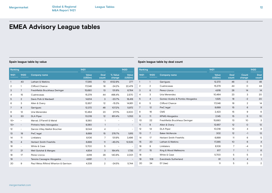| Ranking        |                          |                                       | 1H21                   |               |                          | <b>1H2O</b>              | Ranking        |                          |                                |
|----------------|--------------------------|---------------------------------------|------------------------|---------------|--------------------------|--------------------------|----------------|--------------------------|--------------------------------|
| 1H21           | <b>1H2O</b>              | <b>Company name</b>                   | <b>Value</b><br>(USDm) | Deal<br>count | % Value<br>change        | <b>Value</b><br>(USDm)   | 1H21           | <b>1H2O</b>              | <b>Company name</b>            |
|                | 40                       | Latham & Watkins                      | 17,265                 | 10            | 6132.9%                  | 277                      | $\mathbf{1}$   | $\mathbf{1}$             | Garrigues                      |
| $\overline{2}$ | 1                        | Clifford Chance                       | 17,046                 | 16            | $-24.2%$                 | 22,479                   | $\overline{2}$ | 2                        | Cuatrecasas                    |
| 3              | $\overline{7}$           | Freshfields Bruckhaus Deringer        | 15,680                 | 13            | 131.8%                   | 6,764                    | 3              | 6                        | Perez-Llorca                   |
| 4              | 15                       | Cuatrecasas                           | 15,379                 | 44            | 498.4%                   | 2,570                    | 4              | 3                        | Uria Menendez                  |
| 5              | $\overline{2}$           | Davis Polk & Wardwell                 | 14.614                 | 3             | $-20.7%$                 | 18,418                   | 5              | $\overline{4}$           | Gomez-Acebo & Pombo Abogados   |
| 6              | 3                        | Allen & Overy                         | 12,657                 | 12            | $-15.3%$                 | 14,951                   | 6              | 5                        | Clifford Chance                |
| 7              | 8                        | Garrigues                             | 12,372                 | 46            | 107.2%                   | 5,972                    | $\overline{7}$ | 12                       | PwC legal                      |
| 8              | 12                       | Uria Menendez                         | 10,464                 | 23            | 217.1%                   | 3,300                    | 8              | 16                       | <b>CMS</b>                     |
| 9              | 30                       | <b>DLA Piper</b>                      | 10,018                 | 12            | 851.4%                   | 1,053                    | 9              | 11                       | <b>KPMG Abogados</b>           |
| $10=$          | Ξ.                       | Marval, O'Farrell & Mairal            | 9,380                  | 1             | $\overline{\phantom{a}}$ | $\overline{\phantom{a}}$ | 10             | 22                       | Freshfields Bruckhaus Deringer |
| $10 =$         | $\overline{\phantom{0}}$ | Pinheiro Neto Advogados               | 9,380                  | $\mathbf{1}$  | $\overline{\phantom{a}}$ | $\overline{\phantom{a}}$ | 11             | 8                        | Allen & Overy                  |
| 12             | $\overline{\phantom{0}}$ | Darrois Villey Maillot Brochier       | 9,044                  | 4             | $\overline{a}$           | $\overline{\phantom{a}}$ | 12             | 14                       | <b>DLA Piper</b>               |
| 13             | 19                       | PwC legal                             | 8,689                  | 15            | 378.7%                   | 1,815                    | 13             | $\overline{7}$           | <b>Baker McKenzie</b>          |
| 14             | 11                       | Linklaters                            | 8,106                  | 7             | 131.9%                   | 3,496                    | 14             | 17                       | <b>Herbert Smith Freehills</b> |
| 15             | 4                        | <b>Herbert Smith Freehills</b>        | 6,899                  | 11            | $-45.0%$                 | 12,535                   | 15             | 20                       | Latham & Watkins               |
| 16             | $\overline{\phantom{0}}$ | White & Case                          | 5,700                  | 5             | $\overline{a}$           | $\overline{a}$           | 16             | 9                        | Linklaters                     |
| 17             | 21                       | Weil Gotshal & Manges                 | 4,934                  | 3             | 184.4%                   | 1,735                    | 17             | 15                       | King & Wood Mallesons          |
| 18             | 17                       | Perez-Llorca                          | 4,818                  | 28            | 140.8%                   | 2,001                    | 18             | $\overline{\phantom{a}}$ | White & Case                   |
| 19             | $\overline{\phantom{0}}$ | Tanoira Cassagne Abogados             | 4,691                  | $\mathbf{1}$  | $\overline{\phantom{a}}$ | $\overline{\phantom{a}}$ | 19             | 108                      | <b>Eversheds Sutherland</b>    |
| 20             | 9                        | Paul Weiss Rifkind Wharton & Garrison | 4,338                  | 2             | $-24.5%$                 | 5.744                    | 20             | 34                       | EY (law)                       |

## **Spain league table by value Spain league table by deal count**

| Ranking        |                          |                                | 1H21            |                      |                 | <b>1H2O</b>          |
|----------------|--------------------------|--------------------------------|-----------------|----------------------|-----------------|----------------------|
| 1H21           | <b>1H2O</b>              | <b>Company name</b>            | Value<br>(USDm) | <b>Deal</b><br>count | Count<br>change | <b>Deal</b><br>count |
| $\mathbf{1}$   | $\mathbf{1}$             | Garrigues                      | 12,372          | 46                   | $-2$            | 48                   |
| $\overline{2}$ | $\overline{2}$           | Cuatrecasas                    | 15,379          | 44                   | $\circ$         | 44                   |
| 3              | 6                        | Perez-Llorca                   | 4,818           | 28                   | 14              | 14                   |
| 4              | 3                        | Uria Menendez                  | 10,464          | 23                   | 3               | 20                   |
| 5              | $\overline{4}$           | Gomez-Acebo & Pombo Abogados   | 1,525           | 18                   | $-2$            | 20                   |
| 6              | 5                        | <b>Clifford Chance</b>         | 17,046          | 16                   | $\overline{2}$  | 14                   |
| $\overline{7}$ | 12                       | PwC legal                      | 8,689           | 15                   | 6               | 9                    |
| 8              | 16                       | <b>CMS</b>                     | 2,423           | 15                   | 9               | 6                    |
| 9              | 11                       | <b>KPMG Abogados</b>           | 2,145           | 15                   | 5               | 10 <sup>°</sup>      |
| 10             | 22                       | Freshfields Bruckhaus Deringer | 15,680          | 13                   | 10 <sup>°</sup> | 3                    |
| 11             | 8                        | Allen & Overy                  | 12,657          | 12                   | $\circ$         | 12                   |
| 12             | 14                       | <b>DLA Piper</b>               | 10,018          | 12                   | $\overline{4}$  | 8                    |
| 13             | $\overline{7}$           | <b>Baker McKenzie</b>          | 302             | 12                   | $-1$            | 13                   |
| 14             | 17                       | <b>Herbert Smith Freehills</b> | 6,899           | 11                   | 6               | 5                    |
| 15             | 20                       | Latham & Watkins               | 17,265          | 10                   | 6               | $\overline{4}$       |
| 16             | 9                        | Linklaters                     | 8,106           | $\overline{7}$       | $-4$            | 11                   |
| 17             | 15                       | King & Wood Mallesons          | 617             | $\overline{7}$       | $\mathbf{1}$    | 6                    |
| 18             | $\overline{\phantom{0}}$ | White & Case                   | 5,700           | 5                    | 5               | 0                    |
| 19             | 108                      | <b>Eversheds Sutherland</b>    | 91              | 5                    | $\overline{4}$  | $\mathbf{1}$         |
| 20             | 34                       | EY (law)                       | 11              | 5                    | 3               | $\overline{2}$       |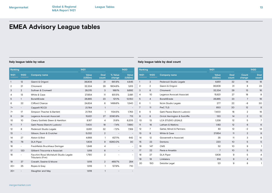|                 | Ranking                  |                                                             | 1H21            |                      |                          | <b>1H2O</b>              | Ranking        |                 |
|-----------------|--------------------------|-------------------------------------------------------------|-----------------|----------------------|--------------------------|--------------------------|----------------|-----------------|
| 1H21            | <b>1H2O</b>              | <b>Company name</b>                                         | Value<br>(USDm) | <b>Deal</b><br>count | % Value<br>change        | Value<br>(USDm)          | 1H21           | <b>1H2O</b>     |
| $\mathbf{1}$    | 12                       | Gianni & Origoni                                            | 36,908          | 31                   | 661.8%                   | 4,845                    | $\mathbf{1}$   | 3               |
| 2               | 21                       | Chiomenti                                                   | 32,334          | 29                   | 1904.6%                  | 1,613                    | $\overline{2}$ | 2               |
| 3               | 2                        | Sullivan & Cromwell                                         | 28,015          | 3                    | 189.1%                   | 9,692                    | 3              | 6               |
| 4               | 13                       | White & Case                                                | 27,654          | 11                   | 931.5%                   | 2,681                    | 4              | 10 <sup>°</sup> |
| 5               | $\mathbf{1}$             | <b>BonelliErede</b>                                         | 26,865          | 23                   | 121.1%                   | 12,150                   | 5              | $\overline{4}$  |
| 6               | 22                       | Clifford Chance                                             | 24,634          | 6                    | 1499.6%                  | 1,540                    | 6              | $\mathbf{1}$    |
| $7=$            | $\overline{\phantom{a}}$ | Cappelli RCCD                                               | 21,764          | $\mathbf{1}$         | $\overline{\phantom{a}}$ | $\overline{\phantom{a}}$ | $\overline{7}$ | 11              |
| $7=$            | 17                       | Simpson Thacher & Bartlett                                  | 21,764          | 1                    | 1134.5%                  | 1,763                    | 8              | 5               |
| 9               | 24                       | Legance Avvocati Associati                                  | 15,621          | 27                   | 2090.9%                  | 713                      | 9              | 8               |
| 10 <sup>°</sup> | 10                       | Cleary Gottlieb Steen & Hamilton                            | 8,167           | 4                    | 31.6%                    | 6,205                    | 10             | 13              |
| 11              | $\overline{7}$           | Gatti Pavesi Bianchi Ludovici                               | 7,400           | 18                   | $-7.4%$                  | 7,990                    | 11             | 16              |
| 12              | 8                        | Pedersoli Studio Legale                                     | 6,651           | 32                   | $-7.2%$                  | 7,169                    | 12             | $\overline{7}$  |
| 13              | $\overline{\phantom{a}}$ | Gibson, Dunn & Crutcher                                     | 5,032           | $\overline{2}$       | $\overline{\phantom{a}}$ | $\overline{\phantom{a}}$ | 13             | 9               |
| 14              | 27                       | Alston & Bird                                               | 4,668           | 1                    | 627.1%                   | 642                      | 14             | 12              |
| 15              | 76                       | <b>DLA Piper</b>                                            | 1,908           | 9                    | 6260.0%                  | 30                       | 15             | 23              |
| 16              | $\overline{\phantom{a}}$ | Freshfields Bruckhaus Deringer                              | 1,848           | 4                    | $\overline{\phantom{a}}$ | $\overline{\phantom{a}}$ | 16             | 147             |
| 17              | 120                      | Giliberti Triscornia e Associati                            | 1,818           | 6                    | $\overline{\phantom{a}}$ | $\overline{\phantom{a}}$ | 17             | 22              |
| 18              | $\overline{\phantom{a}}$ | Facchini Rossi Michelutti Studio Legale<br>Tributario (Frm) | 1,790           | $\overline{2}$       | $\overline{\phantom{a}}$ | $\overline{\phantom{a}}$ | 18<br>19       | 27<br>19        |
| 19              | 37                       | Cravath, Swaine & Moore                                     | 1,618           | $\overline{2}$       | 469.7%                   | 284                      | 20             | 150             |
| $20 =$          | 25                       | Ropes & Gray                                                | 1,618           | $\mathbf{1}$         | 127.9%                   | 710                      |                |                 |
| $20 =$          |                          | Slaughter and May                                           | 1,618           | $\mathbf{1}$         |                          |                          |                |                 |

## **Italy league table by value Italy league table by deal count**

| Ranking |                 |                               | 1H <sub>21</sub> |                      |                 | <b>1H2O</b>          |
|---------|-----------------|-------------------------------|------------------|----------------------|-----------------|----------------------|
| 1H21    | <b>1H2O</b>     | <b>Company name</b>           | Value<br>(USDm)  | <b>Deal</b><br>count | Count<br>change | <b>Deal</b><br>count |
| 1       | 3               | Pedersoli Studio Legale       | 6,651            | 32                   | 14              | 18                   |
| 2       | $\overline{2}$  | Gianni & Origoni              | 36,908           | 31                   | 8               | 23                   |
| 3       | 6               | Chiomenti                     | 32,334           | 29                   | 13              | 16                   |
| 4       | 10 <sup>2</sup> | Legance Avvocati Associati    | 15,621           | 27                   | 18              | 9                    |
| 5       | 4               | <b>BonelliErede</b>           | 26,865           | 23                   | 7               | 16                   |
| 6       | 1               | Nctm Studio Legale            | 277              | 22                   | -8              | 30                   |
| 7       | 11              | <b>PwC TLS</b>                | 850              | 20                   | 12              | 8                    |
| 8       | 5               | Gatti Pavesi Bianchi Ludovici | 7,400            | 18                   | $\overline{2}$  | 16                   |
| 9       | 8               | Orrick Herrington & Sutcliffe | 130              | 14                   | $\overline{2}$  | 12                   |
| 10      | 13              | <b>LCA STUDIO LEGALE</b>      | 1,338            | 12                   | 5               | $\overline{7}$       |
| 11      | 16              | Latham & Watkins              | 1,183            | 12                   | 6               | 6                    |
| 12      | 7               | Gattai, Minoli & Partners     | 83               | 12                   | $-2$            | 14                   |
| 13      | 9               | White & Case                  | 27,654           | 11                   | 2               | 9                    |
| 14      | 12              | Giovannelli e Associati       | 35               | 11                   | 3               | 8                    |
| 15      | 23              | Dentons                       | 220              | 10                   | 5               | 5                    |
| 16      | 147             | <b>CMS</b>                    | 52               | 10                   | 9               | 1                    |
| 17      | 22              | Pavia e Ansaldo               | $\overline{7}$   | 10                   | 5               | 5                    |
| 18      | 27              | <b>DLA Piper</b>              | 1,908            | 9                    | 5               | 4                    |
| 19      | 19              | Linklaters                    | 914              | 9                    | $\overline{4}$  | 5                    |
| 20      | 150             | Deloitte Legal                | 121              | 9                    | 8               | $\mathbf{1}$         |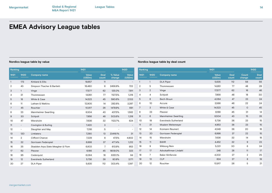### **Nordics league table by value Nordics league table by deal count**

### **Ranking 1H21 1H20 1H21 1H20 Company name Value (USDm) Deal count Count change Deal count** 1 1 DLA Piper 5,635 112 56 56 2 5 Thommessen 14,951 77 48 29 3 2 Vinge 17,577 62 16 46 4 4 Schjodt 7,956 48 18 30 5 8 Bech-Bruun 4,064 47 23 24 6 10 Accura 3,566 46 22 24 7 3 White & Case 14,523 45 0 45 8 23 Plesner 11 - 6,166 45 31 14 9 6 Mannheimer Swartling 8,504 43 15 28 10 19 Eversheds Sutherland 5,736 38 23 15 11 21 Moalem Weitemeyer 4,953 38 23 15 12 14 Kromann Reumert 4,549 38 20 18 13 20 Gorrissen Federspiel 6,998 37 22 15 14 15 Wiersholm 7,636 32 14 18 15 11 BAHR 4,452 32 9 23 16 9 Wikborg Rein 5,021 30 6 24 17 17 Advokatfirman Lindahl 248 28 11 17 18 7 Baker McKenzie 4,302 27 2 25 19 13 CLP 824 27 8 19 20 12 Roschier 10,917 26 5 21 **Ranking 1H21 1H20 1H21 1H20 Company name Value (USDm) Deal count % Value change Value (USDm)** 1 173 Kirkland & Ellis 19,657 11 - - - -2 43 Simpson Thacher & Bartlett 18,460 6 2456.8% 722 3 1 Vinge 17,577 62 125.0% 7,811 4 31 Thommessen 14,951 77 1127.5% 1,218 5 18 White & Case 14,523 45 590.6% 2,103 6 11 Latham & Watkins 12,905 14 292.6% 3,287 7 45 Roschier 10,917 26 1479.9% 691 8 23 Mannheimer Swartling 8,504 43 437.5% 1,582 9 30 Schjodt 7,956 48 503.6% 1,318 10 47 Wiersholm 7,636 32 1123.7% 624 11 - Covington & Burling 200 2,420 3 - - -12 - Slaughter and May 7,316 5 - - 13 120 Linklaters 7,290 13 23416.1% 31 14 2 Clifford Chance 2 20 3 47.5% 4,902 15 32 Gorrissen Federspiel 6,998 37 477.4% 1,212 16 35 Skadden Arps Slate Meagher & Flom 6,803 7 613.9% 953 17 62 Plesner 6,166 45 1809.0% 323 18 95 Cederquist 6,064 18 6351.1% 94 19 12 Eversheds Sutherland 5,736 38 80.9% 3,171 20 27 DLA Piper 5,635 112 303.4% 1,397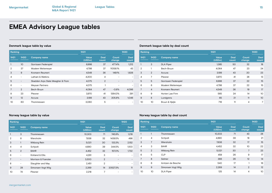| Ranking        |                          |                                   | 1H21                   |               |                 | <b>1H2O</b>          |
|----------------|--------------------------|-----------------------------------|------------------------|---------------|-----------------|----------------------|
| 1H21           | <b>1H2O</b>              | <b>Company name</b>               | <b>Value</b><br>(USDm) | Deal<br>count | Count<br>change | <b>Deal</b><br>count |
|                | 10 <sup>2</sup>          | Gorrissen Federspiel              | 6,998                  | 37            | 477.4%          | 1,212                |
| $\overline{2}$ | 37                       | Moalem Weitemeyer                 | 4,798                  | 37            | 11058.1%        | 43                   |
| 3              | 9                        | Kromann Reumert                   | 4,549                  | 36            | 149.1%          | 1,826                |
| 4              | $\overline{a}$           | Latham & Watkins                  | 4,200                  | 4             |                 |                      |
| 5              | $\overline{\phantom{a}}$ | Skadden Arps Slate Meagher & Flom | 4,075                  | 2             |                 |                      |
| 6              | $\overline{\phantom{a}}$ | Meysan Partners                   | 4,075                  | 1             |                 |                      |
| 7              | $\overline{2}$           | Bech-Bruun                        | 4,064                  | 47            | $-0.8%$         | 4,096                |
| 8              | 23                       | Plesner                           | 3,970                  | 41            | 1264.3%         | 291                  |
| 9              | 12                       | Accura                            | 3,199                  | 43            | 205.8%          | 1,046                |
| 10             | 60                       | Thommessen                        | 3,060                  | 5             |                 |                      |

## **Denmark league table by value Denmark league table by deal count**

| Ranking        |                |                      | 1H21            |                      |                 | <b>1H2O</b>     |
|----------------|----------------|----------------------|-----------------|----------------------|-----------------|-----------------|
| 1H21           | <b>1H2O</b>    | <b>Company name</b>  | Value<br>(USDm) | <b>Deal</b><br>count | Count<br>change | Deal<br>count   |
| 1              | 3              | <b>DLA Piper</b>     | 1,385           | 50                   | 32              | 18              |
| $\overline{2}$ | 1              | Bech-Bruun           | 4,064           | 47                   | 23              | 24              |
| 3              | $\overline{2}$ | Accura               | 3,199           | 43                   | 20              | 23              |
| 4              | 7              | Plesner              | 3,970           | 41                   | 28              | 13              |
| 5              | 5              | Gorrissen Federspiel | 6,998           | 37                   | 22              | 15              |
| 6              | 6              | Moalem Weitemeyer    | 4,798           | 37                   | 22              | 15              |
| 7              | $\overline{4}$ | Kromann Reumert      | 4,549           | 36                   | 19              | 17              |
| 8              | 9              | Horten Law Firm      | 565             | 24                   | 14              | 1O              |
| 9              | 8              | Lundgrens            | 65              | 21                   | 11              | 10 <sup>2</sup> |
| 10             | 10             | Bruun & Hjejle       | 716             | 11                   | 4               | 7 <sup>1</sup>  |

| Ranking        |                          |                     | 1H21                   |                      |                   | <b>1H2O</b>              |  |
|----------------|--------------------------|---------------------|------------------------|----------------------|-------------------|--------------------------|--|
| 1H21           | <b>1H2O</b>              | <b>Company name</b> | <b>Value</b><br>(USDm) | <b>Deal</b><br>count | Count<br>change   | <b>Deal</b><br>count     |  |
| $\mathbf{1}$   | 3                        | Thommessen          | 10,303                 | 71                   | 745.9%            | 1,218                    |  |
| $\overline{2}$ | 8                        | Wiersholm           | 7,636                  | 32                   | 1439.5%           | 496                      |  |
| 3              | $\mathbf{1}$             | Wikborg Rein        | 5,021                  | 30                   | 133.3%            | 2,152                    |  |
| 4              | 4                        | Schiodt             | 4,890                  | 39                   | 344.5%            | 1,100                    |  |
| 5              | 2                        | <b>BAHR</b>         | 4,452                  | 32                   | 157.0%            | 1,732                    |  |
| 6              | $\qquad \qquad -$        | Kirkland & Ellis    | 4,291                  | 3                    | $\qquad \qquad -$ | $\overline{\phantom{0}}$ |  |
| 7              | $\overline{\phantom{0}}$ | Morrison & Foerster | 3,300                  | $\overline{2}$       |                   |                          |  |
| 8              | $\qquad \qquad -$        | Slaughter and May   | 2,451                  | $\overline{2}$       | -                 | ۰                        |  |
| 9              | 28                       | Simonsen Vogt Wiig  | 2,269                  | 14                   | 20527.3%          | 11                       |  |
| 10             | 74                       | Plesner             | 2,218                  | 7                    |                   |                          |  |

## **Norway league table by value Norway league table by deal count**

| Ranking |                |                     | 1H21                   |                      |                 | <b>1H2O</b>          |
|---------|----------------|---------------------|------------------------|----------------------|-----------------|----------------------|
| 1H21    | <b>1H2O</b>    | <b>Company name</b> | <b>Value</b><br>(USDm) | <b>Deal</b><br>count | Count<br>change | <b>Deal</b><br>count |
|         | 1              | Thommessen          | 10,303                 | 71                   | 43              | 28                   |
| 2       | 4              | Schjodt             | 4,890                  | 39                   | 18              | 21                   |
| 3       | 7              | Wiersholm           | 7,636                  | 32                   | 17              | 15                   |
| 4       | 3              | <b>BAHR</b>         | 4,452                  | 32                   | 10              | 22                   |
| 5       | $\overline{2}$ | Wikborg Rein        | 5,021                  | 30                   | $\overline{7}$  | 23                   |
| 6       | 5              | <b>CLP</b>          | 459                    | 26                   | 9               | 17                   |
| 7       | 8              | Selmer              | 366                    | 26                   | 12              | 14                   |
| 8       | 6              | Arntzen de Besche   | 540                    | 17                   | 1               | 16                   |
| 9       | 9              | Simonsen Vogt Wiig  | 2,269                  | 14                   | $\overline{2}$  | 12                   |
| 10      | 10             | <b>DLA Piper</b>    | 125                    | 14                   | 4               | 10                   |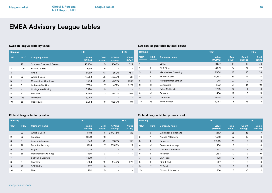| Ranking        |                          |                            | 1H21                   |                      |                   |                          |  |
|----------------|--------------------------|----------------------------|------------------------|----------------------|-------------------|--------------------------|--|
| 1H21           | <b>1H2O</b>              | <b>Company name</b>        | <b>Value</b><br>(USDm) | <b>Deal</b><br>count | % Value<br>change | Value<br>(USDm)          |  |
|                | 28                       | Simpson Thacher & Bartlett | 18,460                 | 5                    | 2456.8%           | 722                      |  |
| $\overline{2}$ | 106                      | Kirkland & Ellis           | 15,311                 | 5                    | -                 | $\overline{\phantom{a}}$ |  |
| 3              | 1                        | Vinge                      | 14,517                 | 61                   | 85.9%             | 7,811                    |  |
| 4              | 22                       | White & Case               | 14.333                 | 35                   | 1463.0%           | 917                      |  |
| 5              | 9                        | Mannheimer Swartling       | 8,504                  | 42                   | 437.5%            | 1,582                    |  |
| 6              | 3                        | Latham & Watkins           | 7,859                  | $\overline{7}$       | 147.2%            | 3,179                    |  |
| 7              | $\overline{\phantom{a}}$ | Covington & Burling        | 7,420                  | 3                    | -                 |                          |  |
| 8              | 33                       | Roschier                   | 6,293                  | 13                   | 1610.1%           | 368                      |  |
| 9              | 153                      | Linklaters                 | 6,085                  | 7                    |                   |                          |  |
| 10             | 58                       | Cederquist                 | 6,064                  | 18                   | 6351.1%           | 94                       |  |

## **Sweden league table by value Sweden league table by deal count**

| Ranking        |                 |                       | 1H21                   |                      |                 | <b>1H2O</b>          |
|----------------|-----------------|-----------------------|------------------------|----------------------|-----------------|----------------------|
| 1H21           | 1H20            | <b>Company name</b>   | <b>Value</b><br>(USDm) | <b>Deal</b><br>count | Count<br>change | <b>Deal</b><br>count |
| $\mathbf{1}$   |                 | Vinge                 | 14,517                 | 61                   | 15              | 46                   |
| $\overline{2}$ | 3               | <b>DLA Piper</b>      | 4,321                  | 54                   | 27              | 27                   |
| 3              | $\overline{4}$  | Mannheimer Swartling  | 8,504                  | 42                   | 16              | 26                   |
| 4              | $\overline{2}$  | White & Case          | 14,333                 | 35                   | $-2$            | 37                   |
| 5              | 6               | Advokatfirman Lindahl | 248                    | 27                   | 10 <sup>°</sup> | 17                   |
| 6              | 12              | Setterwalls           | 350                    | 24                   | 14              | 10                   |
| 7              | 5               | <b>Baker McKenzie</b> | 3,750                  | 22                   | $\overline{4}$  | 18                   |
| 8              | 10 <sup>°</sup> | Schjodt               | 1.466                  | 19                   | 8               | 11                   |
| 9              | 14              | Cederquist            | 6,064                  | 18                   | 10 <sup>2</sup> | 8                    |
| 10             | 48              | Thommessen            | 5,283                  | 18                   | 16              | $\overline{2}$       |

| Ranking        |                          |                           | 1H21            |                      | <b>1H2O</b>              | Ranking                  |                |                |
|----------------|--------------------------|---------------------------|-----------------|----------------------|--------------------------|--------------------------|----------------|----------------|
| 1H21           | <b>1H2O</b>              | <b>Company name</b>       | Value<br>(USDm) | <b>Deal</b><br>count | % Value<br>change        | Value<br>(USDm)          | 1H21           | 1H             |
| $\mathbf{1}$   | 22                       | White & Case              | 4,841           | 6                    | 21904.5%                 | 22                       | $\mathbf{1}$   | 6              |
| $\overline{2}$ | 32                       | Krogerus                  | 2,300           | 18                   |                          | $\overline{\phantom{a}}$ | $\overline{2}$ | 7              |
| 3              | 5                        | <b>Avance Attorneys</b>   | 1,948           | 22                   | 883.8%                   | 198                      | 3              | $\overline{4}$ |
| 4              | 21                       | <b>Borenius Attorneys</b> | 1,734           | 17                   | 7781.8%                  | 22                       | $\overline{4}$ | 10             |
| 5              | 37                       | Vinge                     | 1,715           | 3                    | $\overline{\phantom{0}}$ | $\qquad \qquad -$        | 5              | 8              |
| 6              | 35                       | Mannheimer Swartling      | 1.630           | 2                    | $\overline{\phantom{0}}$ | $\overline{\phantom{a}}$ | 6              | 3              |
| 7              | $\overline{\phantom{0}}$ | Sullivan & Cromwell       | 1,630           | $\mathbf{1}$         | $\overline{\phantom{0}}$ | $\overline{\phantom{a}}$ | $\overline{7}$ | 5              |
| 8              | 2                        | Roschier                  | 1.564           | 12                   | 384.2%                   | 323                      | 8              | 9              |
| 9              | 42                       | <b>SORAINEN</b>           | 972             | 6                    |                          | $\overline{\phantom{a}}$ | 9              | 12             |
| 10             | -                        | Ellex                     | 952             | 5                    |                          | $\overline{\phantom{a}}$ | 10             | 1              |

## **Finland league table by value Finland league table by deal count**

| Ranking |                 |                           | 1H21                   |               |                 | 1H2O                   |
|---------|-----------------|---------------------------|------------------------|---------------|-----------------|------------------------|
| 1H21    | <b>1H2O</b>     | <b>Company name</b>       | <b>Value</b><br>(USDm) | Deal<br>count | Count<br>change | <b>Value</b><br>(USDm) |
| 1       | 6               | Eversheds Sutherland      | 240                    | 25            | 18              | 7                      |
| 2       | 7               | Avance Attorneys          | 1,948                  | 22            | 16              | 6                      |
| 3       | $\overline{4}$  | Krogerus                  | 2,300                  | 18            | 9               | 9                      |
| 4       | 10 <sup>°</sup> | <b>Borenius Attorneys</b> | 1,734                  | 17            | 11              | 6                      |
| 5       | 8               | Castren & Snellman        | 632                    | 15            | 9               | 6                      |
| 6       | 3               | Roschier                  | 1,564                  | 12            | $\overline{2}$  | 10 <sup>°</sup>        |
| 7       | 5               | <b>DLA Piper</b>          | 133                    | 12            | $\overline{4}$  | 8                      |
| 8       | 9               | Bird & Bird               | 227                    | 11            | 5               | 6                      |
| 9       | 12              | EY (law)                  | 21                     | 8             | $\overline{2}$  | 6                      |
| 10      |                 | Dittmar & Indrenius       | 556                    | 7             | -5              | 12                     |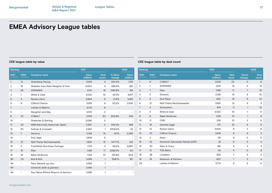| Ranking      |                          |                                       | 1H21            |                      |                          | 1H20                     | Ranking         |                          |                         |
|--------------|--------------------------|---------------------------------------|-----------------|----------------------|--------------------------|--------------------------|-----------------|--------------------------|-------------------------|
| 1H21         | <b>1H2O</b>              | <b>Company name</b>                   | Value<br>(USDm) | <b>Deal</b><br>count | % Value<br>change        | Value<br>(USDm)          | 1H21            | <b>1H2O</b>              | <b>Company name</b>     |
| $\mathbf{1}$ | 13                       | Greenberg Traurig                     | 5,108           | 4                    | 320.4%                   | 1,215                    | $\mathbf{1}$    | 9                        | <b>COBALT</b>           |
| 2            | 16                       | Skadden Arps Slate Meagher & Flom     | 4,300           | 4                    | 399.4%                   | 861                      | 2               | $\mathbf{1}$             | SORAINEN                |
| 3            | 28                       | <b>SORAINEN</b>                       | 4,141           | 18                   | 2162.8%                  | 183                      | 3               | $\overline{7}$           | Ellex                   |
| 4            | $\mathbf{1}$             | White & Case                          | 4,023           | 10                   | $-42.3%$                 | 6,971                    | 4               | 5                        | Dentons                 |
| 5            | $\overline{2}$           | Rymarz Zdort                          | 3,844           | 9                    | 21.6%                    | 3.160                    | 5               | 6                        | <b>DLA Piper</b>        |
| 6            | 6                        | Clifford Chance                       | 3,819           | 9                    | 50.2%                    | 2,542                    | 6               | 21                       | <b>Wolf Theiss Rech</b> |
| 7            | $\overline{\phantom{a}}$ | Latham & Watkins                      | 3,714           | 6                    | $\overline{\phantom{a}}$ | $\overline{\phantom{a}}$ | $\overline{7}$  | $\overline{4}$           | Schoenherr              |
| 8            | $\overline{\phantom{a}}$ | Slaughter and May                     | 3,120           | $\overline{2}$       | ۳                        |                          | 8               | $\overline{2}$           | White & Case            |
| 9            | 23                       | <b>COBALT</b>                         | 3,109           | 20                   | 803.8%                   | 344                      | 9               | 8                        | <b>Baker McKenzie</b>   |
| 10           | $\overline{\phantom{a}}$ | Shearman & Sterling                   | 3,066           | 3                    | $\overline{a}$           |                          | 10 <sup>°</sup> | 11                       | <b>CMS</b>              |
| 11           | 20                       | WKB Wiercinski, Kwiecinski, Baehr     | 2,947           | 3                    | 543.4%                   | 458                      | 11              | 16                       | Deloitte Legal          |
| 12           | 55                       | Sullivan & Cromwell                   | 2,947           | $\mathbf{1}$         | 9109.4%                  | 32                       | 12              | 13                       | Rymarz Zdort            |
| 13           | $\overline{7}$           | Dentons                               | 2,158           | 16                   | $-9.7%$                  | 2,390                    | 13              | 23                       | <b>Clifford Chance</b>  |
| 14           | $\overline{\phantom{a}}$ | PwC legal                             | 1,908           | 5                    | $\overline{\phantom{a}}$ |                          | 14              | 3                        | Noerr                   |
| 15           | 37                       | Wolf Theiss Rechtsanwaelte            | 1.625           | 13                   | 1477.7%                  | 103                      | 15              | 22                       | Domanski Zakrze         |
| 16           | 5                        | Freshfields Bruckhaus Deringer        | 1.174           | 4                    | $-56.2%$                 | 2,680                    | 16              | 20                       | Allen & Overy           |
| 17           | 41                       | Ellex                                 | 1,168           | 17                   | 2236.0%                  | 50                       | 17              | 12                       | <b>TGS Baltic</b>       |
| 18           | 19                       | Baker McKenzie                        | 1,138           | 10                   | 125.8%                   | 504                      | 18              | 46                       | Linklaters              |
| $19 =$       | 30                       | Bird & Bird                           | 1,099           | $\mathbf{1}$         | 558.1%                   | 167                      | 19              | 19                       | Karanovic & Part        |
| $19 =$       | $\overline{\phantom{a}}$ | Fatur Menard, op, doo                 | 1,099           | $\mathbf{1}$         | $\overline{\phantom{0}}$ | $\overline{\phantom{a}}$ | 20              | $\overline{\phantom{a}}$ | Latham & Watkin         |
| $19 =$       | $\overline{\phantom{a}}$ | Odvetniki Selih & partnerji           | 1,099           | $\mathbf{1}$         | $\overline{\phantom{0}}$ |                          |                 |                          |                         |
| $19 =$       |                          | Paul Weiss Rifkind Wharton & Garrison | 1,099           | 1                    | $\overline{\phantom{0}}$ |                          |                 |                          |                         |

## **CEE league table by value CEE league table by deal count**

| Ranking |                |                                   | 1H21            |                      |                 | <b>1H2O</b>          |
|---------|----------------|-----------------------------------|-----------------|----------------------|-----------------|----------------------|
| 1H21    | <b>1H2O</b>    | <b>Company name</b>               | Value<br>(USDm) | <b>Deal</b><br>count | Count<br>change | <b>Deal</b><br>count |
| 1       | 9              | <b>COBALT</b>                     | 3,109           | 20                   | 11              | 9                    |
| 2       | 1              | <b>SORAINEN</b>                   | 4,141           | 18                   | 5               | 13                   |
| 3       | $\overline{7}$ | Ellex                             | 1,168           | 17                   | 7               | 10                   |
| 4       | 5              | Dentons                           | 2,158           | 16                   | 6               | 10                   |
| 5       | 6              | <b>DLA Piper</b>                  | 430             | 16                   | 6               | 10                   |
| 6       | 21             | Wolf Theiss Rechtsanwaelte        | 1,625           | 13                   | 9               | 4                    |
| 7       | $\overline{4}$ | Schoenherr                        | 674             | 11                   | $\mathbf{1}$    | 10                   |
| 8       | 2              | White & Case                      | 4,023           | 10                   | $-1$            | 11                   |
| 9       | 8              | <b>Baker McKenzie</b>             | 1,138           | 10                   | 1               | 9                    |
| 10      | 11             | <b>CMS</b>                        | 338             | 10                   | $\overline{2}$  | 8                    |
| 11      | 16             | Deloitte Legal                    | 127             | 10                   | 5               | 5                    |
| 12      | 13             | Rymarz Zdort                      | 3,844           | 9                    | 3               | 6                    |
| 13      | 23             | <b>Clifford Chance</b>            | 3,819           | 9                    | 6               | 3                    |
| 14      | 3              | Noerr                             | 119             | 9                    | $-2$            | 11                   |
| 15      | 22             | Domanski Zakrzewski Palinka (DZP) | 19              | 9                    | 5               | 4                    |
| 16      | 20             | Allen & Overy                     | 188             | 8                    | 4               | 4                    |
| 17      | 12             | <b>TGS Baltic</b>                 | 43              | 8                    | $\circ$         | 8                    |
| 18      | 46             | Linklaters                        | 825             | 7                    | 5               | $\mathbf{2}$         |
| 19      | 19             | Karanovic & Partners              | 430             | $\overline{7}$       | 3               | 4                    |
| 20      |                | Latham & Watkins                  | 3,714           | 6                    | 6               | O                    |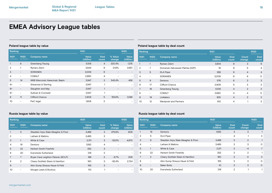|                | Ranking                  |                                   | 1H21            | <b>1H2O</b>          |                          |                 |
|----------------|--------------------------|-----------------------------------|-----------------|----------------------|--------------------------|-----------------|
| 1H21           | <b>1H2O</b>              | <b>Company name</b>               | Value<br>(USDm) | <b>Deal</b><br>count | % Value<br>change        | Value<br>(USDm) |
|                | 8                        | Greenberg Traurig                 | 5,108           | $\overline{4}$       | 320.4%                   | 1,215           |
| $\overline{2}$ | 1                        | Rymarz Zdort                      | 3,844           | 9                    | 21.6%                    | 3,160           |
| 3              | $\qquad \qquad -$        | <b>SORAINEN</b>                   | 3,009           | 6                    | $\overline{\phantom{a}}$ |                 |
| 4              | $\qquad \qquad -$        | <b>COBALT</b>                     | 2,990           | 4                    | $\overline{\phantom{0}}$ |                 |
| 5              | 14                       | WKB Wiercinski, Kwiecinski, Baehr | 2,947           | 3                    | 543.4%                   | 458             |
| $6=$           | -                        | Shearman & Sterling               | 2,947           | 1                    | -                        |                 |
| $6=$           | $\overline{\phantom{0}}$ | Slaughter and May                 | 2,947           |                      | $\overline{\phantom{0}}$ |                 |
| $6=$           | -                        | Sullivan & Cromwell               | 2,947           | 1                    | $\overline{\phantom{0}}$ | -               |
| 9              | 11                       | Clifford Chance                   | 2,809           | 5                    | 155.8%                   | 1,098           |
| 10             | $\overline{a}$           | PwC legal                         | 1,908           | $\overline{2}$       |                          | -               |

## **Poland league table by value Poland league table by deal count**

| Ranking |                          |                                   | 1H21                   |                      |                 | <b>1H2O</b>          |
|---------|--------------------------|-----------------------------------|------------------------|----------------------|-----------------|----------------------|
| 1H21    | <b>1H2O</b>              | <b>Company name</b>               | <b>Value</b><br>(USDm) | <b>Deal</b><br>count | Count<br>change | <b>Deal</b><br>count |
| 1       |                          | Rymarz Zdort                      | 3,844                  | 9                    | 3               | 6                    |
| 2       | 7                        | Domanski Zakrzewski Palinka (DZP) | 19                     | 9                    | 5               | $\overline{4}$       |
| 3       | 5                        | <b>DLA Piper</b>                  | 288                    | 8                    | $\overline{4}$  | $\overline{4}$       |
| 4       | -                        | <b>SORAINEN</b>                   | 3,009                  | 6                    | 6               | O                    |
| 5       | 9                        | Dentons                           | 576                    | 6                    | 3               | 3                    |
| 6       | 17                       | Clifford Chance                   | 2,809                  | 5                    | 3               | 2                    |
| 7       | 16                       | Greenberg Traurig                 | 5,108                  | $\overline{4}$       | $\overline{2}$  | 2                    |
| 8       | $\overline{\phantom{0}}$ | <b>COBALT</b>                     | 2,990                  | 4                    | $\overline{4}$  | O                    |
| 9       | 19                       | Linklaters                        | 825                    | $\overline{4}$       | $\overline{2}$  | 2                    |
| 10      | 12                       | Wardynski and Partners            | 812                    | 4                    | 1               | 3                    |

| Ranking        |                |                                    | 1H21                   |                      |                   | <b>1H2O</b>     |
|----------------|----------------|------------------------------------|------------------------|----------------------|-------------------|-----------------|
| 1H21           | <b>1H2O</b>    | <b>Company name</b>                | <b>Value</b><br>(USDm) | <b>Deal</b><br>count | % Value<br>change | Value<br>(USDm) |
|                | 5              | Skadden Arps Slate Meagher & Flom  | 3,488                  | 3                    | 475.6%            | 606             |
| $\overline{2}$ | -              | Latham & Watkins                   | 3,465                  | 3                    |                   |                 |
| 3              | 1              | White & Case                       | 2.311                  | 3                    | $-53.5%$          | 4,970           |
| 4              | 19             | Dentons                            | 1,582                  | 4                    |                   |                 |
| 5              | 22             | <b>Herbert Smith Freehills</b>     | 252                    | 3                    |                   |                 |
| 6              | 20             | Eversheds Sutherland               | 216                    | $\overline{2}$       |                   | -               |
| 7              | 7              | Bryan Cave Leighton Paisner (BCLP) | 188                    | $\overline{2}$       | $-8.7%$           | 206             |
| 8              | $\overline{2}$ | Cleary Gottlieb Steen & Hamilton   | 180                    | 3                    | $-93.4%$          | 2,734           |
| 9              |                | Akin Gump Strauss Hauer & Feld     | 155                    | 3                    |                   |                 |
| 10             |                | Morgan Lewis & Bockius             | 110                    | 1                    |                   |                 |

### **Russia league table by value Russia league table by deal count**

| Ranking |                   |                                   | 1H21            |                      |                 | <b>1H2O</b>          |
|---------|-------------------|-----------------------------------|-----------------|----------------------|-----------------|----------------------|
| 1H21    | <b>1H2O</b>       | <b>Company name</b>               | Value<br>(USDm) | <b>Deal</b><br>count | Count<br>change | <b>Deal</b><br>count |
| 1       | 19                | Dentons                           | 1,582           | $\overline{4}$       | 3               |                      |
| 2       | 5                 | <b>DLA Piper</b>                  |                 | $\overline{4}$       | 1               | 3                    |
| 3       | 8                 | Skadden Arps Slate Meagher & Flom | 3,488           | 3                    | 2               | 1                    |
| 4       | $\qquad \qquad -$ | Latham & Watkins                  | 3,465           | 3                    | 3               | 0                    |
| 5       | 1                 | White & Case                      | 2,311           | 3                    | $-4$            | 7                    |
| 6       | 22                | <b>Herbert Smith Freehills</b>    | 252             | 3                    | $\overline{2}$  |                      |
| 7       | $\overline{2}$    | Cleary Gottlieb Steen & Hamilton  | <b>180</b>      | 3                    | $\Omega$        | 3                    |
| 8       |                   | Akin Gump Strauss Hauer & Feld    | 155             | 3                    | 3               | O                    |
| 9       | -                 | <b>Baker Botts</b>                | 10 <sup>°</sup> | 3                    | 3               | $\Omega$             |
| 10      | 20                | Eversheds Sutherland              | 216             | $\overline{2}$       | 1               |                      |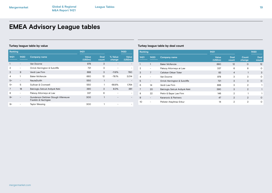| Ranking |                          |                                                             | 1H21                   |               |                   | <b>1H2O</b>     |
|---------|--------------------------|-------------------------------------------------------------|------------------------|---------------|-------------------|-----------------|
| 1H21    | 1H <sub>20</sub>         | <b>Company name</b>                                         | <b>Value</b><br>(USDm) | Deal<br>count | % Value<br>change | Value<br>(USDm) |
|         |                          | Van Doorne                                                  | 978                    | 3             |                   |                 |
| 2       | $\overline{\phantom{0}}$ | Orrick Herrington & Sutcliffe                               | 721                    | 3             |                   |                 |
| 3       | 9                        | Verdi Law Firm                                              | 688                    | 3             | $-11.8%$          | 780             |
| 4       | $\mathbf{1}$             | <b>Baker McKenzie</b>                                       | 660                    | 12            | $-78.1%$          | 3,014           |
| $5=$    | $\overline{\phantom{0}}$ | NautaDutilh                                                 | 550                    | 1             |                   |                 |
| $5=$    | 5                        | Sullivan & Cromwell                                         | 550                    | $\mathbf{1}$  | $-68.8%$          | 1.764           |
| 7       | 18                       | Balcioglu Selcuk Ardiyok Keki                               | 390                    | 3             | 8.0%              | 361             |
| 8       | $\overline{\phantom{0}}$ | Paksoy Attorneys at Law                                     | 337                    | 6             |                   |                 |
| $9=$    | $\overline{\phantom{0}}$ | Gunderson Dettmer Stough Villeneuve<br>Franklin & Hachigian | 300                    | 1             |                   |                 |
| $9=$    |                          | <b>Taylor Wessing</b>                                       | 300                    |               |                   |                 |

## **Turkey league table by value Turkey league table by deal count**

| Ranking |                          |                               | 1H21                   |                      |                 | <b>1H2O</b>     |
|---------|--------------------------|-------------------------------|------------------------|----------------------|-----------------|-----------------|
| 1H21    | 1H20                     | <b>Company name</b>           | <b>Value</b><br>(USDm) | <b>Deal</b><br>count | Count<br>change | Deal<br>count   |
|         | 1                        | <b>Baker McKenzie</b>         | 660                    | 12                   | $\circ$         | 12 <sup>2</sup> |
| 2       | -                        | Paksoy Attorneys at Law       | 337                    | 6                    | 6               | O               |
| 3       | $\overline{7}$           | Caliskan Okkan Toker          | 83                     | $\overline{4}$       | 1               | 3               |
| 4       | $\overline{\phantom{0}}$ | Van Doorne                    | 978                    | 3                    | 3               | O               |
| 5       | -                        | Orrick Herrington & Sutcliffe | 721                    | 3                    | 3               | $\circ$         |
| 6       | 14                       | Verdi Law Firm                | 688                    | 3                    | $\overline{2}$  |                 |
| 7       | 20                       | Balcioglu Selcuk Ardiyok Keki | 390                    | 3                    | $\overline{2}$  | $\mathbf{1}$    |
| 8       | 22                       | Pekin & Bayar Law Firm        | 146                    | $\overline{2}$       | 1               |                 |
| 9       | $\overline{\phantom{0}}$ | Karanovic & Partners          | 47                     | 2                    | $\overline{2}$  | $\circ$         |
| 10      |                          | Pelister Atayilmaz Enkur      | 14                     | 2                    | 2               | O               |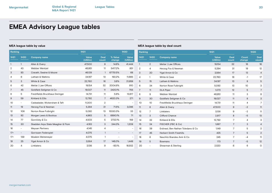## **MEA league table by value MEA league table by deal count**

| Ranking        |                   |                                   | 1H21            |                      |                          | <b>1H2O</b>              |                 | Ranking          |                                    | 1H21            |                      |                 | 1H20           |
|----------------|-------------------|-----------------------------------|-----------------|----------------------|--------------------------|--------------------------|-----------------|------------------|------------------------------------|-----------------|----------------------|-----------------|----------------|
| 1H21           | <b>1H2O</b>       | <b>Company name</b>               | Value<br>(USDm) | <b>Deal</b><br>count | % Value<br>change        | Value<br>(USDm)          | 1H21            | 1H2O             | <b>Company name</b>                | Value<br>(USDm) | <b>Deal</b><br>count | Count<br>change | Deal<br>count  |
|                |                   | Allen & Overy                     | 47,500          | 9                    | 14.6%                    | 41.444                   |                 | $\overline{2}$   | Meitar   Law Offices               | 19.154          | 32                   | 16              | 16             |
| $\overline{2}$ | 43                | Webber Wentzel                    | 46,951          | 11                   | 5417.2%                  | 851                      | $\overline{2}$  | $\overline{4}$   | Herzog Fox & Neeman                | 5,294           | 31                   | 19              | 12             |
| 3              | 93                | Cravath, Swaine & Moore           | 46,139          |                      | 67751.5%                 | 68                       | 3               | 20               | Yigal Arnon & Co                   | 3,564           | 17                   | 13              | $\overline{4}$ |
| $\overline{4}$ | 6                 | Latham & Watkins                  | 34,197          | 13                   | 193.2%                   | 11,665                   | $\overline{4}$  |                  | White & Case                       | 22,760          | 16                   | $-1$            | 17             |
| 5              | 3                 | White & Case                      | 22,760          | 16                   | 3.6%                     | 21,959                   | $5\phantom{.0}$ | 15 <sup>15</sup> | Latham & Watkins                   | 34,197          | 13                   | 8               | 5              |
| 6              | 42                | Meitar   Law Offices              | 19,154          | 32                   | 2004.8%                  | 910                      | 6               | 34               | Norton Rose Fulbright              | 5,092           | 13                   | 10 <sup>°</sup> | 3              |
| 7              | 45                | Goldfarb Seligman & Co            | 19,027          | 11                   | 2420.1%                  | 755                      | $\overline{7}$  | 11               | <b>DLA Piper</b>                   | 1,073           | 12                   | 5               | $\overline{7}$ |
| 8              | 5                 | Freshfields Bruckhaus Deringer    | 14,731          | 11                   | 5.8%                     | 13,917                   | 8               | 9                | Webber Wentzel                     | 46,951          | 11                   | 3               | 8              |
| 9              | 59                | Kirkland & Ellis                  | 12,792          | $\overline{7}$       | 4620.3%                  | 271                      | 9               | 30               | Goldfarb Seligman & Co             | 19,027          | 11                   | 8               | 3              |
| 10             | Ξ.                | Cadwalader, Wickersham & Taft     | 11,300          | $\overline{2}$       | $\overline{\phantom{a}}$ | $\overline{\phantom{a}}$ | 10              | 10               | Freshfields Bruckhaus Deringer     | 14,731          | 11                   | $\overline{4}$  | $7^{\circ}$    |
| 11             | 19                | Herzog Fox & Neeman               | 5,294           | 31                   | 71.5%                    | 3,086                    | 11              | 6                | Allen & Overy                      | 47,500          | 9                    | $-2$            | 11             |
| 12             | 108               | Norton Rose Fulbright             | 5,092           | 13                   | 15330.3%                 | 33                       | 12              | $\overline{7}$   | Linklaters                         | 3,136           | 9                    | -2              | 11             |
| 13             | 92                | Morgan Lewis & Bockius            | 4,963           | 5                    | 6890.1%                  | 71                       | 13              | 3                | Clifford Chance                    | 2,817           | 8                    | $-5$            | 13             |
| 14             | 77                | Gornitzky & Co                    | 4,503           | 5                    | 2732.1%                  | 159                      | 14              | 32               | Kirkland & Ellis                   | 12,792          | 7                    | 4               | 3              |
| 15             | 30                | Skadden Arps Slate Meagher & Flom | 4,163           | 3                    | 244.3%                   | 1,209                    | 15              | 24               | FISCHER (FBC & Co)                 | 1,667           | $7^{\circ}$          | 3               | $\overline{4}$ |
| 16             | $\overline{a}$    | Meysan Partners                   | 4,145           | $\overline{4}$       | $\overline{\phantom{a}}$ | $\overline{\phantom{0}}$ | 16              | 39               | Erdinast, Ben Nathan Toledano & Co | 1,149           | $\overline{7}$       | 5               | $\overline{2}$ |
| $17=$          | $\qquad \qquad -$ | Gorrissen Federspiel              | 4,075           | $\overline{1}$       | $\overline{\phantom{a}}$ | $\overline{\phantom{a}}$ | 17              | 45               | <b>Herbert Smith Freehills</b>     | 425             | $\overline{7}$       | 5               | 2              |
| $17 =$         | 139               | Moalem Weitemeyer                 | 4,075           | $\mathbf{1}$         | $\overline{\phantom{a}}$ |                          | 18              | 8                | Naschitz Brandes Amir & Co         | 245             | $\overline{7}$       | $-4$            | 11             |
| 19             | 25                | Yigal Arnon & Co                  | 3,564           | 17                   | 146.0%                   | 1,449                    | 19              | 5                | <b>Bowmans</b>                     | 173             | $7^{\circ}$          | $-5$            | 12             |
| 20             | 4                 | Linklaters                        | 3.136           | 9                    | $-83.1%$                 | 18,552                   | 20              | $\sim$           | Shearman & Sterling                | 2,520           | 6                    | 6               | O              |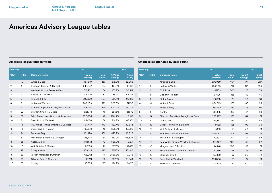### <span id="page-20-0"></span>**Americas league table by value Americas league table by deal count**

| Ranking          |                 |                                       | 1H21            |                      |                   | <b>1H2O</b>     | Ranking        |                |                                       | 1H21            |               |                 | <b>1H2O</b>   |
|------------------|-----------------|---------------------------------------|-----------------|----------------------|-------------------|-----------------|----------------|----------------|---------------------------------------|-----------------|---------------|-----------------|---------------|
| 1H <sub>21</sub> | <b>1H2O</b>     | <b>Company name</b>                   | Value<br>(USDm) | <b>Deal</b><br>count | % Value<br>change | Value<br>(USDm) | 1H21           | <b>1H2O</b>    | <b>Company name</b>                   | Value<br>(USDm) | Deal<br>count | Count<br>change | Deal<br>count |
|                  | 10 <sup>°</sup> | White & Case                          | 354.810         | 153                  | 578.8%            | 52,268          |                |                | Kirkland & Ellis                      | 302,969         | 404           | 177             | 227           |
| $\overline{2}$   | 4               | Simpson Thacher & Bartlett            | 349,047         | 104                  | 401.6%            | 69,588          | $\overline{2}$ | 3              | Latham & Watkins                      | 288,209         | 272           | 113             | 159           |
| 3                |                 | Wachtell, Lipton, Rosen & Katz        | 316,932         | 54                   | 163.2%            | 120,412         | 3              | $\overline{2}$ | <b>DLA Piper</b>                      | 47,133          | 206           | 28              | 178           |
| 4                | 5               | Sullivan & Cromwell                   | 312,700         | 87                   | 383.0%            | 64,742          | $\overline{4}$ | 4              | Goodwin Procter                       | 81.695          | 188           | 42              | 146           |
| 5                | $\overline{2}$  | Kirkland & Ellis                      | 302,969         | 404                  | 205.1%            | 99,316          | 5              | 6              | <b>Sidley Austin</b>                  | 108,315         | 170           | 70              | 100           |
| 6                | 3               | Latham & Watkins                      | 288,209         | 272                  | 305.3%            | 71,106          | 6              | 14             | White & Case                          | 354,810         | 153           | 88              | 65            |
|                  | 6               | Skadden Arps Slate Meagher & Flom     | 256,287         | 125                  | 300.0%            | 64,076          | $\overline{7}$ | $\overline{7}$ | Ropes & Gray                          | 162,120         | 133           | 36              | 97            |
| 8                | 23              | Cravath, Swaine & Moore               | 251,774         | 46                   | 687.5%            | 31,972          | 8              | 9              | Cooley                                | 88,855          | 127           | 41              | 86            |
| 9                | 63              | Fried Frank Harris Shriver & Jacobson | 206,064         | 43                   | 2781.2%           | 7,152           | 9              | 15             | Skadden Arps Slate Meagher & Flom     | 256,287         | 125           | 64              | 61            |
| 10               |                 | Davis Polk & Wardwell                 | 199,066         | 88                   | 214.2%            | 63,351          | 10             | 8              | Jones Day                             | 39,347          | 125           | 31              | 94            |
| 11               | 18              | Paul Weiss Rifkind Wharton & Garrison | 197,437         | 100                  | 383.4%            | 40,845          | 11             | 38             | Orrick Herrington & Sutcliffe         | 37,182          | 125           | 92              | 33            |
| 12               | 19              | Debevoise & Plimpton                  | 166,346         | 45                   | 336.8%            | 38,086          | 12             | 12             | Weil Gotshal & Manges                 | 115,159         | 111           | 40              | 71            |
| 13               | 24              | Ropes & Gray                          | 162,120         | 133                  | 425.9%            | 30,825          | 13             | 20             | Simpson Thacher & Bartlett            | 349,047         | 104           | 53              | 51            |
| 14               | 8               | Freshfields Bruckhaus Deringer        | 148,703         | 64                   | 152.9%            | 58,805          | 14             | 13             | Willkie Farr & Gallagher              | 79,594          | 101           | 32              | 69            |
| 15               | 55              | Alston & Bird                         | 142,612         | 70                   | 1563.9%           | 8,571           | 15             | 17             | Paul Weiss Rifkind Wharton & Garrison | 197,437         | 100           | 48              | 52            |
| 16               | 17              | Weil Gotshal & Manges                 | 115,159         | 111                  | 177.6%            | 41,491          | 16             | 10             | Morgan Lewis & Bockius                | 44.748          | 100           | 19              | 81            |
| 17               | 27              | <b>Sidley Austin</b>                  | 108,315         | 170                  | 325.7%            | 25,445          | 17             | 5              | Wilson Sonsini Goodrich & Rosati      | 41,535          | 94            | $-6$            | 100           |
| 18               | 82              | Fasken Martineau Dumoulin             | 106,001         | 81                   | 2586.3%           | 3,946           | 18             | 29             | Stikeman Elliott                      | 59,869          | 92            | 50              | 42            |
| 19               | 29              | Gibson, Dunn & Crutcher               | 99,731          | 86                   | 367.3%            | 21,344          | 19             | 21             | Davis Polk & Wardwell                 | 199,066         | 88            | 37              | 51            |
| 20               | 35              | Cooley                                | 88,855          | 127                  | 474.2%            | 15,475          | 20             | 24             | Sullivan & Cromwell                   | 312,700         | 87            | 40              | 47            |

**Deal count**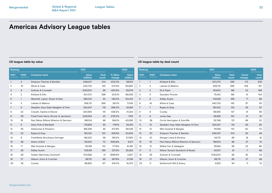| Ranking |                |                                       | 1H21                   |               |                   | 1H20            | Ranking         |                  |                                       | 1H21       |
|---------|----------------|---------------------------------------|------------------------|---------------|-------------------|-----------------|-----------------|------------------|---------------------------------------|------------|
| 1H21    | 1H20           | <b>Company name</b>                   | <b>Value</b><br>(USDm) | Deal<br>count | % Value<br>change | Value<br>(USDm) | 1H21            | 1H20             | <b>Company name</b>                   | Ve<br>(USI |
|         | $\overline{4}$ | Simpson Thacher & Bartlett            | 349,047                | 104           | 402.0%            | 69,531          |                 | $\overline{1}$   | Kirkland & Ellis                      | 301.       |
| 2       | 10             | White & Case                          | 340,733                | 142           | 572.5%            | 50,663          | $\overline{2}$  | 3                | Latham & Watkins                      | 256        |
| 3       | 9              | Sullivan & Cromwell                   | 306,200                | 86            | 450.9%            | 55,578          | 3               | $\overline{2}$   | <b>DLA Piper</b>                      | 45,6       |
| 4       | $\overline{2}$ | Kirkland & Ellis                      | 301,270                | 398           | 204.1%            | 99,056          | 4               | 4                | Goodwin Procter                       | 75.        |
| 5       | $\mathbf{1}$   | Wachtell, Lipton, Rosen & Katz        | 295,012                | 52            | 145.0%            | 120,412         | 5               | 6                | <b>Sidley Austin</b>                  | 108        |
| 6       | 3              | Latham & Watkins                      | 256,731                | 266           | 261.1%            | 71,106          | 6               | 16               | White & Case                          | 340.       |
| 7       | 5              | Skadden Arps Slate Meagher & Flom     | 254,247                | 119           | 298.0%            | 63,881          | $\overline{7}$  | 7                | Ropes & Gray                          | 162.       |
| 8       | 22             | Cravath, Swaine & Moore               | 230,594                | 45            | 636.2%            | 31,324          | 8               | 9                | Cooley                                | 88,        |
| 9       | 58             | Fried Frank Harris Shriver & Jacobson | 206,064                | 43            | 2781.2%           | 7,152           | 9               | 8                | Jones Day                             | 38,        |
| 10      | 18             | Paul Weiss Rifkind Wharton & Garrison | 196,514                | 98            | 384.1%            | 40,595          | 10 <sup>°</sup> | 36               | Orrick Herrington & Sutcliffe         | 35.        |
| 11      | 6              | Davis Polk & Wardwell                 | 176,826                | 83            | 179.1%            | 63,351          | 11              | 15 <sup>15</sup> | Skadden Arps Slate Meagher & Flom     | 254,       |
| 12      | 25             | Debevoise & Plimpton                  | 166,346                | 45            | 472.9%            | 29,036          | 12              | $12 \,$          | Weil Gotshal & Manges                 | 115        |
| 13      | 23             | Ropes & Gray                          | 162,120                | 133           | 425.9%            | 30,825          | 13              | 20               | Simpson Thacher & Bartlett            | 349.       |
| 14      | 8              | Freshfields Bruckhaus Deringer        | 148,332                | 59            | 158.2%            | 57,455          | 14              | 10               | Morgan Lewis & Bockius                | 44         |
| 15      | 48             | Alston & Bird                         | 142,612                | 70            | 1563.9%           | 8,571           | 15              | 18               | Paul Weiss Rifkind Wharton & Garrison | 196,       |
| 16      | 17             | Weil Gotshal & Manges                 | 115,159                | 110           | 177.6%            | 41,491          | 16              | 13               | Willkie Farr & Gallagher              | 79,        |
| 17      | 26             | <b>Sidley Austin</b>                  | 108,128                | 169           | 327.5%            | 25,292          | 17              | 5                | Wilson Sonsini Goodrich & Rosati      | 40         |
| 18      | 94             | Fasken Martineau Dumoulin             | 104,585                | 31            | 3599.5%           | 2,827           | 18              | 25               | Sullivan & Cromwell                   | 306,2      |
| 19      | 27             | Gibson, Dunn & Crutcher               | 99,731                 | 86            | 367.9%            | 21,316          | 19              | 21               | Gibson, Dunn & Crutcher               | 99         |
| 20      | 35             | Cooley                                | 88,855                 | 127           | 474.2%            | 15,475          | 20              | 11               | McDermott Will & Emery                | 2,         |

## **US league table by value US league table by deal count**

| Ranking |                 |                                       | 1H21                   |                      |                 | <b>1H2O</b>          |
|---------|-----------------|---------------------------------------|------------------------|----------------------|-----------------|----------------------|
| 1H21    | <b>1H2O</b>     | <b>Company name</b>                   | <b>Value</b><br>(USDm) | <b>Deal</b><br>count | Count<br>change | <b>Deal</b><br>count |
| 1       | $\mathbf{1}$    | Kirkland & Ellis                      | 301,270                | 398                  | 172             | 226                  |
| 2       | 3               | Latham & Watkins                      | 256,731                | 266                  | 109             | 157                  |
| 3       | $\mathbf{2}$    | <b>DLA Piper</b>                      | 45,630                 | 188                  | 22              | 166                  |
| 4       | 4               | Goodwin Procter                       | 75,140                 | 185                  | 41              | 144                  |
| 5       | 6               | <b>Sidley Austin</b>                  | 108,128                | 169                  | 71              | 98                   |
| 6       | 16              | White & Case                          | 340.733                | 142                  | 87              | 55                   |
| 7       | $\overline{7}$  | Ropes & Gray                          | 162,120                | 133                  | 36              | 97                   |
| 8       | 9               | Cooley                                | 88,855                 | 127                  | 41              | 86                   |
| 9       | 8               | Jones Day                             | 38,929                 | 122                  | 31              | 91                   |
| 10      | 36              | Orrick Herrington & Sutcliffe         | 35,799                 | 121                  | 89              | 32                   |
| 11      | 15              | Skadden Arps Slate Meagher & Flom     | 254,247                | 119                  | 64              | 55                   |
| 12      | 12              | Weil Gotshal & Manges                 | 115.159                | 110                  | 40              | 70                   |
| 13      | 20              | Simpson Thacher & Bartlett            | 349,047                | 104                  | 55              | 49                   |
| 14      | 10 <sup>2</sup> | Morgan Lewis & Bockius                | 44,721                 | 99                   | 18              | 81                   |
| 15      | 18              | Paul Weiss Rifkind Wharton & Garrison | 196,514                | 98                   | 47              | 51                   |
| 16      | 13              | Willkie Farr & Gallagher              | 79.594                 | 98                   | 32              | 66                   |
| 17      | 5               | Wilson Sonsini Goodrich & Rosati      | 40,517                 | 91                   | $-7$            | 98                   |
| 18      | 25              | Sullivan & Cromwell                   | 306,200                | 86                   | 42              | 44                   |
| 19      | 21              | Gibson, Dunn & Crutcher               | 99,731                 | 86                   | 37              | 49                   |
| 20      | 11              | McDermott Will & Emery                | 2.923                  | 84                   | 11              | 73                   |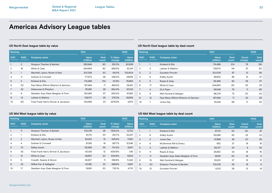| Ranking        |                |                                       | 1H21            |               |                   | <b>1H2O</b>     |
|----------------|----------------|---------------------------------------|-----------------|---------------|-------------------|-----------------|
| 1H21           | <b>1H2O</b>    | <b>Company name</b>                   | Value<br>(USDm) | Deal<br>count | % Value<br>change | Value<br>(USDm) |
|                | 3              | Simpson Thacher & Bartlett            | 283,846         | 60            | 351.0%            | 62,939          |
| $\overline{2}$ | 18             | White & Case                          | 244.564         | 80            | 658.5%            | 32.241          |
| 3              | 1              | Wachtell, Lipton, Rosen & Katz        | 201,336         | 30            | 94.0%             | 103,804         |
| 4              | 11             | Sullivan & Cromwell                   | 177.573         | 39            | 348.2%            | 39.616          |
| 5              | $\overline{2}$ | Kirkland & Ellis                      | 174,498         | 214           | 121.8%            | 78,663          |
| 6              | 20             | Paul Weiss Rifkind Wharton & Garrison | 167,484         | 71            | 469.3%            | 29,421          |
| 7              | 23             | Debevoise & Plimpton                  | 151,891         | 29            | 654.4%            | 20,133          |
| 8              | 9              | Skadden Arps Slate Meagher & Flom     | 150.961         | 67            | 263.0%            | 41,592          |
| 9              | 14             | Latham & Watkins                      | 139.170         | 141           | 276.3%            | 36,983          |
| 10             | 60             | Fried Frank Harris Shriver & Jacobson | 134,566         | 23            | 3374.5%           | 3,873           |

### **US North East league table by value US North East league table by deal count**

| Ranking        |                |                                       | 1H21                   |                      |                 | 1H2O                 |
|----------------|----------------|---------------------------------------|------------------------|----------------------|-----------------|----------------------|
| 1H21           | 1H20           | <b>Company name</b>                   | <b>Value</b><br>(USDm) | <b>Deal</b><br>count | Count<br>change | <b>Deal</b><br>count |
| 1              |                | Kirkland & Ellis                      | 174,498                | 214                  | 76              | 138                  |
| $\overline{2}$ | 3              | Latham & Watkins                      | 139.170                | 141                  | 61              | 80                   |
| 3              | 2              | Goodwin Procter                       | 50,009                 | 97                   | 12              | 85                   |
| 4              | 8              | <b>Sidley Austin</b>                  | 49,833                 | 88                   | 41              | 47                   |
| 5              | 5              | Ropes & Gray                          | 83,469                 | 83                   | 26              | 57                   |
| 6              | 17             | White & Case                          | 244,564                | 80                   | 52              | 28                   |
| 7              | $\overline{4}$ | <b>DLA Piper</b>                      | 26,548                 | 76                   | 11              | 65                   |
| 8              | 9              | Weil Gotshal & Manges                 | 68,279                 | 73                   | 30              | 43                   |
| 9              | 12             | Paul Weiss Rifkind Wharton & Garrison | 167,484                | 71                   | 32              | 39                   |
| 10             | 7              | Jones Day                             | 25,419                 | 69                   | 17              | 52                   |

| Ranking |                 |                                       | 1H21            |               |                   | 1H20                   |
|---------|-----------------|---------------------------------------|-----------------|---------------|-------------------|------------------------|
| 1H21    | <b>1H2O</b>     | <b>Company name</b>                   | Value<br>(USDm) | Deal<br>count | % Value<br>change | <b>Value</b><br>(USDm) |
|         | 11              | Simpson Thacher & Bartlett            | 102,216         | 26            | 1425.2%           | 6,702                  |
| 2       | 1               | Kirkland & Ellis                      | 81.731          | 121           | 251.7%            | 23,237                 |
| 3       | 2               | Wachtell, Lipton, Rosen & Katz        | 80,531          | 15            | 349.4%            | 17.921                 |
| 4       | 4               | Sullivan & Cromwell                   | 61,193          | 19            | 387.7%            | 12,546                 |
| 5       | 10 <sup>2</sup> | <b>Sidley Austin</b>                  | 55,589          | 55            | 701.3%            | 6,937                  |
| 6       | 42              | Fried Frank Harris Shriver & Jacobson | 50,128          | 12            | 4391.8%           | 1.116                  |
| 7       | 12              | White & Case                          | 46,667          | 20            | 604.6%            | 6,623                  |
| 8       | 5               | Cravath, Swaine & Moore               | 45,627          | 11            | 298.8%            | 11,442                 |
| 9       | 23              | Willkie Farr & Gallagher              | 40,185          | 22            | 989.9%            | 3,687                  |
| 10      | 17              | Skadden Arps Slate Meagher & Flom     | 39,191          | 30            | 732.1%            | 4,710                  |

## **US Mid West league table by value US Mid West league table by deal count**

| Ranking |                |                                   | 1H21                   |                      |                 | <b>1H2O</b>          |
|---------|----------------|-----------------------------------|------------------------|----------------------|-----------------|----------------------|
| 1H21    | <b>1H2O</b>    | <b>Company name</b>               | <b>Value</b><br>(USDm) | <b>Deal</b><br>count | Count<br>change | <b>Deal</b><br>count |
|         | $\mathbf{1}$   | Kirkland & Ellis                  | 81,731                 | 121                  | 60              | 61                   |
| 2       | 6              | <b>Sidley Austin</b>              | 55,589                 | 55                   | 32              | 23                   |
| 3       | $\overline{2}$ | Jones Day                         | 12,999                 | 48                   | 20              | 28                   |
| 4       | 8              | McDermott Will & Emery            | 952                    | 37                   | 19              | 18                   |
| 5       | $\overline{4}$ | Latham & Watkins                  | 36,737                 | 34                   | 8               | 26                   |
| 6       | 11             | Ropes & Gray                      | 25,852                 | 34                   | 18              | 16                   |
| 7       | 17             | Skadden Arps Slate Meagher & Flom | 39,191                 | 30                   | 19              | 11                   |
| 8       | 15             | Weil Gotshal & Manges             | 35,612                 | 27                   | 15              | 12                   |
| 9       | 30             | Simpson Thacher & Bartlett        | 102,216                | 26                   | 18              | 8                    |
| 10      | 13             | Goodwin Procter                   | 6,313                  | 26                   | 12              | 14                   |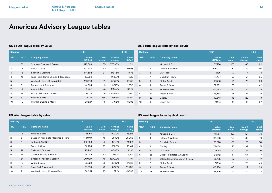| Ranking        |                 |                                       | 1H21                   |               | <b>1H2O</b>       |                 |  |
|----------------|-----------------|---------------------------------------|------------------------|---------------|-------------------|-----------------|--|
| 1H21           | <b>1H2O</b>     | <b>Company name</b>                   | <b>Value</b><br>(USDm) | Deal<br>count | % Value<br>change | Value<br>(USDm) |  |
|                | 33              | Simpson Thacher & Bartlett            | 172,663                | 35            | 7709.3%           | 2,211           |  |
| $\overline{2}$ | 13              | White & Case                          | 153,683                | 50            | 2127.9%           | 6,898           |  |
| 3              | 12              | Sullivan & Cromwell                   | 144,594                | 27            | 1784.5%           | 7,673           |  |
| 4              | 46              | Fried Frank Harris Shriver & Jacobson | 140.866                | 17            | 9198.1%           | 1,515           |  |
| 5              | 1               | Wachtell, Lipton, Rosen & Katz        | 139.576                | 21            | 606.9%            | 19,745          |  |
| 6              | 5               | Debevoise & Plimpton                  | 131.334                | 19            | 961.7%            | 12.370          |  |
| 7              | 18              | Alston & Bird                         | 116,462                | 48            | 2129.4%           | 5,224           |  |
| 8              | 81              | Fasken Martineau Dumoulin             | 98,715                 | 6             | 20045.9%          | 490             |  |
| 9              | 6               | Kirkland & Ellis                      | 77,276                 | 155           | 536.5%            | 12,140          |  |
| 10             | 10 <sup>°</sup> | Cravath, Swaine & Moore               | 68,527                 | 15            | 716.5%            | 8,393           |  |

## **US South league table by value US South league table by deal count**

| Ranking        |                  |                      | 1H21                               |                      |                 | <b>1H2O</b>          |
|----------------|------------------|----------------------|------------------------------------|----------------------|-----------------|----------------------|
| 1H21           | 1H <sub>20</sub> | <b>Company name</b>  | <b>Value</b><br>(USD <sub>m)</sub> | <b>Deal</b><br>count | Count<br>change | <b>Deal</b><br>count |
| 1              | 1                | Kirkland & Ellis     | 77,276                             | 155                  | 63              | 92                   |
| $\overline{2}$ | 3                | Latham & Watkins     | 62,402                             | 82                   | 25              | 57                   |
| 3              | 2                | <b>DLA Piper</b>     | 16,136                             | 77                   | $\overline{4}$  | 73                   |
| $\overline{4}$ | 7                | Goodwin Procter      | 14,477                             | 56                   | 21              | 35                   |
| 5              | 8                | <b>Sidley Austin</b> | 13,303                             | 56                   | 23              | 33                   |
| 6              | 4                | Ropes & Gray         | 59,982                             | 53                   | 11              | 42                   |
| 7              | 28               | White & Case         | 153,683                            | 50                   | 35              | 15                   |
| 8              | 16               | Alston & Bird        | 116,462                            | 48                   | 27              | 21                   |
| 9              | 23               | Cooley               | 19,543                             | 48                   | 29              | 19                   |
| 10             | 9                | Jones Day            | 11,154                             | 48                   | 16              | 32                   |

| Ranking        |                |                                   | 1H21            | 1H20          |                   |                        |
|----------------|----------------|-----------------------------------|-----------------|---------------|-------------------|------------------------|
| 1H21           | 1H20           | <b>Company name</b>               | Value<br>(USDm) | Deal<br>count | % Value<br>change | <b>Value</b><br>(USDm) |
| $\mathbf{1}$   | 12             | Kirkland & Ellis                  | 161,767         | 197           | 922.9%            | 15,815                 |
| $\overline{2}$ | 5              | Skadden Arps Slate Meagher & Flom | 144,040         | 45            | 397.2%            | 28,968                 |
| 3              | 7              | Latham & Watkins                  | 136,538         | 141           | 447.0%            | 24,961                 |
| $\overline{4}$ | 11             | Ropes & Gray                      | 106,284         | 60            | 558.3%            | 16,144                 |
| 5              | 21             | Sullivan & Cromwell               | 95,997          | 42            | 1069.3%           | 8,210                  |
| 6              | 26             | Cravath, Swaine & Moore           | 90,701          | 20            | 1276.1%           | 6,591                  |
| 7              | 34             | Simpson Thacher & Bartlett        | 90,080          | 45            | 1800.0%           | 4,741                  |
| 8              | 10             | White & Case                      | 88.826          | 53            | 406.7%            | 17.532                 |
| 9              | 9              | Davis Polk & Wardwell             | 85.699          | 42            | 324.1%            | 20,208                 |
| 10             | $\overline{2}$ | Wachtell, Lipton, Rosen & Katz    | 78.091          | 20            | 72.1%             | 45,388                 |

## **US West league table by value US West league table by deal count**

| Ranking      |                |                                  | 1H21                   | <b>1H2O</b>          |                 |               |
|--------------|----------------|----------------------------------|------------------------|----------------------|-----------------|---------------|
| 1H21         | 1H20           | <b>Company name</b>              | <b>Value</b><br>(USDm) | <b>Deal</b><br>count | Count<br>change | Deal<br>count |
| $\mathbf{1}$ | 3              | Kirkland & Ellis                 | 161,767                | 197                  | 121             | 76            |
| 2            | 4              | Latham & Watkins                 | 136,538                | 141                  | 68              | 73            |
| 3            |                | Goodwin Procter                  | 38,823                 | 108                  | 28              | 80            |
| 4            | 6              | Cooley                           | 72,054                 | 93                   | 32              | 61            |
| 5            | 5              | <b>DLA Piper</b>                 | 19,071                 | 92                   | 22              | 70            |
| 6            | 26             | Orrick Herrington & Sutcliffe    | 26,142                 | 81                   | 64              | 17            |
| 7            | 2              | Wilson Sonsini Goodrich & Rosati | 33,795                 | 72                   | $-5$            | 77            |
| 8            | $\overline{7}$ | <b>Sidley Austin</b>             | 21,614                 | 71                   | 26              | 45            |
| 9            | 8              | Ropes & Gray                     | 106,284                | 60                   | 22              | 38            |
| 10           | 19             | White & Case                     | 88,826                 | 53                   | 31              | 22            |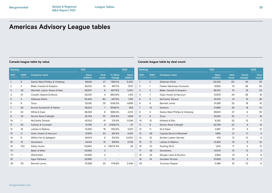| Ranking          |                   |                                      | 1H21            |                |                          | 1H20                     | Ranking         |                          |                                 | 1H2 |
|------------------|-------------------|--------------------------------------|-----------------|----------------|--------------------------|--------------------------|-----------------|--------------------------|---------------------------------|-----|
| 1H21             | <b>1H2O</b>       | <b>Company name</b>                  | Value<br>(USDm) | Deal<br>count  | % Value<br>change        | Value<br>(USDm)          | 1H21            | <b>1H2O</b>              | <b>Company name</b>             |     |
|                  | 5                 | Davies Ward Phillips & Vineberg      | 69,941          | 27             | 1188.0%                  | 5,430                    |                 | $\overline{2}$           | Stikeman Elliott                |     |
| 2                | 2                 | Blake, Cassels & Graydon             | 58,130          | 51             | 667.7%                   | 7,572                    | $\overline{2}$  | -1                       | Fasken Martineau Dumoulin       |     |
| 3                | 42                | Wachtell, Lipton, Rosen & Katz       | 56,610          | 6              | 4617.5%                  | 1,200                    | 3               | 3                        | Blake, Cassels & Graydon        |     |
| 4                | 37                | Cravath, Swaine & Moore              | 55,130          | 3              | 3801.6%                  | 1,413                    | 4               | $\overline{7}$           | Osler, Hoskin & Harcourt        |     |
| 5                | 3                 | <b>Stikeman Elliott</b>              | 53,443          | 80             | 637.0%                   | 7,251                    | 5               | 5                        | <b>McCarthy Tetrault</b>        |     |
| 6                | 8                 | Torys                                | 53,361          | 25             | 1045.3%                  | 4,659                    | 6               | 8                        | <b>Bennett Jones</b>            |     |
| 7                | 62                | <b>Burnet Duckworth &amp; Palmer</b> | 49,224          | 7              | 19128.1%                 | 256                      | $\overline{7}$  | 14                       | Dentons                         |     |
| 8                | 22                | White & Case                         | 46,338          | 9              | 1993.0%                  | 2,214                    | 8               | $\overline{4}$           | Davies Ward Phillips & Vineberg |     |
| 9                | 32                | Norton Rose Fulbright                | 42,794          | 22             | 2512.6%                  | 1,638                    | 9               | 6                        | Torys                           |     |
| 10 <sup>°</sup>  | 1                 | <b>McCarthy Tetrault</b>             | 42,103          | 41             | 274.3%                   | 11,248                   | 10 <sup>°</sup> | 12                       | Kirkland & Ellis                |     |
| 11               | 82                | Sullivan & Cromwell                  | 41,785          | 8              | 47928.7%                 | 87                       | 11              | 9                        | Norton Rose Fulbright           |     |
| 12               | 16                | Latham & Watkins                     | 41,355          | 18             | 1152.8%                  | 3,301                    | 12              | 11                       | <b>DLA Piper</b>                |     |
| 13               | 11                | Osler, Hoskin & Harcourt             | 37,976          | 44             | 837.4%                   | 4,051                    | 13              | 29                       | Cassels Brock & Blackwell       |     |
| 14               | 6                 | Willkie Farr & Gallagher             | 36,574          | 9              | 631.5%                   | 5,000                    | 14              | 15                       | Borden Ladner Gervais           |     |
| 15 <sup>15</sup> | 13                | Goodmans                             | 34,144          | 15             | 816.6%                   | 3,725                    | 15              | 13                       | Latham & Watkins                |     |
| 16               | 103               | <b>Sidley Austin</b>                 | 33,690          | 4              | 116072.4%                | 29                       | 16              | 10                       | <b>Gowling WLG</b>              |     |
| $17=$            | $\qquad \qquad -$ | Baker & Miller                       | 33,565          | $\overline{2}$ | $\overline{\phantom{a}}$ | $\overline{\phantom{a}}$ | 17              | 36                       | Goodmans                        |     |
| $17=$            | $\qquad \qquad -$ | WilmerHale                           | 33,565          | $\overline{2}$ | $\sim$                   | $\overline{\phantom{a}}$ | 18              | 22                       | Morgan Lewis & Bockius          |     |
| 19               | $\qquad \qquad -$ | <b>Agon Partners</b>                 | 33,565          | $\mathbf{1}$   | $\overline{\phantom{m}}$ | $\overline{\phantom{0}}$ | 19              | 18                       | Goodwin Procter                 |     |
| 20               | 20                | <b>Bennett Jones</b>                 | 31,268          | 33             | 1176.8%                  | 2,449                    | 20              | $\overline{\phantom{a}}$ | <b>Troutman Pepper</b>          |     |
|                  |                   |                                      |                 |                |                          |                          |                 |                          |                                 |     |

### **Canada league table by value Canada league table by deal count**

| Ranking |                   |                                 | 1H21                                                                                                                                                                                                                                                                                                                                                                                                                                        |                      |    |                |
|---------|-------------------|---------------------------------|---------------------------------------------------------------------------------------------------------------------------------------------------------------------------------------------------------------------------------------------------------------------------------------------------------------------------------------------------------------------------------------------------------------------------------------------|----------------------|----|----------------|
| 1H21    | <b>1H2O</b>       | <b>Company name</b>             | <b>1H2O</b><br>Value<br><b>Deal</b><br>Count<br>(USDm)<br>count<br>change<br>53,443<br>80<br>45<br>6,390<br>36<br>74<br>58,130<br>51<br>18<br>37,976<br>26<br>44<br>42,103<br>13<br>41<br>31,268<br>33<br>18<br>27,895<br>28<br>18<br>69,941<br>27<br>$-2$<br>25<br>53,361<br>$\overline{7}$<br>8,325<br>23<br>12<br>42,794<br>22<br>8<br>2,887<br>21<br>9<br>1,955<br>21<br>17<br>479<br>21<br>13<br>41,355<br>18<br>8<br>1,614<br>17<br>5 | <b>Deal</b><br>count |    |                |
| 1       | $\overline{2}$    | <b>Stikeman Elliott</b>         |                                                                                                                                                                                                                                                                                                                                                                                                                                             |                      |    | 35             |
| 2       | 1                 | Fasken Martineau Dumoulin       |                                                                                                                                                                                                                                                                                                                                                                                                                                             |                      |    | 38             |
| 3       | 3                 | Blake, Cassels & Graydon        |                                                                                                                                                                                                                                                                                                                                                                                                                                             |                      |    | 33             |
| 4       | 7                 | Osler, Hoskin & Harcourt        |                                                                                                                                                                                                                                                                                                                                                                                                                                             |                      |    | 18             |
| 5       | 5                 | <b>McCarthy Tetrault</b>        |                                                                                                                                                                                                                                                                                                                                                                                                                                             |                      |    | 28             |
| 6       | 8                 | <b>Bennett Jones</b>            |                                                                                                                                                                                                                                                                                                                                                                                                                                             |                      |    | 15             |
| 7       | 14                | Dentons                         |                                                                                                                                                                                                                                                                                                                                                                                                                                             |                      |    | 10             |
| 8       | 4                 | Davies Ward Phillips & Vineberg |                                                                                                                                                                                                                                                                                                                                                                                                                                             |                      |    | 29             |
| 9       | 6                 | Torys                           |                                                                                                                                                                                                                                                                                                                                                                                                                                             |                      |    | 18             |
| 10      | 12                | Kirkland & Ellis                |                                                                                                                                                                                                                                                                                                                                                                                                                                             |                      |    | 11             |
| 11      | 9                 | Norton Rose Fulbright           |                                                                                                                                                                                                                                                                                                                                                                                                                                             |                      |    | 14             |
| 12      | 11                | <b>DLA Piper</b>                |                                                                                                                                                                                                                                                                                                                                                                                                                                             |                      |    | 12             |
| 13      | 29                | Cassels Brock & Blackwell       |                                                                                                                                                                                                                                                                                                                                                                                                                                             |                      |    | $\overline{4}$ |
| 14      | 15                | Borden Ladner Gervais           |                                                                                                                                                                                                                                                                                                                                                                                                                                             |                      |    | 8              |
| 15      | 13                | Latham & Watkins                |                                                                                                                                                                                                                                                                                                                                                                                                                                             |                      |    | 10             |
| 16      | 10                | Gowling WLG                     |                                                                                                                                                                                                                                                                                                                                                                                                                                             |                      |    | 12             |
| 17      | 36                | Goodmans                        | 34,144                                                                                                                                                                                                                                                                                                                                                                                                                                      | 15                   | 12 | 3              |
| 18      | 22                | Morgan Lewis & Bockius          | 2,684                                                                                                                                                                                                                                                                                                                                                                                                                                       | 14                   | 8  | 6              |
| 19      | 18                | Goodwin Procter                 | 10,826                                                                                                                                                                                                                                                                                                                                                                                                                                      | 10                   | 3  | 7              |
| 20      | $\qquad \qquad -$ | <b>Troutman Pepper</b>          | 2.468                                                                                                                                                                                                                                                                                                                                                                                                                                       | 10 <sup>2</sup>      | 10 | O              |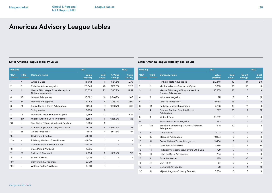| Ranking |                          |                                                              | 1H21            |                      |                          | <b>1H2O</b>              |
|---------|--------------------------|--------------------------------------------------------------|-----------------|----------------------|--------------------------|--------------------------|
| 1H21    | <b>1H2O</b>              | <b>Company name</b>                                          | Value<br>(USDm) | <b>Deal</b><br>count | % Value<br>change        | <b>Value</b><br>(USDm)   |
| 1       | 7                        | White & Case                                                 | 21,012          | 11                   | 1554.5%                  | 1,270                    |
| 2       | 9                        | Pinheiro Neto Advogados                                      | 20,348          | 43                   | 1713.5%                  | 1,122                    |
| 3       | 4                        | Mattos Filho, Veiga Filho, Marrey Jr. e<br>Quiroga Advogados | 16,835          | 22                   | 760.2%                   | 1,957                    |
| 4       | 45                       | Lefosse Advogados                                            | 16,082          | 16                   | 9646.7%                  | 165                      |
| 5       | 34                       | Madrona Advogados                                            | 10,184          | 8                    | 3537.1%                  | 280                      |
| 6       | 21                       | Souza Mello e Torres Advogados                               | 10,154          | 7                    | 1980.7%                  | 488                      |
| 7       | $\overline{\phantom{a}}$ | <b>Sidley Austin</b>                                         | 6,065           | 3                    | $\qquad \qquad -$        | $\overline{a}$           |
| 8       | 14                       | Machado Meyer Sendacz e Opice                                | 5,689           | 23                   | 707.0%                   | 705                      |
| 9       | 50                       | Mijares Angoitia Cortes y Fuentes                            | 5,553           | 6                    | 4238.3%                  | 128                      |
| 10      | $\overline{\phantom{0}}$ | Paul Weiss Rifkind Wharton & Garrison                        | 5,225           | $\overline{2}$       |                          | $\overline{\phantom{a}}$ |
| 11      | 74                       | Skadden Arps Slate Meagher & Flom                            | 5,216           | $\overline{4}$       | 10997.9%                 | 47                       |
| 12      | 68                       | Galicia Abogados                                             | 4,912           | 4                    | 8517.5%                  | 57                       |
| $13 =$  | $\overline{\phantom{0}}$ | Covington & Burling                                          | 4,800           | $\mathbf{1}$         | $\qquad \qquad -$        | -                        |
| $13 =$  | $\overline{a}$           | Pillsbury Winthrop Shaw Pittman                              | 4,800           | 1                    |                          | -                        |
| $13 =$  | $\overline{\phantom{0}}$ | Wachtell, Lipton, Rosen & Katz                               | 4,800           | $\mathbf{1}$         |                          | -                        |
| 16      | $\overline{\phantom{0}}$ | Davis Polk & Wardwell                                        | 4,585           | $\overline{7}$       | $\qquad \qquad -$        | -                        |
| 17      | 39                       | Sullivan & Cromwell                                          | 4,366           | 2                    | 1959.4%                  | 212                      |
| 18      | $\overline{\phantom{0}}$ | Vinson & Elkins                                              | 3,100           | $\overline{2}$       | $\overline{a}$           | -                        |
| $19 =$  | $\overline{\phantom{0}}$ | Convers Dill & Pearman                                       | 3,100           | $\mathbf{1}$         | $\qquad \qquad -$        | -                        |
| $19 =$  |                          | Watson, Farley & Williams                                    | 3,100           | 1                    | $\overline{\phantom{0}}$ | $\qquad \qquad -$        |
|         |                          |                                                              |                 |                      |                          |                          |

## **Latin America league table by value Latin America league table by deal count**

| Ranking |                |                                                              | 1H21                   |                      | <b>1H2O</b>     |                      |
|---------|----------------|--------------------------------------------------------------|------------------------|----------------------|-----------------|----------------------|
| 1H21    | <b>1H2O</b>    | <b>Company name</b>                                          | <b>Value</b><br>(USDm) | <b>Deal</b><br>count | Count<br>change | <b>Deal</b><br>count |
| 1       | $\mathbf{1}$   | Pinheiro Neto Advogados                                      | 20,348                 | 43                   | 14              | 29                   |
| 2       | 11             | Machado Meyer Sendacz e Opice                                | 5,689                  | 23                   | 15              | 8                    |
| 3       | $\overline{2}$ | Mattos Filho, Veiga Filho, Marrey Jr. e<br>Quiroga Advogados | 16,835                 | 22                   | 3               | 19                   |
| 4       | 6              | Veirano Advogados                                            | 311                    | 17                   | 6               | 11                   |
| 5       | 17             | Lefosse Advogados                                            | 16,082                 | 16                   | 11              | 5                    |
| 6       | 19             | Barbosa, Mussnich & Aragao                                   | 2.753                  | 15                   | 11              | 4                    |
| 7       | $\overline{4}$ | Cescon, Barrieu, Flesch & Barreto<br>Advogados               | 927                    | 13                   | $\overline{2}$  | 11                   |
| 8       | 9              | White & Case                                                 | 21.012                 | 11                   | 3               | 8                    |
| 9       | 12             | Stocche Forbes Advogados                                     | 793                    | 11                   | $\overline{4}$  | $\overline{7}$       |
| 10      | 125            | Bronstein, Zilberberg, Chueiri & Potenza<br>Advogados        | 581                    | 10                   | 9               | $\mathbf{1}$         |
| 11      | 24             | Cuatrecasas                                                  | 1,314                  | 9                    | 5               | 4                    |
| 12      | 33             | Madrona Advogados                                            | 10,184                 | 8                    | 5               | 3                    |
| 13      | 31             | Souza Mello e Torres Advogados                               | 10,154                 | $\overline{7}$       | $\overline{4}$  | 3                    |
| 14      | -              | Davis Polk & Wardwell                                        | 4.585                  | 7                    | $\overline{7}$  | 0                    |
| 15      | 14             | Philippi Prietocarrizosa, Ferrero DU & Uria                  | 729                    | 7                    | $\mathbf{1}$    | 6                    |
| 16      | 10             | Lobo de Rizzo Advogados                                      | 294                    | 7                    | $-1$            | 8                    |
| 17      | 3              | <b>Baker McKenzie</b>                                        | 225                    | 7                    | $-6$            | 13                   |
| 18      | 13             | <b>DLA Piper</b>                                             | 83                     | 7                    | O               | 7                    |
| 19      | 5              | Demarest Advogados                                           | 76                     | $\overline{7}$       | $-4$            | 11                   |
| 20      | 34             | Mijares Angoitia Cortes y Fuentes                            | 5,553                  | 6                    | 3               | 3                    |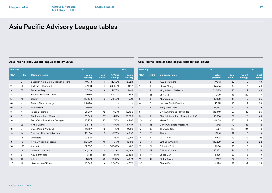### **Ranking 1H21 1H20 1H21 1H20 Company name Value (USDm) Deal count % Value change Value (USDm)** 1 9 Skadden Arps Slate Meagher & Flom 49,778 11 224.9% 15,323 2 66 Sullivan & Cromwell 47,601 11 2389.6% 1,912 3 67 Ropes & Gray 43,000 8 2267.8% 1,816 4 102 Hughes Hubbard & Reed 40,180 3 4435.0% 886 5 71 Cooley 36,208 9 2191.6% 1,580 6= - Travers Thorp Alberga 34,690 1 - - 6= - WilmerHale 34,690 1 - - 8 7 Fangda Partners 29,987 42 62.1% 18,496 9 6 Cyril Amarchand Mangaldas 26,349 37 41.7% 18,599 10 11 Freshfields Bruckhaus Deringer 25,255 20 71.7% 14,707 11 28 Kim & Chang 24,414 51 187.7% 8,487 12 5 Davis Polk & Wardwell 23,317 12 17.8% 19,788 13 44 Simpson Thacher & Bartlett 23,100 15 437.6% 4,297 14 18 Linklaters 22,876 14 76.1% 12,994 15 15 King & Wood Mallesons 22,580 46 71.1% 13,198 16 133 Ashurst 22,307 21 5063.7% 432 17 12 Latham & Watkins 22,239 28 53.8% 14,462 18 3 AZB & Partners 19,351 59 -14.1% 22,525 19 42 Allens 17,931 29 289.7% 4,601 20 48 JiaYuan Law Offices 16,545 4 306.3% 4,072

### <span id="page-26-0"></span>Asia Pacific (excl. Japan) league table by value **Asia Pacific (excl. Japan) league table by deal count**

| Ranking |                |                                  | 1H21                   |                      |                 | <b>1H2O</b>          |  |
|---------|----------------|----------------------------------|------------------------|----------------------|-----------------|----------------------|--|
| 1H21    | <b>1H2O</b>    | <b>Company name</b>              | <b>Value</b><br>(USDm) | <b>Deal</b><br>count | Count<br>change | <b>Deal</b><br>count |  |
| 1       | 2              | <b>AZB &amp; Partners</b>        | 19,351                 | 59                   | 10              | 49                   |  |
| 2       | 5              | Kim & Chang                      | 24,414                 | 51                   | 8               | 43                   |  |
| 3       | $\overline{4}$ | King & Wood Mallesons            | 22,580                 | 46                   | $\overline{2}$  | 44                   |  |
| 4       | 25             | Lee & Ko                         | 11,479                 | 46                   | 29              | 17                   |  |
| 5       | 8              | Khaitan & Co                     | 13,962                 | 44                   | 9               | 35                   |  |
| 6       | 7              | <b>Herbert Smith Freehills</b>   | 16,311                 | 43                   | 7               | 36                   |  |
| 7       | 6              | <b>Fangda Partners</b>           | 29,987                 | 42                   | 3               | 39                   |  |
| 8       | 1              | <b>Cyril Amarchand Mangaldas</b> | 26,349                 | 37                   | $-18$           | 55                   |  |
| 9       | 3              | Shardul Amarchand Mangaldas & Co | 15,536                 | 37                   | $-11$           | 48                   |  |
| 10      | 10             | MinterEllison                    | 4,809                  | 35                   | 7               | 28                   |  |
| 11      | 45             | Corrs Chambers Westgarth         | 1,542                  | 30                   | 18              | 12                   |  |
| 12      | 83             | Thomson Geer                     | 1,327                  | 30                   | 24              | 6                    |  |
| 13      | 17             | Allens                           | 17,931                 | 29                   | 10              | 19                   |  |
| 14      | 9              | <b>DLA Piper</b>                 | 6,812                  | 29                   | $-2$            | 31                   |  |
| 15      | 14             | Latham & Watkins                 | 22,239                 | 28                   | 6               | 22                   |  |
| 16      | 21             | Gilbert + Tobin                  | 13,904                 | 28                   | 10              | 18                   |  |
| 17      | 27             | <b>Clifford Chance</b>           | 15,982                 | 24                   | 8               | 16                   |  |
| 18      | 18             | Jones Day                        | 6,335                  | 22                   | 3               | 19                   |  |
| 19      | 41             | <b>Sidley Austin</b>             | 6,157                  | 22                   | 10 <sup>1</sup> | 12                   |  |
| 20      | 12             | Shin & Kim                       | 4,393                  | 22                   | $-2$            | 24                   |  |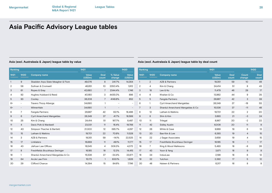## Asia (excl. Australasia & Japan) league table by value **Asia (excl. Australasia & Japan) league table by deal count**

| Ranking        |                          |                                   | 1H21            |                      |                          | 1H20                     | Ranking         |                |                                  | 1H21            |                      |                 | 1H2O            |
|----------------|--------------------------|-----------------------------------|-----------------|----------------------|--------------------------|--------------------------|-----------------|----------------|----------------------------------|-----------------|----------------------|-----------------|-----------------|
| 1H21           | 1H <sub>20</sub>         | <b>Company name</b>               | Value<br>(USDm) | <b>Deal</b><br>count | % Value<br>change        | Value<br>(USDm)          | 1H21            | 1H2O           | <b>Company name</b>              | Value<br>(USDm) | <b>Deal</b><br>count | Count<br>change | Deal<br>count   |
|                | 9                        | Skadden Arps Slate Meagher & Flom | 49,076          | 8                    | 241.7%                   | 14,364                   |                 | $\overline{2}$ | <b>AZB &amp; Partners</b>        | 19,351          | 59                   | 10 <sup>°</sup> | 49              |
| $\overline{2}$ | 58                       | Sullivan & Cromwell               | 46,851          | 10                   | 2350.4%                  | 1,912                    | $\overline{2}$  | $\overline{4}$ | Kim & Chang                      | 24,414          | 51                   | 8               | 43              |
| 3              | 61                       | Ropes & Gray                      | 42,680          | $\overline{7}$       | 2344.4%                  | 1,746                    | 3               | 18             | Lee & Ko                         | 11,479          | 46                   | 29              | 17              |
| $\overline{4}$ | 92                       | Hughes Hubbard & Reed             | 40,180          | 3                    | 4435.0%                  | 886                      | $\overline{4}$  | 6              | Khaitan & Co                     | 13,962          | 44                   | 9               | 35              |
| 5              | 93                       | Cooley                            | 36,208          | $\overline{7}$       | 4149.8%                  | 852                      | 5               | 5              | Fangda Partners                  | 29,987          | 42                   | 3               | 39              |
| $6=$           |                          | Travers Thorp Alberga             | 34,690          |                      | $\overline{\phantom{a}}$ | $\overline{\phantom{a}}$ | 6               | $\mathbf{1}$   | <b>Cyril Amarchand Mangaldas</b> | 26,349          | 37                   | $-18$           | 55              |
| $6=$           | $\overline{\phantom{a}}$ | WilmerHale                        | 34,690          | $\overline{1}$       | $\overline{\phantom{a}}$ | $\overline{\phantom{0}}$ | $\overline{7}$  | $\mathbf{3}$   | Shardul Amarchand Mangaldas & Co | 15,536          | 37                   | $-11$           | 48              |
| 8              | $\overline{7}$           | Fangda Partners                   | 29,987          | 42                   | 62.1%                    | 18,496                   | 8               | 12             | Latham & Watkins                 | 19,701          | 22                   | $\overline{2}$  | 20              |
| 9              | 6                        | Cyril Amarchand Mangaldas         | 26,349          | 37                   | 41.7%                    | 18,599                   | 9               | 8              | Shin & Kim                       | 3,893           | 21                   | $-3$            | 24              |
| 10             | 25                       | Kim & Chang                       | 24,414          | 51                   | 187.7%                   | 8,487                    | 10 <sup>°</sup> | 11             | Trilegal                         | 8.967           | 20                   | $-2$            | 22              |
| 11             | $\overline{4}$           | Davis Polk & Wardwell             | 23,031          | 11                   | 16.4%                    | 19,788                   | 11              | 42             | <b>Sidley Austin</b>             | 6,008           | 20                   | 11              | 9               |
| 12             | 40                       | Simpson Thacher & Bartlett        | 21,300          | 12                   | 395.7%                   | 4,297                    | 12              | 26             | White & Case                     | 9.989           | 19                   | 6               | 13              |
| 13             | 15 <sup>15</sup>         | Latham & Watkins                  | 19,701          | 22                   | 70.9%                    | 11,528                   | 13              | 20             | Bae Kim & Lee                    | 6,393           | 19                   | $\overline{4}$  | 15              |
| 14             | 3                        | <b>AZB &amp; Partners</b>         | 19,351          | 59                   | $-14.1%$                 | 22,525                   | 14              | 22             | J Sagar Associates               | 3,658           | 19                   | $\overline{4}$  | 15              |
| 15             | 17                       | Linklaters                        | 16,669          | 11                   | 49.1%                    | 11,177                   | 15              | 17             | Freshfields Bruckhaus Deringer   | 16,185          | 18                   | $\overline{1}$  | 17              |
| 16             | 43                       | JiaYuan Law Offices               | 16,545          | 4                    | 306.3%                   | 4,072                    | 16              | $\overline{7}$ | King & Wood Mallesons            | 5,493           | 18                   | -8              | 26              |
| 17             | 8                        | Freshfields Bruckhaus Deringer    | 16,185          | 18                   | 12.3%                    | 14,415                   | 17              | 43             | Yoon & Yang                      | 3,871           | 18                   | 9               | 9               |
| 18             |                          | Shardul Amarchand Mangaldas & Co  | 15,536          | 37                   | $-34.4%$                 | 23,671                   | 18              | 34             | IndusLaw                         | 2,198           | 18                   | 6               | 12 <sup>°</sup> |
| 19             | 64                       | AnJie Law Firm                    | 15,173          | $\overline{1}$       | 833.1%                   | 1,626                    | 19              | 32             | Yulchon                          | 2,392           | 17                   | 5               | 12              |
| 20             | 29                       | Clifford Chance                   | 14,394          | 15                   | 84.6%                    | 7,796                    | 20              | 48             | Haiwen & Partners                | 6,317           | 16                   | 8               | 8               |
|                |                          |                                   |                 |                      |                          |                          |                 |                |                                  |                 |                      |                 |                 |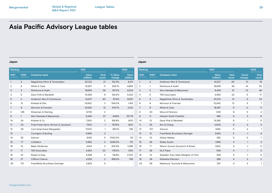### **Japan Japan**

| Ranking        |                          |                                       | 1H21            |                      |                          | <b>1H2O</b>              | Ranking        |                 |                                   | 1H21            |                          |                 | <b>1H2O</b>    |
|----------------|--------------------------|---------------------------------------|-----------------|----------------------|--------------------------|--------------------------|----------------|-----------------|-----------------------------------|-----------------|--------------------------|-----------------|----------------|
| 1H21           | <b>1H2O</b>              | <b>Company name</b>                   | Value<br>(USDm) | <b>Deal</b><br>count | % Value<br>change        | Value<br>(USDm)          | 1H21           | <b>1H2O</b>     | <b>Company name</b>               | Value<br>(USDm) | Deal<br>count            | Count<br>change | Deal<br>count  |
|                | 3                        | Nagashima Ohno & Tsunematsu           | 20,213          | 21                   | 152.3%                   | 8,011                    |                | $\overline{4}$  | Anderson Mori & Tomotsune         | 14,337          | 40                       | 21              | 19             |
| $\overline{2}$ | 6                        | White & Case                          | 18,367          | 11                   | 292.1%                   | 4,684                    | $\overline{2}$ | $\mathbf{1}$    | Nishimura & Asahi                 | 16,629          | 38                       | $-14$           | 52             |
| 3              | $\overline{4}$           | Nishimura & Asahi                     | 16,629          | 38                   | 167.2%                   | 6,224                    | 3              | 2               | Mori Hamada & Matsumoto           | 8.449           | 37                       | $-12$           | 49             |
| $\overline{4}$ | 5                        | Davis Polk & Wardwell                 | 15,393          | 6                    | 194.2%                   | 5,232                    | $\overline{4}$ | 5               | <b>TMI Associates</b>             | 4,453           | 22                       | 5               | 17             |
| 5              | $\overline{2}$           | Anderson Mori & Tomotsune             | 14,337          | 40                   | 67.4%                    | 8,567                    | 5              | 3               | Nagashima Ohno & Tsunematsu       | 20,213          | 21                       | -3              | 24             |
| 6              | 12 <sup>°</sup>          | Kirkland & Ellis                      | 12,650          | 3                    | 794.0%                   | 1,415                    | 6              | 9               | Morrison & Foerster               | 10,542          | 12                       | 5               | $7^{\circ}$    |
| $\overline{7}$ | 9                        | Morrison & Foerster                   | 10,542          | 12                   | 374.7%                   | 2,221                    | $\overline{7}$ | 6               | White & Case                      | 18,367          | 11                       | $\circ$         | 11             |
| 8              | 146                      | Shearman & Sterling                   | 9,735           | $\overline{2}$       |                          | $\overline{\phantom{a}}$ | 8              | 20              | Miura & Partners                  | 1,129           | 9                        | 5               | $\overline{4}$ |
| 9              |                          | Mori Hamada & Matsumoto               | 8,449           | 37                   | $-49.6%$                 | 16,778                   | 9              | 11              | <b>Herbert Smith Freehills</b>    | 468             | 9                        | 3               | 6              |
| 10             | 24                       | Khaitan & Co                          | 7,350           | $\overline{2}$       | 818.8%                   | 800                      | 10             | 13              | Davis Polk & Wardwell             | 15,393          | 6                        |                 | 5              |
| 11             | 23                       | Fried Frank Harris Shriver & Jacobson | 7,100           | $\overline{1}$       | 787.5%                   | 800                      | 11             | 25              | Kim & Chang                       | 2,503           | 6                        | 3               | $\mathbf{3}$   |
| 12             | 29                       | <b>Cyril Amarchand Mangaldas</b>      | 7,000           | $\overline{1}$       | 851.1%                   | 736                      | 12             | 101             | Ashurst                           | 6,182           | 5                        | $\overline{4}$  |                |
| 13             | $\overline{\phantom{0}}$ | Covington & Burling                   | 6,883           | $\overline{2}$       | $\overline{\phantom{0}}$ | $\overline{\phantom{a}}$ | 13             | 12              | Freshfields Bruckhaus Deringer    | 3,824           | 5                        | $-1$            | 6              |
| 14             | 92                       | Ashurst                               | 6,182           | 5                    | 11140.0%                 | 55                       | 14             | 10 <sup>°</sup> | Hibiya-Nakata                     | 292             | 5                        | -2              | $7^{\circ}$    |
| 15             | 77                       | Linklaters                            | 5,883           | $\overline{2}$       | 5248.2%                  | 110                      | 15             | 28              | <b>Sidley Austin</b>              | 1,955           | $\overline{4}$           | $\mathbf{1}$    | 3              |
| 16             | 14                       | <b>Baker McKenzie</b>                 | 4,914           | 3                    | 352.5%                   | 1,086                    | 16             | 17              | Wilson Sonsini Goodrich & Rosati  | 1,550           | $\overline{\mathcal{A}}$ | $-1$            | 5              |
| 17             | 11                       | <b>TMI Associates</b>                 | 4,453           | 22                   | 176.2%                   | 1,612                    | 17             | 29              | <b>DLA Piper</b>                  | 546             | $\overline{4}$           | $\mathbf{1}$    | 3              |
| 18             | 10                       | Ropes & Gray                          | 4,398           | $\overline{2}$       | 118.8%                   | 2,010                    | 18             | 14              | Skadden Arps Slate Meagher & Flom | 529             | 4                        | $-1$            | 5              |
| 19             | 27                       | Clifford Chance                       | 4,228           | 3                    | 459.3%                   | 756                      | 19             | 36              | Kitahama Partners                 | 288             | $\overline{4}$           | 2               | $\overline{2}$ |
| 20             | 112                      | Freshfields Bruckhaus Deringer        | 3,824           | 5                    | $\overline{\phantom{a}}$ | $\overline{\phantom{a}}$ | 20             | 56              | Nakamura, Tsunoda & Matsumoto     | 247             | $\overline{4}$           | 3               |                |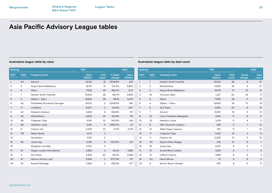### **Australasia league table by value Australasia league table by deal count**

### **Ranking 1H21 1H20 1H21 1H20 Company name Value (USDm) Deal count Count change Deal count** 1 1 Herbert Smith Freehills 15,543 36 9 27 2 2 MinterEllison 4,809 35 8 27 3 3 King & Wood Mallesons 18,176 31 10 21 4 19 Thomson Geer 1,327 30 24 6 5 5 Allens 17,515 28 11 17 6 4 Gilbert + Tobin 13,904 28 10 18 7 6 DLA Piper 2,623 20 6 14 8 7 Ashurst 22,191 18 6 12 9 10 Corrs Chambers Westgarth 1,542 17 6 11 10 32 Hamilton Locke 3,241 11 8 3 11 8 HWL Ebsworth Lawyers 229 11 -1 12 12 12 Talbot Sayer Lawyers 120 120 11 1 10 13 17 Chapman Tripp 3,391 10 4 6 14 11 Clayton Utz 3,209 10 0 10 15 121 Squire Patton Boggs 619 10 9 1 16 16 Jones Day 3,012 9 2 7 17 15 Arnold Bloch Leibler 1,828 9 1 8 18 31 Clifford Chance 1,588 9 6 3 19 30 Hall & Wilcox 73 9 6 3 20 9 Norton Rose Fulbright 1151 8 -3 11 **Ranking 1H21 1H20 1H21 1H20 Company name Value (USDm) Deal count % Value change Value (USDm)** 1 40 Ashurst 22,191 18 5036.8% 432 2 3 King & Wood Mallesons 18,176 31 210.2% 5,860 3 6 Allens 17,515 28 452.3% 3,171 4 1 Herbert Smith Freehills 15,543 36 126.7% 6,855 5 2 Gilbert + Tobin 13,904 28 118.1% 6,375 6 43 Freshfields Bruckhaus Deringer 9,070 2 3006.2% 292 7 17 Linklaters 6,207 3 241.6% 1,817 8 33 Simpson Grierson 4,823 6 843.8% 511 9 26 MinterEllison 4,809 35 557.9% 731 10 46 Chapman Tripp 3,391 10 1413.8% 224 11 90 Hamilton Locke 3.241 11 13991.3% 23 12 5 Clayton Utz 3,209 10 -2.0% 3,274 13 116 Mayer Brown 3 - 3,137 3 - - -14 - Goodmans 3,137 2 - - 15 48 Jones Day 3,012 9 1307.5% 214 16 - Slaughter and May 10 2,757 3 - - -17 16 Hogan Lovells International 2,658 4 42.4% 1,866 18 4 DLA Piper 2,623 20 -25.0% 3,498 19= 47 Harmos Horton Lusk 2,554 2 1077.0% 217 19= 35 Russell McVeagh 2,554 2 435.4% 477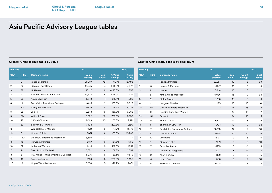| Ranking        |                |                                       | 1H21                   |                      |                          | <b>1H2O</b>              | Ranking        |                          |                                | 1H21                     |                  |
|----------------|----------------|---------------------------------------|------------------------|----------------------|--------------------------|--------------------------|----------------|--------------------------|--------------------------------|--------------------------|------------------|
| 1H21           | <b>1H2O</b>    | <b>Company name</b>                   | <b>Value</b><br>(USDm) | <b>Deal</b><br>count | % Value<br>change        | Value<br>(USDm)          | 1H21           | <b>1H2O</b>              | <b>Company name</b>            | Value<br>(USDm)          | Г<br>$_{\rm co}$ |
|                | $\overline{2}$ | <b>Fangda Partners</b>                | 29,987                 | 42                   | 62.1%                    | 18,496                   |                |                          | Fangda Partners                | 29,987                   |                  |
| $\overline{2}$ | 22             | JiaYuan Law Offices                   | 16,545                 | 4                    | 306.3%                   | 4,072                    | $\overline{2}$ | 18                       | Haiwen & Partners              | 6,317                    |                  |
| 3              | 88             | Linklaters                            | 16,127                 | 9                    | 6150.8%                  | 258                      | 3              | 9                        | JunHe                          | 8,648                    |                  |
| 4              | 42             | Simpson Thacher & Bartlett            | 15,622                 | 6                    | 1079.9%                  | 1,324                    | 4              | $\overline{2}$           | King & Wood Mallesons          | 5,036                    |                  |
| 5              | 38             | AnJie Law Firm                        | 15,173                 | $\mathbf{1}$         | 833.1%                   | 1,626                    | 5              | 29                       | <b>Sidley Austin</b>           | 3,258                    |                  |
| 6              | 19             | Freshfields Bruckhaus Deringer        | 13,615                 | 12                   | 155.5%                   | 5,328                    | 6              | $\overline{\phantom{0}}$ | Hengeler Mueller               | 180                      |                  |
| 7              | 20             | Slaughter and May                     | 11,605                 | 5                    | 174.2%                   | 4,233                    | $7=$           | 161                      | Corrs Chambers Westgarth       | $\qquad \qquad -$        |                  |
| 8              | 25             | JunHe                                 | 8,648                  | 15                   | 156.8%                   | 3,368                    | $7=$           | 90                       | Heuking Kuhn Luer Wojtek       | $\overline{\phantom{a}}$ |                  |
| 9              | 50             | White & Case                          | 8,622                  | 13                   | 759.6%                   | 1,003                    | $7=$           | 191                      | Schjodt                        | $\overline{\phantom{a}}$ |                  |
| 10             | 28             | Clifford Chance                       | 8,068                  | 10                   | 255.3%                   | 2,271                    | 10             | 36                       | White & Case                   | 8,622                    |                  |
| 11             | 32             | Sullivan & Cromwell                   | 7,404                  | 7                    | 293.8%                   | 1,880                    | 11             | 4                        | Zhong Lun Law Firm             | 1,794                    |                  |
| 12             | 11             | Weil Gotshal & Manges                 | 7,170                  | 3                    | $-14.7%$                 | 8,410                    | 12             | 12                       | Freshfields Bruckhaus Deringer | 13,615                   |                  |
| 13             | 6              | Kirkland & Ellis                      | 7,071                  | 8                    | $-35.6%$                 | 10,983                   | 13             | 10 <sup>°</sup>          | Clifford Chance                | 8,068                    |                  |
| 14             | 180            | De Brauw Blackstone Westbroek         | 6,565                  | 3                    | $\overline{\phantom{a}}$ | $\overline{\phantom{a}}$ | 14             | 30                       | Linklaters                     | 16,127                   |                  |
| 15             | 45             | Haiwen & Partners                     | 6,317                  | 16                   | 454.6%                   | 1,139                    | 15             | 11                       | Kirkland & Ellis               | 7,071                    |                  |
| 16             | 31             | Latham & Watkins                      | 6,118                  | 6                    | 212.6%                   | 1,957                    | 16             | 17                       | <b>Baker McKenzie</b>          | 5,159                    |                  |
| 17             | 24             | Davis Polk & Wardwell                 | 5,652                  | $\overline{4}$       | 58.8%                    | 3,559                    | 17             | $\overline{7}$           | Jingtian & Gongcheng           | 1,313                    |                  |
| 18             | 8              | Paul Weiss Rifkind Wharton & Garrison | 5,376                  | 5                    | $-39.5%$                 | 8,879                    | 18             | 34                       | Allen & Overy                  | 1,162                    |                  |
| 19             | 43             | <b>Baker McKenzie</b>                 | 5,159                  | 8                    | 295.3%                   | 1,305                    | 19             | 14                       | Jones Day                      | 803                      |                  |
| 20             | 16             | King & Wood Mallesons                 | 5,036                  | 15                   | $-28.9%$                 | 7,081                    | 20             | 42                       | Sullivan & Cromwell            | 7,404                    |                  |

## **Greater China league table by value Greater China league table by deal count**

| Ranking |                |                                | 1H21                     |                      |                 | <b>1H2O</b>          |
|---------|----------------|--------------------------------|--------------------------|----------------------|-----------------|----------------------|
| 1H21    | <b>1H2O</b>    | <b>Company name</b>            | <b>Value</b><br>(USDm)   | <b>Deal</b><br>count | Count<br>change | <b>Deal</b><br>count |
| 1       | $\mathbf{1}$   | Fangda Partners                | 29,987                   | 42                   | 3               | 39                   |
| 2       | 18             | Haiwen & Partners              | 6,317                    | 16                   | 8               | 8                    |
| 3       | 9              | JunHe                          | 8,648                    | 15                   | 3               | 12                   |
| 4       | $\overline{2}$ | King & Wood Mallesons          | 5,036                    | 15                   | -9              | 24                   |
| 5       | 29             | <b>Sidley Austin</b>           | 3,258                    | 15                   | 9               | 6                    |
| 6       | -              | Hengeler Mueller               | 180                      | 15                   | 15              | O                    |
| $7 =$   | 161            | Corrs Chambers Westgarth       | $\overline{\phantom{a}}$ | 14                   | 13              | 1                    |
| $7 =$   | 90             | Heuking Kuhn Luer Wojtek       | $\overline{\phantom{a}}$ | 14                   | 12              | 2                    |
| $7=$    | 191            | Schjodt                        | $\qquad \qquad -$        | 14                   | 13              | 1                    |
| 10      | 36             | White & Case                   | 8,622                    | 13                   | 8               | 5                    |
| 11      | 4              | Zhong Lun Law Firm             | 1,794                    | 13                   | $-9$            | 22                   |
| 12      | 12             | Freshfields Bruckhaus Deringer | 13,615                   | 12                   | $\overline{2}$  | 10                   |
| 13      | 10             | <b>Clifford Chance</b>         | 8,068                    | 10                   | $-1$            | 11                   |
| 14      | 30             | Linklaters                     | 16,127                   | 9                    | 3               | 6                    |
| 15      | 11             | Kirkland & Ellis               | 7,071                    | 8                    | $-2$            | 10                   |
| 16      | 17             | <b>Baker McKenzie</b>          | 5,159                    | 8                    | $-1$            | 9                    |
| 17      | 7              | Jingtian & Gongcheng           | 1,313                    | 8                    | $-5$            | 13                   |
| 18      | 34             | Allen & Overy                  | 1,162                    | 8                    | 3               | 5                    |
| 19      | 14             | Jones Day                      | 803                      | 8                    | $-2$            | 10                   |
| 20      | 42             | Sullivan & Cromwell            | 7.404                    | 7                    | 3               | 4                    |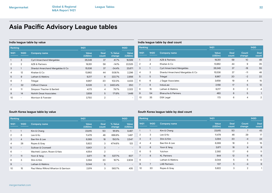| Ranking        |                |                                   | 1H21            |                | <b>1H2O</b>       |                        |
|----------------|----------------|-----------------------------------|-----------------|----------------|-------------------|------------------------|
| 1H21           | <b>1H2O</b>    | <b>Company name</b>               | Value<br>(USDm) | Deal<br>count  | % Value<br>change | <b>Value</b><br>(USDm) |
| 1              | 3              | <b>Cyril Amarchand Mangaldas</b>  | 26,349          | 37             | 41.7%             | 18,599                 |
| $\overline{2}$ | $\overline{2}$ | AZB & Partners                    | 19.351          | 59             | $-14.1%$          | 22,525                 |
| 3              | $\mathbf{1}$   | Shardul Amarchand Mangaldas & Co. | 15.536          | 37             | $-34.4%$          | 23,671                 |
| 4              | 12             | Khaitan & Co                      | 13.962          | 44             | 508.1%            | 2.296                  |
| 5              | 9              | Latham & Watkins                  | 9,217           | 6              | 222.7%            | 2,856                  |
| 6              | 7              | Trilegal                          | 8,967           | 20             | 102.3%            | 4,433                  |
| 7              | 32             | <b>Clifford Chance</b>            | 6,326           | 3              | 2430.4%           | 250                    |
| 8              | 11             | Simpson Thacher & Bartlett        | 4.173           | 4              | 79.7%             | 2,322                  |
| 9              | 14             | Nishith Desai Associates          | 3,938           | 5              | 171.8%            | 1,449                  |
| 10             |                | Morrison & Foerster               | 3.750           | $\overline{2}$ |                   |                        |

### **India league table by value India league table by deal count**

| Ranking |                  |                                  | 1H21                   |               |                 | <b>1H2O</b>          |
|---------|------------------|----------------------------------|------------------------|---------------|-----------------|----------------------|
| 1H21    | 1H <sub>20</sub> | <b>Company name</b>              | <b>Value</b><br>(USDm) | Deal<br>count | Count<br>change | <b>Deal</b><br>count |
|         | 2                | <b>AZB &amp; Partners</b>        | 19,351                 | 59            | 10              | 49                   |
| 2       | $\overline{4}$   | Khaitan & Co                     | 13,962                 | 44            | 9               | 35                   |
| 3       | 1                | <b>Cyril Amarchand Mangaldas</b> | 26,349                 | 37            | $-18$           | 55                   |
| 4       | 3                | Shardul Amarchand Mangaldas & Co | 15,536                 | 37            | $-11$           | 48                   |
| 5       | 5                | Trilegal                         | 8,967                  | 20            | $-2$            | 22                   |
| 6       | 6                | J Sagar Associates               | 3,658                  | 19            | $\overline{4}$  | 15                   |
| 7       | 8                | IndusLaw                         | 2,158                  | 17            | 5               | 12                   |
| 8       | 15               | Latham & Watkins                 | 9,217                  | 6             | $\overline{2}$  | 4                    |
| 9       | 54               | <b>Bharucha &amp; Partners</b>   | 483                    | 6             | 5               | $\mathbf{1}$         |
| 10      | 35               | <b>DSK Legal</b>                 | 173                    | 6             | 4               | $\overline{2}$       |
|         |                  |                                  |                        |               |                 |                      |

## **South Korea league table by value South Korea league table by deal count**

| Ranking        |                          |                                       | 1H21            |                 |                          | 1H <sub>20</sub>         | Ranking |                |                     | 1H <sub>21</sub> |                      |                 | 1H <sub>20</sub> |
|----------------|--------------------------|---------------------------------------|-----------------|-----------------|--------------------------|--------------------------|---------|----------------|---------------------|------------------|----------------------|-----------------|------------------|
| 1H21           | 1H20                     | <b>Company name</b>                   | Value<br>(USDm) | Deal<br>count   | % Value<br>change        | Value<br>(USDm)          | 1H21    | <b>1H2O</b>    | <b>Company name</b> | Value<br>(USDm)  | <b>Deal</b><br>count | Count<br>change | Deal<br>count    |
|                |                          | Kim & Chang                           | 23,915          | 50              | 181.8%                   | 8,487                    |         |                | Kim & Chang         | 23,915           | 50                   | $\overline{7}$  | 43               |
| 2              | 6                        | Lee & Ko                              | 11,479          | 46              | 666.8%                   | 1,497                    | 2       | 3              | Lee & Ko            | 11,479           | 46                   | 29              | 17               |
| 3              | $\overline{4}$           | Bae Kim & Lee                         | 6,369           | 18              | 150.1%                   | 2,547                    | 3       | 2              | Shin & Kim          | 3,394            | 20                   | $-4$            | 24               |
| 4              | 28                       | Ropes & Gray                          | 5,922           | 3               | 4714.6%                  | 123                      | 4       | 4              | Bae Kim & Lee       | 6,369            | 18                   | 3               | 15               |
| 5              | $-$                      | Sullivan & Cromwell                   | 5,901           | 3               | $-$                      | $\overline{\phantom{0}}$ | 5       | 6              | Yoon & Yang         | 3,871            | 18                   | 9               | 9                |
| 6              | $\overline{\phantom{0}}$ | Wachtell, Lipton, Rosen & Katz        | 4,554           | $\overline{2}$  | $\overline{\phantom{a}}$ | $\overline{\phantom{a}}$ | 6       | 5              | Yulchon             | 2,392            | 17                   | 6               | 11               |
| $\overline{7}$ | 11                       | Yoon & Yang                           | 3,871           | 18              | 537.7%                   | 607                      |         | 8              | <b>KL Partners</b>  | 844              | 12                   | 6               | 6                |
| 8              | 3                        | Shin & Kim                            | 3,394           | 20              | 16.7%                    | 2,908                    | 8       | $\sim$         | Latham & Watkins    | 3,044            | 5                    | 5               | $\Omega$         |
| 9              | $-$                      | Latham & Watkins                      | 3,044           | $5\overline{)}$ | $-$                      | $\overline{\phantom{0}}$ | 9       | $\overline{7}$ | <b>LAB Partners</b> | 107              | 5                    | $-4$            | 9                |
| 10             | 15                       | Paul Weiss Rifkind Wharton & Garrison | 2,974           | 3               | 583.7%                   | 435                      | 10      | 30             | Ropes & Gray        | 5,922            | 3                    | $\overline{2}$  |                  |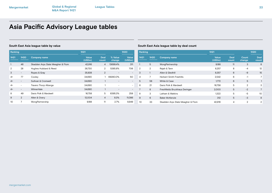| Ranking        |                          |                                   | 1H21            |                      |                          | <b>1H2O</b>              | Ranking        |                |             |
|----------------|--------------------------|-----------------------------------|-----------------|----------------------|--------------------------|--------------------------|----------------|----------------|-------------|
| 1H21           | <b>1H2O</b>              | <b>Company name</b>               | Value<br>(USDm) | <b>Deal</b><br>count | % Value<br>change        | Value<br>(USDm)          | 1H21           | <b>1H2O</b>    | Company     |
|                | 46                       | Skadden Arps Slate Meagher & Flom | 42,916          | 4                    | 13699.4%                 | 311                      |                | 5              | WongPartn   |
| $\overline{2}$ | 28                       | Hughes Hubbard & Reed             | 38,730          | 2                    | 5385.8%                  | 706                      | $\overline{2}$ | $\overline{2}$ | Rajah & Tar |
| 3              | $\qquad \qquad -$        | Ropes & Gray                      | 35,838          | 2                    |                          | $\overline{\phantom{a}}$ | 3              |                | Allen & Gle |
| $4=$           | 77                       | Cooley                            | 34.690          |                      | 69280.0%                 | 50                       | $\overline{4}$ | $\overline{7}$ | Herbert Sn  |
| $4=$           | $\overline{\phantom{0}}$ | Sullivan & Cromwell               | 34.690          |                      | $\qquad \qquad$          | $\overline{\phantom{a}}$ | 5              | 58             | White & Ca  |
| $4=$           | $\overline{\phantom{0}}$ | <b>Travers Thorp Alberga</b>      | 34.690          |                      | $\overline{\phantom{0}}$ | $\overline{\phantom{a}}$ | 6              | 21             | Davis Polk  |
| $4=$           | $\qquad \qquad -$        | WilmerHale                        | 34,690          |                      | $\qquad \qquad$          | $\overline{\phantom{a}}$ | 7              | 8              | Freshfields |
| 8              | 49                       | Davis Polk & Wardwell             | 16,758          | 5                    | 6395.3%                  | 258                      | 8              | 3              | Latham & V  |
| 9              | $\overline{2}$           | Allen & Overy                     | 12,004          | $\overline{4}$       | 8.3%                     | 11,086                   | 9              | 6              | Baker McK   |
| 10             | 7                        | WongPartnership                   | 9,188           | 11                   | 2.7%                     | 8,949                    | 10             | 33             | Skadden A   |

## **South East Asia league table by value South East Asia league table by deal count**

| Ranking        |                |                                   | 1H21                   |                      |                 | 1H2O                 |
|----------------|----------------|-----------------------------------|------------------------|----------------------|-----------------|----------------------|
| 1H21           | 1H2O           | <b>Company name</b>               | <b>Value</b><br>(USDm) | <b>Deal</b><br>count | Count<br>change | <b>Deal</b><br>count |
|                | 5              | WongPartnership                   | 9,188                  | 11                   | 3               | 8                    |
| $\overline{2}$ | $\overline{2}$ | Rajah & Tann                      | 8,257                  | 8                    | $-4$            | 12                   |
| 3              | 1              | Allen & Gledhill                  | 8,357                  | 6                    | $-9$            | 15                   |
| 4              | 7              | <b>Herbert Smith Freehills</b>    | 2,542                  | 6                    | $-1$            | $7^{\circ}$          |
| 5              | 58             | White & Case                      | 1,772                  | 6                    | 5               |                      |
| 6              | 21             | Davis Polk & Wardwell             | 16,758                 | 5                    | $\mathbf{2}$    | 3                    |
| 7              | 8              | Freshfields Bruckhaus Deringer    | 2,000                  | 5                    | $-2$            | 7                    |
| 8              | 3              | Latham & Watkins                  | 1,322                  | 5                    | -5              | 10                   |
| 9              | 6              | <b>Baker McKenzie</b>             | 312                    | 5                    | $-3$            | 8                    |
| 10             | 33             | Skadden Arps Slate Meagher & Flom | 42,916                 | $\overline{4}$       | $\mathbf{2}$    | 2                    |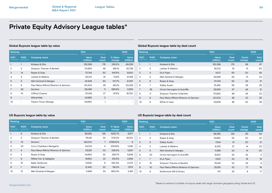| Ranking        |                          |                                       | 1H21                   |               |                   | <b>1H2O</b>     |
|----------------|--------------------------|---------------------------------------|------------------------|---------------|-------------------|-----------------|
| 1H21           | <b>1H2O</b>              | <b>Company name</b>                   | <b>Value</b><br>(USDm) | Deal<br>count | % Value<br>change | Value<br>(USDm) |
|                | 1                        | Kirkland & Ellis                      | 152,299                | 176           | 238.2%            | 45,026          |
| $\overline{2}$ | $\overline{2}$           | Simpson Thacher & Bartlett            | 121.853                | 49            | 185.1%            | 42.736          |
| 3              | 14                       | Ropes & Gray                          | 70,744                 | 63            | 641.6%            | 9,540           |
| 4              | 3                        | Latham & Watkins                      | 55,212                 | 91            | 73.8%             | 31,768          |
| 5              | 5                        | Weil Gotshal & Manges                 | 42,949                 | 64            | 101.7%            | 21,297          |
| 6              | 6                        | Paul Weiss Rifkind Wharton & Garrison | 40,303                 | 48            | 98.2%             | 20,339          |
| 7              | 28                       | Dechert                               | 38,086                 | 11            | 585.6%            | 5,555           |
| 8              | 10                       | Clifford Chance                       | 37,038                 | 27            | 97.5%             | 18,750          |
| 9              | $\overline{\phantom{0}}$ | WilmerHale                            | 34,965                 | 2             |                   |                 |
| 10             |                          | Travers Thorp Alberga                 | 34.690                 |               |                   |                 |

### <span id="page-33-0"></span>**Global Buyouts league table by value Global Buyouts league table by deal count**

| Ranking        |                |                                       | 1H21                   |                      |                 | 1H <sub>20</sub> |
|----------------|----------------|---------------------------------------|------------------------|----------------------|-----------------|------------------|
| 1H21           | <b>1H2O</b>    | <b>Company name</b>                   | <b>Value</b><br>(USDm) | <b>Deal</b><br>count | Count<br>change | Deal<br>count    |
| 1              | $\mathbf{1}$   | Kirkland & Ellis                      | 152,299                | 176                  | 89              | 87               |
| $\overline{2}$ | 3              | Latham & Watkins                      | 55.212                 | 91                   | 41              | 50               |
| 3              | $\overline{4}$ | <b>DLA Piper</b>                      | 4,107                  | 65                   | 20              | 45               |
| 4              | 5              | Weil Gotshal & Manges                 | 42,949                 | 64                   | 31              | 33               |
| 5              | 6              | Ropes & Gray                          | 70,744                 | 63                   | 32              | 31               |
| 6              | 7              | <b>Sidley Austin</b>                  | 15,492                 | 58                   | 29              | 29               |
| 7              | 26             | Orrick Herrington & Sutcliffe         | 25,555                 | 57                   | 45              | 12               |
| 8              | 11             | Simpson Thacher & Bartlett            | 121.853                | 49                   | 26              | 23               |
| 9              | 9              | Paul Weiss Rifkind Wharton & Garrison | 40,303                 | 48                   | 22              | 26               |
| 10             | 8              | White & Case                          | 23,636                 | 48                   | 20              | 28               |

| Ranking |                | 1H21                                  |                        |               | <b>1H2O</b>       |                        |
|---------|----------------|---------------------------------------|------------------------|---------------|-------------------|------------------------|
| 1H21    | 1H20           | <b>Company name</b>                   | <b>Value</b><br>(USDm) | Deal<br>count | % Value<br>change | <b>Value</b><br>(USDm) |
|         | 6              | Kirkland & Ellis                      | 86,385                 | 129           | 1635.7%           | 4,977                  |
| 2       | $\overline{2}$ | Simpson Thacher & Bartlett            | 76.441                 | 33            | 1174.0%           | 6,000                  |
| 3       | 74             | Dechert                               | 38,000                 | 7             | 474900%           | 8                      |
| 4       | 24             | Corrs Chambers Westgarth              | 34,014                 | 4             | 3154.9%           | 1,045                  |
| 5       | $\overline{4}$ | Paul Weiss Rifkind Wharton & Garrison | 25,581                 | 33            | 338.3%            | 5,837                  |
| 6       | 3              | Ropes & Gray                          | 24,952                 | 52            | 326.7%            | 5,848                  |
| 7       | 9              | Willkie Farr & Gallagher              | 16,653                 | 23            | 551.5%            | 2,556                  |
| 8       | 15             | Baker McKenzie                        | 13.535                 | 6             | 552.3%            | 2,075                  |
| 9       | $\mathbf{1}$   | White & Case                          | 12,442                 | 22            | 56.0%             | 7,975                  |
| 10      | 12             | Weil Gotshal & Manges                 | 11.459                 | 34            | 360.0%            | 2,491                  |

### **US Buyouts league table by value US Buyouts league table by deal count**

| Ranking |      |                                       | 1H21                   |                      |                 | 1H2O                 |
|---------|------|---------------------------------------|------------------------|----------------------|-----------------|----------------------|
| 1H21    | 1H20 | <b>Company name</b>                   | <b>Value</b><br>(USDm) | <b>Deal</b><br>count | Count<br>change | <b>Deal</b><br>count |
| 1       | 1    | Kirkland & Ellis                      | 86,385                 | 129                  | 65              | 64                   |
| 2       | 4    | Ropes & Gray                          | 24,952                 | 52                   | 30              | 22                   |
| 3       | 5    | <b>Sidley Austin</b>                  | 7.244                  | 41                   | 20              | 21                   |
| 4       | 3    | Latham & Watkins                      | 8,335                  | 37                   | 14              | 23                   |
| 5       | 6    | Weil Gotshal & Manges                 | 11,459                 | 34                   | 14              | 20                   |
| 6       | 53   | Orrick Herrington & Sutcliffe         | 9,350                  | 34                   | 32              | $\overline{2}$       |
| 7       | 7    | <b>DLA Piper</b>                      | 3.102                  | 34                   | 16              | 18                   |
| 8       | 18   | Simpson Thacher & Bartlett            | 76,441                 | 33                   | 24              | 9                    |
| 9       | 10   | Paul Weiss Rifkind Wharton & Garrison | 25,581                 | 33                   | 17              | 16                   |
| 10      | 9    | McDermott Will & Emery                | 110                    | 25                   | 8               | 17                   |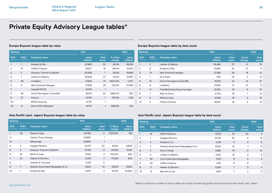| Ranking |                          |                               | 1H21                   |               |                          | <b>1H2O</b>     |
|---------|--------------------------|-------------------------------|------------------------|---------------|--------------------------|-----------------|
| 1H21    | <b>1H2O</b>              | <b>Company name</b>           | <b>Value</b><br>(USDm) | Deal<br>count | % Value<br>change        | Value<br>(USDm) |
|         | 1                        | Kirkland & Ellis              | 47,480                 | 32            | 62.4%                    | 29,239          |
| 2       | 10 <sup>2</sup>          | Clifford Chance               | 35,617                 | 18            | 344.1%                   | 8,020           |
| 3       | $\overline{2}$           | Simpson Thacher & Bartlett    | 30,585                 | 7             | 52.9%                    | 19,999          |
| 4       | 7                        | Latham & Watkins              | 29,446                 | 37            | 132.1%                   | 12,687          |
| 5       | 38                       | Linklaters                    | 27,824                 | 21            | 2500.4%                  | 1,070           |
| 6       | 8                        | Weil Gotshal & Manges         | 27,285                 | 28            | 162.5%                   | 10,396          |
| 7       | $\overline{\phantom{0}}$ | Cappelli RCCD                 | 21,764                 | 1             | $\overline{\phantom{0}}$ |                 |
| 8       | 46                       | Orrick Herrington & Sutcliffe | 16.105                 | 22            | 2985.2%                  | 522             |
| 9       | 37                       | Ashurst                       | 14.015                 | 7             | 1131.5%                  | 1,138           |
| $10 =$  | -                        | <b>BDGS Associes</b>          | 12,737                 | 1             | $\overline{\phantom{0}}$ | -               |
| $10 =$  | 41                       | Davis Polk & Wardwell         | 12,737                 |               | 1589.3%                  | 754             |

### **Europe Buyouts league table by value Europe Buyouts league table by deal count**

| Ranking |                 |                                | 1H21                   |                      |                 |                      |  |
|---------|-----------------|--------------------------------|------------------------|----------------------|-----------------|----------------------|--|
| 1H21    | <b>1H2O</b>     | <b>Company name</b>            | <b>Value</b><br>(USDm) | <b>Deal</b><br>count | Count<br>change | <b>Deal</b><br>count |  |
| 1       | 2               | Latham & Watkins               | 29,446                 | 37                   | 21              | 16                   |  |
| 2       | 8               | Kirkland & Ellis               | 47,480                 | 32                   | 21              | 11                   |  |
| 3       | 10 <sup>°</sup> | Weil Gotshal & Manges          | 27,285                 | 28                   | 18              | 10 <sup>°</sup>      |  |
| 4       | 1               | <b>DLA Piper</b>               | 935                    | 25                   | $\overline{4}$  | 21                   |  |
| 5       | 12              | Orrick Herrington & Sutcliffe  | 16,105                 | 22                   | 12              | 10 <sup>°</sup>      |  |
| 6       | 9               | Linklaters                     | 27,824                 | 21                   | 10 <sup>2</sup> | 11                   |  |
| 7       | 11              | Freshfields Bruckhaus Deringer | 12,263                 | 19                   | 9               | 10 <sup>°</sup>      |  |
| 8       | 7               | Allen & Overy                  | 4,709                  | 19                   | 7               | 12                   |  |
| 9       | $\overline{4}$  | White & Case                   | 4,058                  | 19                   | $\overline{4}$  | 15                   |  |
| 10      | 5               | Clifford Chance                | 35,617                 | 18                   | $\overline{4}$  | 14                   |  |
|         |                 |                                |                        |                      |                 |                      |  |

| Ranking |                          |                                  | 1H21            |                | <b>1H2O</b>              |                        |
|---------|--------------------------|----------------------------------|-----------------|----------------|--------------------------|------------------------|
| 1H21    | 1H20                     | <b>Company name</b>              | Value<br>(USDm) | Deal<br>count  | % Value<br>change        | <b>Value</b><br>(USDm) |
|         | 39                       | Ropes & Gray                     | 34.790          | $\overline{2}$ | 17925.9%                 | 193                    |
| $2 =$   | -                        | <b>Travers Thorp Alberga</b>     | 34,690          | 1              |                          | -                      |
| $2 =$   | $\overline{\phantom{0}}$ | WilmerHale                       | 34,690          | 1              | $\overline{\phantom{0}}$ |                        |
| 4       | 3                        | Fangda Partners                  | 12.275          | 20             | 39.4%                    | 8,806                  |
| 5       | 8                        | Simpson Thacher & Bartlett       | 12,120          | 6              | 247.6%                   | 3,487                  |
| 6       | 25                       | White & Case                     | 5.544           | 4              | 1031.4%                  | 490                    |
| 7       | 22                       | Haiwen & Partners                | 5,235           | 7              | 712.9%                   | 644                    |
| 8       | -                        | Sullivan & Cromwell              | 5.219           | $\overline{2}$ |                          |                        |
| 9       | 7                        | Shardul Amarchand Mangaldas & Co | 4,602           | 10             | $-29.5%$                 | 6,530                  |
| 10      |                          | Kirkland & Ellis                 | 4.375           | 3              | $-58.3%$                 | 10.480                 |

### Asia Pacific (excl. Japan) Buyouts league table by value **Asia Pacific (excl. Japan) Buyouts league table by deal count**

| Ranking        |                  |                                   | 1H21            |               | <b>1H2O</b>     |                |
|----------------|------------------|-----------------------------------|-----------------|---------------|-----------------|----------------|
| 1H21           | 1H <sub>20</sub> | <b>Company name</b>               | Value<br>(USDm) | Deal<br>count | Count<br>change | Deal<br>count  |
| $\mathbf{1}$   | 16               | AZB & Partners                    | 4,225           | 24            | 20              | $\overline{4}$ |
| $\overline{2}$ |                  | Fangda Partners                   | 12,275          | 20            | 8               | 12             |
| 3              | $\overline{4}$   | Khaitan & Co                      | 2,018           | 11            | $\overline{2}$  | 9              |
| 4              | $\overline{2}$   | Shardul Amarchand Mangaldas & Co. | 4,602           | 10            | $-1$            | 11             |
| 5              | 3                | Kim & Chang                       | 2,985           | 10            | $\Omega$        | 10             |
| 6              | 5                | Latham & Watkins                  | 2,810           | 10            | $\overline{2}$  | 8              |
| 7              | 28               | <b>Cyril Amarchand Mangaldas</b>  | 1,574           | 9             | 6               | 3              |
| 8              | 54               | Clifford Chance                   | 1,421           | 9             | 8               |                |
| 9              | 17               | Haiwen & Partners                 | 5,235           | 7             | 3               | $\overline{4}$ |
| 10             | 13               | Bae Kim & Lee                     | 1,824           | 7             | $\overline{2}$  | 5              |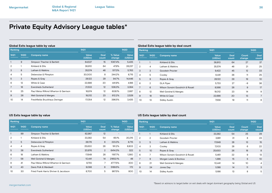| Ranking        |             |                                       | 1H21            |               | <b>1H2O</b>       |                 |  |
|----------------|-------------|---------------------------------------|-----------------|---------------|-------------------|-----------------|--|
| 1H21           | <b>1H2O</b> | <b>Company name</b>                   | Value<br>(USDm) | Deal<br>count | % Value<br>change | Value<br>(USDm) |  |
|                | 9           | Simpson Thacher & Bartlett            | 64,537          | 15            | 1087.4%           | 5,435           |  |
| $\overline{2}$ | 1           | Kirkland & Ellis                      | 38,810          | 64            | 47.9%             | 26,237          |  |
| 3              | 8           | Latham & Watkins                      | 35,574          | 46            | 517.3%            | 5,763           |  |
| 4              | 5           | Debevoise & Plimpton                  | 30,000          | 8             | 244.2%            | 8.715           |  |
| 5              | 3           | Ropes & Gray                          | 28,122          | 29            | 94.7%             | 14,446          |  |
| 6              | 12          | White & Case                          | 22,686          | 20            | 441.9%            | 4.186           |  |
| 7              | 16          | Eversheds Sutherland                  | 21,533          | 12            | 536.3%            | 3,384           |  |
| 8              | 25          | Paul Weiss Rifkind Wharton & Garrison | 18.974          | 12            | 606.1%            | 2,687           |  |
| 9              | 26          | Weil Gotshal & Manges                 | 18,012          | 23            | 612.2%            | 2,529           |  |
| 10             | 14          | Freshfields Bruckhaus Deringer        | 17,054          | 12            | 396.5%            | 3,435           |  |

### **Global Exits league table by value Global Exits league table by deal count**

| Ranking |                |                                  | 1H21                   | <b>1H2O</b>   |                 |                      |  |  |
|---------|----------------|----------------------------------|------------------------|---------------|-----------------|----------------------|--|--|
| 1H21    | 1H20           | <b>Company name</b>              | <b>Value</b><br>(USDm) | Deal<br>count | Count<br>change | <b>Deal</b><br>count |  |  |
|         | 1              | Kirkland & Ellis                 | 38,810                 | 64            | 27              | 37                   |  |  |
| 2       | $\overline{4}$ | Latham & Watkins                 | 35,574                 | 46            | 21              | 25                   |  |  |
| 3       | 3              | Goodwin Procter                  | 9,422                  | 45            | 12              | 33                   |  |  |
| 4       | 5              | Cooley                           | 8,441                  | 36            | 11              | 25                   |  |  |
| 5       | 9              | Ropes & Gray                     | 28,122                 | 29            | 19              | 10                   |  |  |
| 6       | $\overline{2}$ | <b>DLA Piper</b>                 | 5,733                  | 27            | $-9$            | 36                   |  |  |
| 7       | 6              | Wilson Sonsini Goodrich & Rosati | 8,566                  | 26            | 9               | 17                   |  |  |
| 8       | 12             | Weil Gotshal & Manges            | 18,012                 | 23            | 14              | 9                    |  |  |
| 9       | 18             | White & Case                     | 22,686                 | 20            | 13              | 7                    |  |  |
| 10      | 13             | <b>Sidley Austin</b>             | 7.556                  | 19            | 11              | 8                    |  |  |

| Ranking        |      |                                       | 1H21            |                | 1H20              |                        |
|----------------|------|---------------------------------------|-----------------|----------------|-------------------|------------------------|
| 1H21           | 1H20 | <b>Company name</b>                   | Value<br>(USDm) | Deal<br>count  | % Value<br>change | <b>Value</b><br>(USDm) |
|                | 99   | Simpson Thacher & Bartlett            | 62,987          | 12             |                   |                        |
| $\overline{2}$ |      | Kirkland & Ellis                      | 33,382          | 54             | 65.1%             | 20,215                 |
| 3              | 5    | Debevoise & Plimpton                  | 28,176          | 6              | 223.3%            | 8,715                  |
| 4              | 4    | Ropes & Gray                          | 25,630          | 26             | 191.2%            | 8,803                  |
| 5              | 38   | Eversheds Sutherland                  | 20,976          | $\overline{2}$ | 6414.3%           | 322                    |
| 6              | 18   | Latham & Watkins                      | 17,649          | 28             | 1197.7%           | 1,360                  |
| 7              | 58   | Weil Gotshal & Manges                 | 10.441          | 14             | 21652.1%          | 48                     |
| 8              | 41   | Paul Weiss Rifkind Wharton & Garrison | 9.755           | 7              | 4777.5%           | 200                    |
| 9              | 43   | Davis Polk & Wardwell                 | 9,098           | 6              | 5189.5%           | 172                    |
| 10             | 30   | Fried Frank Harris Shriver & Jacobson | 8.700           | 5              | 987.5%            | 800                    |

### **US Exits league table by value US Exits league table by deal count**

| Ranking        |                 |                                  | 1H21                   | <b>1H2O</b>          |                 |                      |  |  |
|----------------|-----------------|----------------------------------|------------------------|----------------------|-----------------|----------------------|--|--|
| 1H21           | <b>1H2O</b>     | <b>Company name</b>              | <b>Value</b><br>(USDm) | <b>Deal</b><br>count | Count<br>change | <b>Deal</b><br>count |  |  |
| 1              | $\mathbf{1}$    | Kirkland & Ellis                 | 33,382                 | 54                   | 25              | 29                   |  |  |
| $\overline{2}$ | $\overline{2}$  | Goodwin Procter                  | 3,981                  | 31                   | 8               | 23                   |  |  |
| 3              | 5               | Latham & Watkins                 | 17,649                 | 28                   | 13              | 15                   |  |  |
| 4              | 3               | Cooley                           | 7,003                  | 28                   | 6               | 22                   |  |  |
| 5              | 10 <sup>°</sup> | Ropes & Gray                     | 25,630                 | 26                   | 18              | 8                    |  |  |
| 6              | 7               | Wilson Sonsini Goodrich & Rosati | 5,461                  | 22                   | 9               | 13                   |  |  |
| 7              | 9               | Morgan Lewis & Bockius           | 1,386                  | 15                   | 5               | 10 <sup>2</sup>      |  |  |
| 8              | 21              | Weil Gotshal & Manges            | 10,441                 | 14                   | 10              | 4                    |  |  |
| 9              | 24              | Jones Day                        | 1,088                  | 14                   | 11              | 3                    |  |  |
| 10             | 14              | <b>Sidley Austin</b>             | 5,166                  | 13                   | 8               | 5                    |  |  |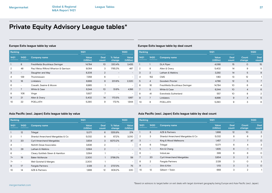| Ranking        |                          |                                       | 1H21                   |                      | <b>1H2O</b>       |                          |  |
|----------------|--------------------------|---------------------------------------|------------------------|----------------------|-------------------|--------------------------|--|
| 1H21           | <b>1H2O</b>              | <b>Company name</b>                   | <b>Value</b><br>(USDm) | <b>Deal</b><br>count | % Value<br>change | Value<br>(USDm)          |  |
|                | 8                        | Freshfields Bruckhaus Deringer        | 14,784                 | 10                   | 330.4%            | 3,435                    |  |
| $\overline{2}$ | 48                       | Paul Weiss Rifkind Wharton & Garrison | 9,084                  | 3                    | 1765.3%           | 487                      |  |
| 3              | $\overline{\phantom{a}}$ | Slaughter and May                     | 8,208                  | $\overline{2}$       |                   |                          |  |
| 4              | 129                      | Thommessen                            | 7.359                  | 6                    |                   | $\overline{\phantom{a}}$ |  |
| 5              | 16                       | Linklaters                            | 6,998                  | 9                    | 201.6%            | 2,320                    |  |
| 6              | $\overline{\phantom{0}}$ | Cravath, Swaine & Moore               | 6,985                  |                      |                   | $\overline{\phantom{a}}$ |  |
| 7              | $\overline{7}$           | White & Case                          | 6,344                  | 10                   | 51.6%             | 4.186                    |  |
| 8              | 108                      | Vinge                                 | 5,927                  | 7                    |                   | $\overline{\phantom{a}}$ |  |
| 9              | 21                       | Allen & Overy                         | 5,402                  | 14                   | 170.5%            | 1,997                    |  |
| 10             | 22                       | <b>POELLATH</b>                       | 5.290                  | 9                    | 172.1%            | 1.944                    |  |

### **Europe Exits league table by value Europe Exits league table by deal count**

| Ranking        |                |                                |                                                | 1H21 |                        |                      |  |
|----------------|----------------|--------------------------------|------------------------------------------------|------|------------------------|----------------------|--|
| 1H21           | 1H20           | <b>Company name</b>            | <b>Value</b><br><b>Deal</b><br>(USDm)<br>count |      | <b>Count</b><br>change | <b>Deal</b><br>count |  |
|                | 1              | <b>DLA Piper</b>               | 4,068                                          | 15   | $\circ$                | 15                   |  |
| $\overline{2}$ | 8              | Allen & Overy                  | 5,402                                          | 14   | 9                      | 5                    |  |
| 3              | 2              | Latham & Watkins               | 3,292                                          | 14   | 5                      | 9                    |  |
| 4              | 152            | <b>CMS</b>                     | 1,183                                          | 13   | 12                     | 1                    |  |
| 5              | $\overline{4}$ | Goodwin Procter                | 4,786                                          | 12   | 5                      | 7                    |  |
| 6              | 16             | Freshfields Bruckhaus Deringer | 14,784                                         | 10   | 6                      | 4                    |  |
| 7              | 5              | White & Case                   | 6,344                                          | 10   | $\overline{4}$         | 6                    |  |
| 8              | 41             | Eversheds Sutherland           | 557                                            | 10   | 8                      | $\overline{2}$       |  |
| 9              | 7              | Linklaters                     | 6,998                                          | 9    | $\overline{4}$         | 5                    |  |
| 10             | 6              | <b>POELLATH</b>                | 5,290                                          | 9    | 3                      | 6                    |  |

### Asia Pacific (excl. Japan) Exits league table by value **Asia Pacific (excl. Japan) Exits league table by deal count**

| Ranking        |                          |                                  | 1H21            |                      |                          | Ranking<br><b>1H2O</b>   |                 |                          |                                  | 1H21            |                          |                          | 1H20           |
|----------------|--------------------------|----------------------------------|-----------------|----------------------|--------------------------|--------------------------|-----------------|--------------------------|----------------------------------|-----------------|--------------------------|--------------------------|----------------|
| 1H21           | 1H2O                     | <b>Company name</b>              | Value<br>(USDm) | <b>Deal</b><br>count | % Value<br>change        | Value<br>(USDm)          | 1H21            | 1H20                     | <b>Company name</b>              | Value<br>(USDm) | <b>Deal</b><br>count     | Count<br>change          | Deal<br>count  |
|                | 12                       | Trilegal                         | 5,071           | 6                    | 1255.9%                  | 374                      |                 | 8                        | AZB & Partners                   | 1.998           | 12                       | 10 <sup>°</sup>          | $\mathfrak{D}$ |
| $\overline{2}$ |                          | Shardul Amarchand Mangaldas & Co | 5,032           | 8                    | 67.2%                    | 3,010                    | 2               | 3                        | Shardul Amarchand Mangaldas & Co | 5,032           | 8                        | 6                        |                |
| 3              | 20                       | <b>Cyril Amarchand Mangaldas</b> | 3,934           | 3                    | 8270.2%                  | 47                       | 3               | $\overline{\phantom{a}}$ | King & Wood Mallesons            | 1,457           | $\overline{\phantom{0}}$ | $\overline{\phantom{a}}$ |                |
| $\overline{4}$ | $\overline{\phantom{a}}$ | Nishith Desai Associates         | 3,636           | $\overline{2}$       | $\overline{\phantom{a}}$ | $\sim$                   | -4              | 6                        | Trilegal                         | 5,071           | 6                        |                          |                |
| 5              | 29                       | Latham & Watkins                 | 3,584           | $\overline{2}$       | $-$                      | $\sim$                   | 5               |                          | Kim & Chang                      | 1,835           | 6                        | $-1$                     |                |
| 6              | $\overline{\phantom{a}}$ | Cleary Gottlieb Steen & Hamilton | 3,584           |                      | $\overline{\phantom{a}}$ | $\overline{\phantom{a}}$ | 6               | $\overline{\phantom{a}}$ | IndusLaw                         | 399             | 6                        | 6                        |                |
| $7=$           | 19                       | <b>Baker McKenzie</b>            | 2,300           |                      | 3798.3%                  | 59                       |                 | 20                       | <b>Cyril Amarchand Mangaldas</b> | 3,934           | 3                        | $\overline{2}$           |                |
| $7 =$          | $\overline{\phantom{a}}$ | Weil Gotshal & Manges            | 2,300           |                      | $\overline{\phantom{a}}$ | $\sim$                   | 8               | $\overline{2}$           | <b>Fangda Partners</b>           | 2,128           | 3                        | 0                        |                |
| 9              | 17                       | <b>Fangda Partners</b>           | 2,128           | 3                    | 2737.3%                  | 75                       | 9               | $\overline{\phantom{a}}$ | Shin & Kim                       | 1,113           | 3                        | 3                        |                |
| 10             | 14                       | AZB & Partners                   | 1,998           | 12                   | 808.2%                   | 220                      | 10 <sup>°</sup> | 12                       | Gilbert + Tobin                  | 669             | 3                        | $\overline{2}$           |                |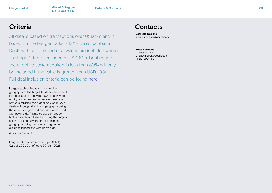**Global & Regional Criteria & Contacts M&A Report 1H21**

All data is based on transactions over USD 5m and is based on the Mergermarket's M&A deals database. Deals with undisclosed deal values are included where the target's turnover exceeds USD 10m. Deals where the effective stake acquired is less than 30% will only be included if the value is greater than USD 100m. Full deal inclusion criteria can be found [here](http://www.mergermarket.com/pdf/deal_criteria.pdf).

League tables: Based on the dominant geography of the target, bidder or seller, and includes lapsed and withdrawn bids. Private equity buyout league tables are based on advisors advising the bidder only on buyout deals with target dominant geography being the country/region and excludes lapsed and withdrawn bids. Private equity exit league tables based on advisors advising the target/ seller on exit deal with target dominant geography being the country/region and excludes lapsed and withdrawn bids.

All values are in USD

League Tables correct as of 2pm (GMT), 02-Jul-2021. Cut off date 30-Jun-2021.

## <span id="page-37-0"></span>**Criteria Contacts**

**Deal Submissions** merger.advisers@acuris.com

**Press Relations**

Lindsay Spivak Lindsay.Spivak@acuris.com +1 212-390-7801